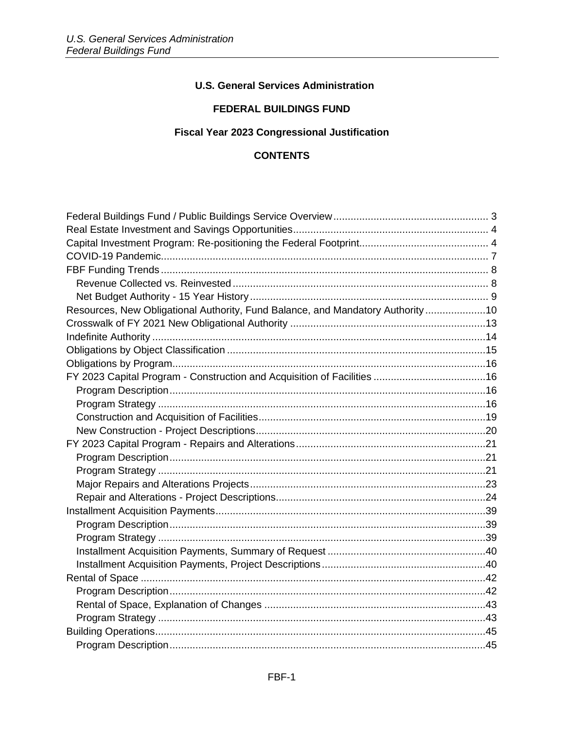# **U.S. General Services Administration**

### **FEDERAL BUILDINGS FUND**

# Fiscal Year 2023 Congressional Justification

# **CONTENTS**

| Resources, New Obligational Authority, Fund Balance, and Mandatory Authority10 |  |
|--------------------------------------------------------------------------------|--|
|                                                                                |  |
|                                                                                |  |
|                                                                                |  |
|                                                                                |  |
|                                                                                |  |
|                                                                                |  |
|                                                                                |  |
|                                                                                |  |
|                                                                                |  |
|                                                                                |  |
|                                                                                |  |
|                                                                                |  |
|                                                                                |  |
|                                                                                |  |
|                                                                                |  |
|                                                                                |  |
|                                                                                |  |
|                                                                                |  |
|                                                                                |  |
|                                                                                |  |
|                                                                                |  |
|                                                                                |  |
|                                                                                |  |
|                                                                                |  |
|                                                                                |  |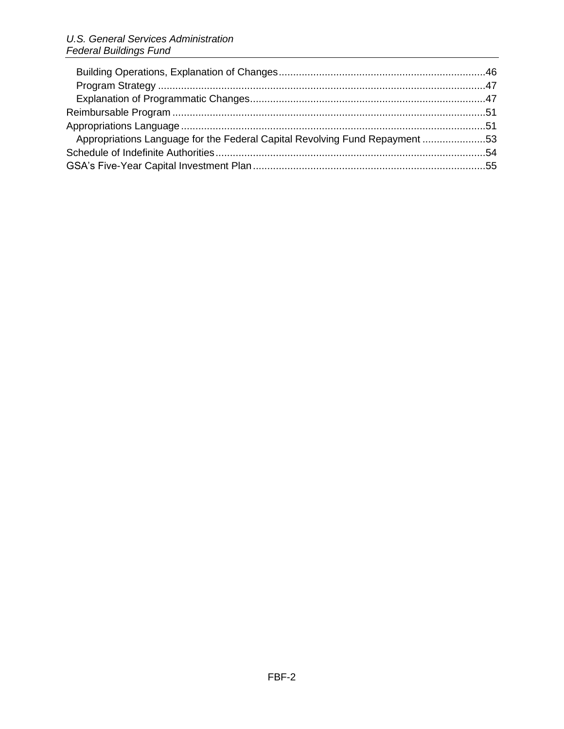| Appropriations Language for the Federal Capital Revolving Fund Repayment 53 |  |
|-----------------------------------------------------------------------------|--|
|                                                                             |  |
|                                                                             |  |
|                                                                             |  |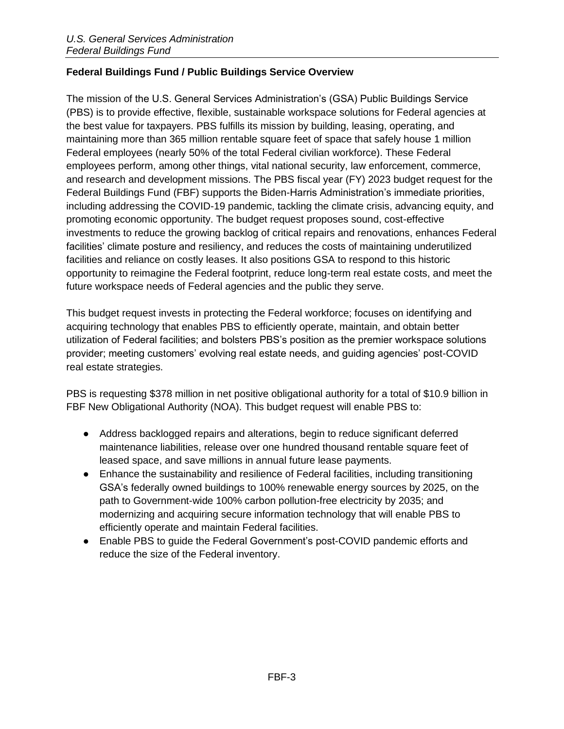# <span id="page-2-0"></span>**Federal Buildings Fund / Public Buildings Service Overview**

The mission of the U.S. General Services Administration's (GSA) Public Buildings Service (PBS) is to provide effective, flexible, sustainable workspace solutions for Federal agencies at the best value for taxpayers. PBS fulfills its mission by building, leasing, operating, and maintaining more than 365 million rentable square feet of space that safely house 1 million Federal employees (nearly 50% of the total Federal civilian workforce). These Federal employees perform, among other things, vital national security, law enforcement, commerce, and research and development missions. The PBS fiscal year (FY) 2023 budget request for the Federal Buildings Fund (FBF) supports the Biden-Harris Administration's immediate priorities, including addressing the COVID-19 pandemic, tackling the climate crisis, advancing equity, and promoting economic opportunity. The budget request proposes sound, cost-effective investments to reduce the growing backlog of critical repairs and renovations, enhances Federal facilities' climate posture and resiliency, and reduces the costs of maintaining underutilized facilities and reliance on costly leases. It also positions GSA to respond to this historic opportunity to reimagine the Federal footprint, reduce long-term real estate costs, and meet the future workspace needs of Federal agencies and the public they serve.

This budget request invests in protecting the Federal workforce; focuses on identifying and acquiring technology that enables PBS to efficiently operate, maintain, and obtain better utilization of Federal facilities; and bolsters PBS's position as the premier workspace solutions provider; meeting customers' evolving real estate needs, and guiding agencies' post-COVID real estate strategies.

PBS is requesting \$378 million in net positive obligational authority for a total of \$10.9 billion in FBF New Obligational Authority (NOA). This budget request will enable PBS to:

- Address backlogged repairs and alterations, begin to reduce significant deferred maintenance liabilities, release over one hundred thousand rentable square feet of leased space, and save millions in annual future lease payments.
- Enhance the sustainability and resilience of Federal facilities, including transitioning GSA's federally owned buildings to 100% renewable energy sources by 2025, on the path to Government-wide 100% carbon pollution-free electricity by 2035; and modernizing and acquiring secure information technology that will enable PBS to efficiently operate and maintain Federal facilities.
- Enable PBS to guide the Federal Government's post-COVID pandemic efforts and reduce the size of the Federal inventory.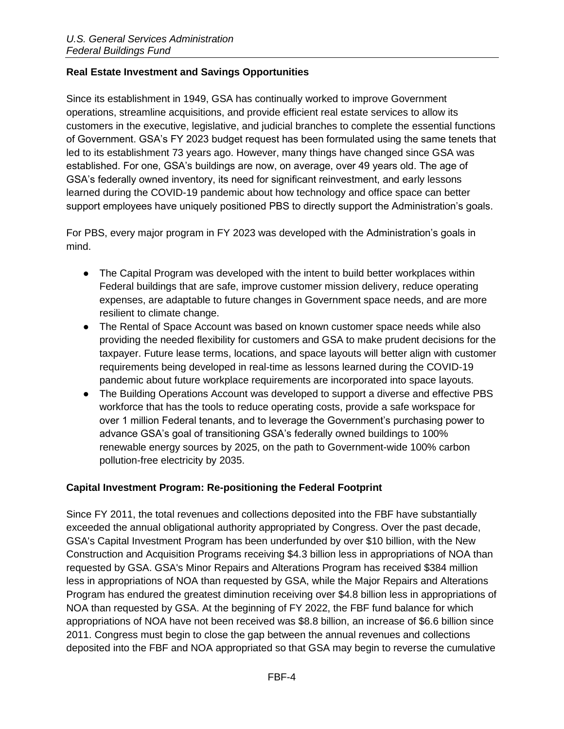# <span id="page-3-0"></span>**Real Estate Investment and Savings Opportunities**

Since its establishment in 1949, GSA has continually worked to improve Government operations, streamline acquisitions, and provide efficient real estate services to allow its customers in the executive, legislative, and judicial branches to complete the essential functions of Government. GSA's FY 2023 budget request has been formulated using the same tenets that led to its establishment 73 years ago. However, many things have changed since GSA was established. For one, GSA's buildings are now, on average, over 49 years old. The age of GSA's federally owned inventory, its need for significant reinvestment, and early lessons learned during the COVID-19 pandemic about how technology and office space can better support employees have uniquely positioned PBS to directly support the Administration's goals.

For PBS, every major program in FY 2023 was developed with the Administration's goals in mind.

- The Capital Program was developed with the intent to build better workplaces within Federal buildings that are safe, improve customer mission delivery, reduce operating expenses, are adaptable to future changes in Government space needs, and are more resilient to climate change.
- The Rental of Space Account was based on known customer space needs while also providing the needed flexibility for customers and GSA to make prudent decisions for the taxpayer. Future lease terms, locations, and space layouts will better align with customer requirements being developed in real-time as lessons learned during the COVID-19 pandemic about future workplace requirements are incorporated into space layouts.
- The Building Operations Account was developed to support a diverse and effective PBS workforce that has the tools to reduce operating costs, provide a safe workspace for over 1 million Federal tenants, and to leverage the Government's purchasing power to advance GSA's goal of transitioning GSA's federally owned buildings to 100% renewable energy sources by 2025, on the path to Government-wide 100% carbon pollution-free electricity by 2035.

#### <span id="page-3-1"></span>**Capital Investment Program: Re-positioning the Federal Footprint**

Since FY 2011, the total revenues and collections deposited into the FBF have substantially exceeded the annual obligational authority appropriated by Congress. Over the past decade, GSA's Capital Investment Program has been underfunded by over \$10 billion, with the New Construction and Acquisition Programs receiving \$4.3 billion less in appropriations of NOA than requested by GSA. GSA's Minor Repairs and Alterations Program has received \$384 million less in appropriations of NOA than requested by GSA, while the Major Repairs and Alterations Program has endured the greatest diminution receiving over \$4.8 billion less in appropriations of NOA than requested by GSA. At the beginning of FY 2022, the FBF fund balance for which appropriations of NOA have not been received was \$8.8 billion, an increase of \$6.6 billion since 2011. Congress must begin to close the gap between the annual revenues and collections deposited into the FBF and NOA appropriated so that GSA may begin to reverse the cumulative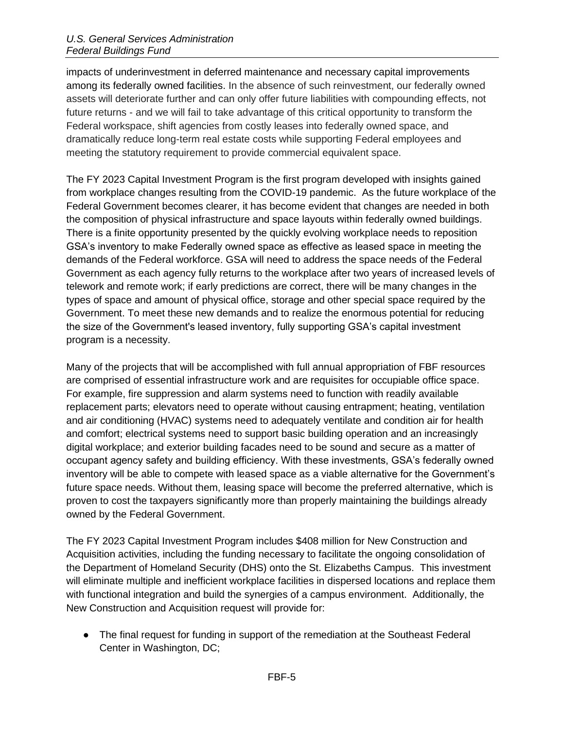impacts of underinvestment in deferred maintenance and necessary capital improvements among its federally owned facilities. In the absence of such reinvestment, our federally owned assets will deteriorate further and can only offer future liabilities with compounding effects, not future returns - and we will fail to take advantage of this critical opportunity to transform the Federal workspace, shift agencies from costly leases into federally owned space, and dramatically reduce long-term real estate costs while supporting Federal employees and meeting the statutory requirement to provide commercial equivalent space.

The FY 2023 Capital Investment Program is the first program developed with insights gained from workplace changes resulting from the COVID-19 pandemic. As the future workplace of the Federal Government becomes clearer, it has become evident that changes are needed in both the composition of physical infrastructure and space layouts within federally owned buildings. There is a finite opportunity presented by the quickly evolving workplace needs to reposition GSA's inventory to make Federally owned space as effective as leased space in meeting the demands of the Federal workforce. GSA will need to address the space needs of the Federal Government as each agency fully returns to the workplace after two years of increased levels of telework and remote work; if early predictions are correct, there will be many changes in the types of space and amount of physical office, storage and other special space required by the Government. To meet these new demands and to realize the enormous potential for reducing the size of the Government's leased inventory, fully supporting GSA's capital investment program is a necessity.

Many of the projects that will be accomplished with full annual appropriation of FBF resources are comprised of essential infrastructure work and are requisites for occupiable office space. For example, fire suppression and alarm systems need to function with readily available replacement parts; elevators need to operate without causing entrapment; heating, ventilation and air conditioning (HVAC) systems need to adequately ventilate and condition air for health and comfort; electrical systems need to support basic building operation and an increasingly digital workplace; and exterior building facades need to be sound and secure as a matter of occupant agency safety and building efficiency. With these investments, GSA's federally owned inventory will be able to compete with leased space as a viable alternative for the Government's future space needs. Without them, leasing space will become the preferred alternative, which is proven to cost the taxpayers significantly more than properly maintaining the buildings already owned by the Federal Government.

The FY 2023 Capital Investment Program includes \$408 million for New Construction and Acquisition activities, including the funding necessary to facilitate the ongoing consolidation of the Department of Homeland Security (DHS) onto the St. Elizabeths Campus. This investment will eliminate multiple and inefficient workplace facilities in dispersed locations and replace them with functional integration and build the synergies of a campus environment. Additionally, the New Construction and Acquisition request will provide for:

• The final request for funding in support of the remediation at the Southeast Federal Center in Washington, DC;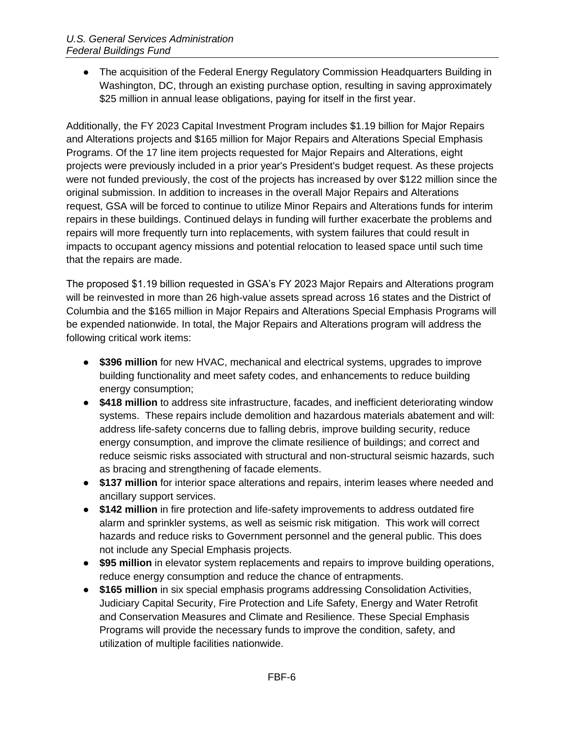• The acquisition of the Federal Energy Regulatory Commission Headquarters Building in Washington, DC, through an existing purchase option, resulting in saving approximately \$25 million in annual lease obligations, paying for itself in the first year.

Additionally, the FY 2023 Capital Investment Program includes \$1.19 billion for Major Repairs and Alterations projects and \$165 million for Major Repairs and Alterations Special Emphasis Programs. Of the 17 line item projects requested for Major Repairs and Alterations, eight projects were previously included in a prior year's President's budget request. As these projects were not funded previously, the cost of the projects has increased by over \$122 million since the original submission. In addition to increases in the overall Major Repairs and Alterations request, GSA will be forced to continue to utilize Minor Repairs and Alterations funds for interim repairs in these buildings. Continued delays in funding will further exacerbate the problems and repairs will more frequently turn into replacements, with system failures that could result in impacts to occupant agency missions and potential relocation to leased space until such time that the repairs are made.

The proposed \$1.19 billion requested in GSA's FY 2023 Major Repairs and Alterations program will be reinvested in more than 26 high-value assets spread across 16 states and the District of Columbia and the \$165 million in Major Repairs and Alterations Special Emphasis Programs will be expended nationwide. In total, the Major Repairs and Alterations program will address the following critical work items:

- **\$396 million** for new HVAC, mechanical and electrical systems, upgrades to improve building functionality and meet safety codes, and enhancements to reduce building energy consumption;
- **\$418 million** to address site infrastructure, facades, and inefficient deteriorating window systems. These repairs include demolition and hazardous materials abatement and will: address life-safety concerns due to falling debris, improve building security, reduce energy consumption, and improve the climate resilience of buildings; and correct and reduce seismic risks associated with structural and non-structural seismic hazards, such as bracing and strengthening of facade elements.
- **\$137 million** for interior space alterations and repairs, interim leases where needed and ancillary support services.
- **\$142 million** in fire protection and life-safety improvements to address outdated fire alarm and sprinkler systems, as well as seismic risk mitigation. This work will correct hazards and reduce risks to Government personnel and the general public. This does not include any Special Emphasis projects.
- **\$95 million** in elevator system replacements and repairs to improve building operations, reduce energy consumption and reduce the chance of entrapments.
- **\$165 million** in six special emphasis programs addressing Consolidation Activities, Judiciary Capital Security, Fire Protection and Life Safety, Energy and Water Retrofit and Conservation Measures and Climate and Resilience. These Special Emphasis Programs will provide the necessary funds to improve the condition, safety, and utilization of multiple facilities nationwide.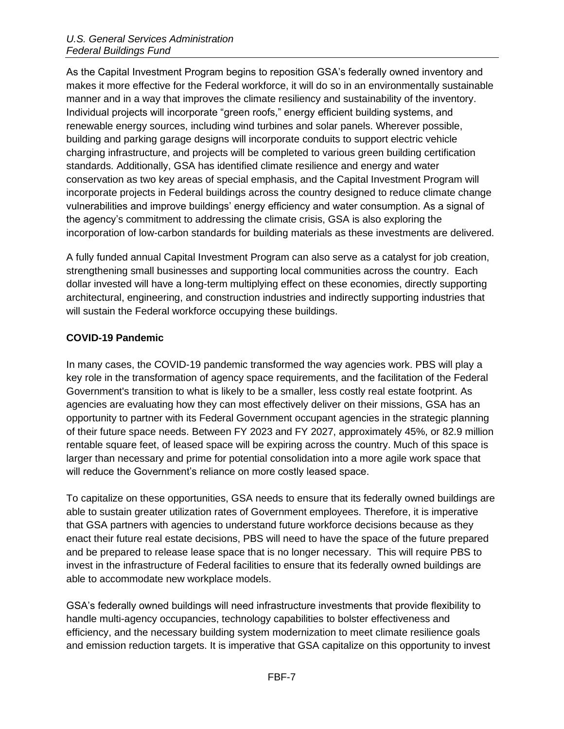As the Capital Investment Program begins to reposition GSA's federally owned inventory and makes it more effective for the Federal workforce, it will do so in an environmentally sustainable manner and in a way that improves the climate resiliency and sustainability of the inventory. Individual projects will incorporate "green roofs," energy efficient building systems, and renewable energy sources, including wind turbines and solar panels. Wherever possible, building and parking garage designs will incorporate conduits to support electric vehicle charging infrastructure, and projects will be completed to various green building certification standards. Additionally, GSA has identified climate resilience and energy and water conservation as two key areas of special emphasis, and the Capital Investment Program will incorporate projects in Federal buildings across the country designed to reduce climate change vulnerabilities and improve buildings' energy efficiency and water consumption. As a signal of the agency's commitment to addressing the climate crisis, GSA is also exploring the incorporation of low-carbon standards for building materials as these investments are delivered.

A fully funded annual Capital Investment Program can also serve as a catalyst for job creation, strengthening small businesses and supporting local communities across the country. Each dollar invested will have a long-term multiplying effect on these economies, directly supporting architectural, engineering, and construction industries and indirectly supporting industries that will sustain the Federal workforce occupying these buildings.

# <span id="page-6-0"></span>**COVID-19 Pandemic**

In many cases, the COVID-19 pandemic transformed the way agencies work. PBS will play a key role in the transformation of agency space requirements, and the facilitation of the Federal Government's transition to what is likely to be a smaller, less costly real estate footprint. As agencies are evaluating how they can most effectively deliver on their missions, GSA has an opportunity to partner with its Federal Government occupant agencies in the strategic planning of their future space needs. Between FY 2023 and FY 2027, approximately 45%, or 82.9 million rentable square feet, of leased space will be expiring across the country. Much of this space is larger than necessary and prime for potential consolidation into a more agile work space that will reduce the Government's reliance on more costly leased space.

To capitalize on these opportunities, GSA needs to ensure that its federally owned buildings are able to sustain greater utilization rates of Government employees. Therefore, it is imperative that GSA partners with agencies to understand future workforce decisions because as they enact their future real estate decisions, PBS will need to have the space of the future prepared and be prepared to release lease space that is no longer necessary. This will require PBS to invest in the infrastructure of Federal facilities to ensure that its federally owned buildings are able to accommodate new workplace models.

GSA's federally owned buildings will need infrastructure investments that provide flexibility to handle multi-agency occupancies, technology capabilities to bolster effectiveness and efficiency, and the necessary building system modernization to meet climate resilience goals and emission reduction targets. It is imperative that GSA capitalize on this opportunity to invest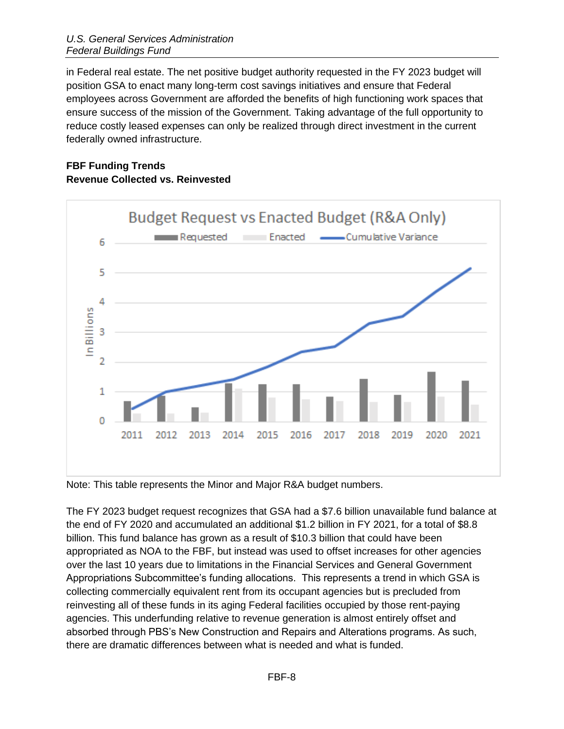in Federal real estate. The net positive budget authority requested in the FY 2023 budget will position GSA to enact many long-term cost savings initiatives and ensure that Federal employees across Government are afforded the benefits of high functioning work spaces that ensure success of the mission of the Government. Taking advantage of the full opportunity to reduce costly leased expenses can only be realized through direct investment in the current federally owned infrastructure.

# <span id="page-7-1"></span><span id="page-7-0"></span>**FBF Funding Trends Revenue Collected vs. Reinvested**



Note: This table represents the Minor and Major R&A budget numbers.

The FY 2023 budget request recognizes that GSA had a \$7.6 billion unavailable fund balance at the end of FY 2020 and accumulated an additional \$1.2 billion in FY 2021, for a total of \$8.8 billion. This fund balance has grown as a result of \$10.3 billion that could have been appropriated as NOA to the FBF, but instead was used to offset increases for other agencies over the last 10 years due to limitations in the Financial Services and General Government Appropriations Subcommittee's funding allocations. This represents a trend in which GSA is collecting commercially equivalent rent from its occupant agencies but is precluded from reinvesting all of these funds in its aging Federal facilities occupied by those rent-paying agencies. This underfunding relative to revenue generation is almost entirely offset and absorbed through PBS's New Construction and Repairs and Alterations programs. As such, there are dramatic differences between what is needed and what is funded.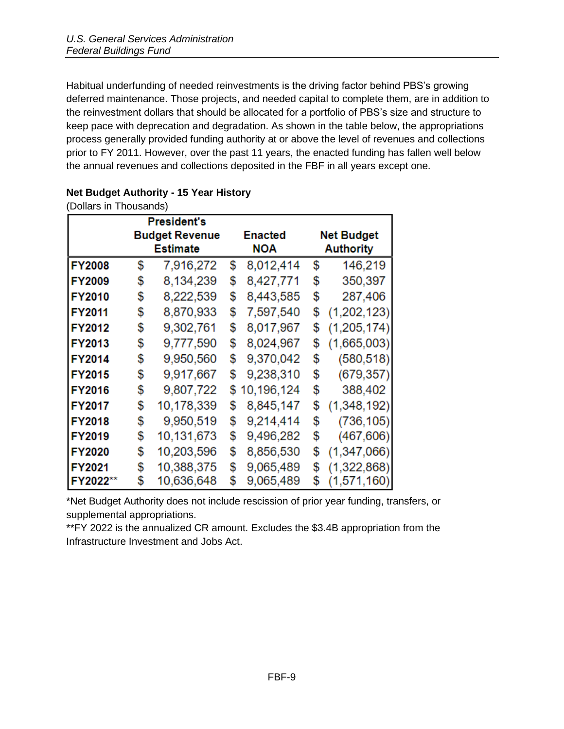Habitual underfunding of needed reinvestments is the driving factor behind PBS's growing deferred maintenance. Those projects, and needed capital to complete them, are in addition to the reinvestment dollars that should be allocated for a portfolio of PBS's size and structure to keep pace with deprecation and degradation. As shown in the table below, the appropriations process generally provided funding authority at or above the level of revenues and collections prior to FY 2011. However, over the past 11 years, the enacted funding has fallen well below the annual revenues and collections deposited in the FBF in all years except one.

| (Dollars in Thousands) |    |                    |    |                |                   |                  |  |  |
|------------------------|----|--------------------|----|----------------|-------------------|------------------|--|--|
|                        |    | <b>President's</b> |    |                |                   |                  |  |  |
| <b>Budget Revenue</b>  |    |                    |    | <b>Enacted</b> | <b>Net Budget</b> |                  |  |  |
|                        |    | <b>Estimate</b>    |    | <b>NOA</b>     |                   | <b>Authority</b> |  |  |
| <b>FY2008</b>          | \$ | 7,916,272          | \$ | 8,012,414      | \$                | 146,219          |  |  |
| FY2009                 | \$ | 8,134,239          | \$ | 8,427,771      | \$                | 350,397          |  |  |
| <b>FY2010</b>          | \$ | 8,222,539          | \$ | 8,443,585      | \$                | 287,406          |  |  |
| FY2011                 | \$ | 8,870,933          | \$ | 7,597,540      | \$                | (1,202,123)      |  |  |
| <b>FY2012</b>          | \$ | 9,302,761          | \$ | 8,017,967      | \$                | (1, 205, 174)    |  |  |
| FY2013                 | \$ | 9,777,590          | \$ | 8,024,967      | \$                | (1,665,003)      |  |  |
| <b>FY2014</b>          | \$ | 9,950,560          | \$ | 9,370,042      | \$                | (580, 518)       |  |  |
| <b>FY2015</b>          | \$ | 9,917,667          | \$ | 9,238,310      | \$                | (679, 357)       |  |  |
| <b>FY2016</b>          | \$ | 9,807,722          | \$ | 10,196,124     | \$                | 388,402          |  |  |
| FY2017                 | \$ | 10,178,339         | \$ | 8,845,147      | \$                | (1,348,192)      |  |  |
| <b>FY2018</b>          | \$ | 9,950,519          | \$ | 9,214,414      | \$                | (736, 105)       |  |  |
| <b>FY2019</b>          | \$ | 10,131,673         | \$ | 9,496,282      | \$                | (467, 606)       |  |  |
| <b>FY2020</b>          | \$ | 10,203,596         | \$ | 8,856,530      | \$                | (1,347,066)      |  |  |
| FY2021                 | \$ | 10,388,375         | \$ | 9,065,489      | \$                | (1,322,868)      |  |  |
| <b>FY2022**</b>        | \$ | 10,636,648         | \$ | 9,065,489      | \$                | (1,571,160)      |  |  |

# <span id="page-8-0"></span>**Net Budget Authority - 15 Year History**

\*Net Budget Authority does not include rescission of prior year funding, transfers, or supplemental appropriations.

\*\*FY 2022 is the annualized CR amount. Excludes the \$3.4B appropriation from the Infrastructure Investment and Jobs Act.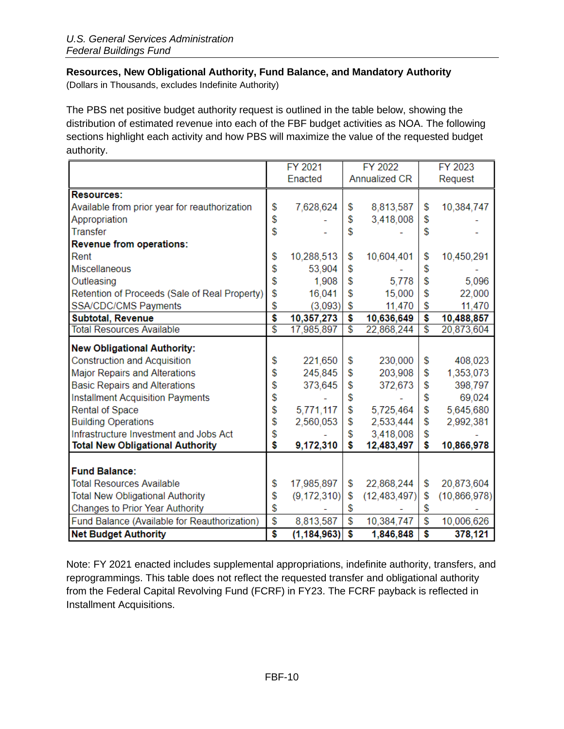# <span id="page-9-0"></span>**Resources, New Obligational Authority, Fund Balance, and Mandatory Authority**

(Dollars in Thousands, excludes Indefinite Authority)

The PBS net positive budget authority request is outlined in the table below, showing the distribution of estimated revenue into each of the FBF budget activities as NOA. The following sections highlight each activity and how PBS will maximize the value of the requested budget authority.

|                                               |                         | FY 2021       |                         | FY 2022        | FY 2023         |              |  |
|-----------------------------------------------|-------------------------|---------------|-------------------------|----------------|-----------------|--------------|--|
|                                               |                         | Enacted       |                         | Annualized CR  |                 | Request      |  |
| <b>Resources:</b>                             |                         |               |                         |                |                 |              |  |
| Available from prior year for reauthorization | \$                      | 7,628,624     | \$                      | 8,813,587      | \$              | 10,384,747   |  |
| Appropriation                                 | \$                      |               | \$                      | 3,418,008      | \$              |              |  |
| <b>Transfer</b>                               | \$                      |               | \$                      |                | \$              |              |  |
| Revenue from operations:                      |                         |               |                         |                |                 |              |  |
| Rent                                          | \$                      | 10,288,513    | \$                      | 10,604,401     | \$              | 10,450,291   |  |
| <b>Miscellaneous</b>                          | \$                      | 53,904        | \$                      |                | \$              |              |  |
| Outleasing                                    | \$                      | 1,908         | \$                      | 5,778          | \$              | 5,096        |  |
| Retention of Proceeds (Sale of Real Property) | \$                      | 16,041        | \$                      | 15,000         | \$              | 22,000       |  |
| <b>SSA/CDC/CMS Payments</b>                   | \$                      | (3.093)       | \$                      | 11.470         | \$              | 11,470       |  |
| Subtotal, Revenue                             | $\overline{\mathbf{s}}$ | 10,357,273    | \$                      | 10,636,649     | \$              | 10,488,857   |  |
| <b>Total Resources Available</b>              | $\overline{\$}$         | 17,985,897    | $\overline{\mathbb{S}}$ | 22,868,244     | $\overline{\$}$ | 20,873,604   |  |
| <b>New Obligational Authority:</b>            |                         |               |                         |                |                 |              |  |
| <b>Construction and Acquisition</b>           | \$                      | 221,650       | \$                      | 230,000        | \$              | 408,023      |  |
| <b>Major Repairs and Alterations</b>          | \$                      | 245,845       | \$                      | 203,908        | \$              | 1,353,073    |  |
| <b>Basic Repairs and Alterations</b>          | \$                      | 373,645       | \$                      | 372,673        | \$              | 398,797      |  |
| <b>Installment Acquisition Payments</b>       | \$                      |               | \$                      |                | \$              | 69,024       |  |
| Rental of Space                               | \$                      | 5,771,117     | \$                      | 5,725,464      | \$              | 5,645,680    |  |
| <b>Building Operations</b>                    | \$                      | 2,560,053     | \$                      | 2,533,444      | \$              | 2,992,381    |  |
| Infrastructure Investment and Jobs Act        | \$                      |               | \$                      | 3,418,008      | \$              |              |  |
| <b>Total New Obligational Authority</b>       | \$                      | 9,172,310     | \$                      | 12,483,497     | \$              | 10,866,978   |  |
|                                               |                         |               |                         |                |                 |              |  |
| <b>Fund Balance:</b>                          |                         |               |                         |                |                 |              |  |
| <b>Total Resources Available</b>              | \$                      | 17,985,897    | \$                      | 22,868,244     | \$              | 20,873,604   |  |
| <b>Total New Obligational Authority</b>       | \$                      | (9, 172, 310) | \$                      | (12, 483, 497) | \$              | (10,866,978) |  |
| Changes to Prior Year Authority               | \$                      |               | \$                      |                | \$              |              |  |
| Fund Balance (Available for Reauthorization)  | $\overline{\$}$         | 8,813,587     | \$                      | 10,384,747     | \$              | 10,006,626   |  |
| <b>Net Budget Authority</b>                   | \$                      | (1, 184, 963) | Ŝ                       | 1,846,848      | Ŝ               | 378,121      |  |

Note: FY 2021 enacted includes supplemental appropriations, indefinite authority, transfers, and reprogrammings. This table does not reflect the requested transfer and obligational authority from the Federal Capital Revolving Fund (FCRF) in FY23. The FCRF payback is reflected in Installment Acquisitions.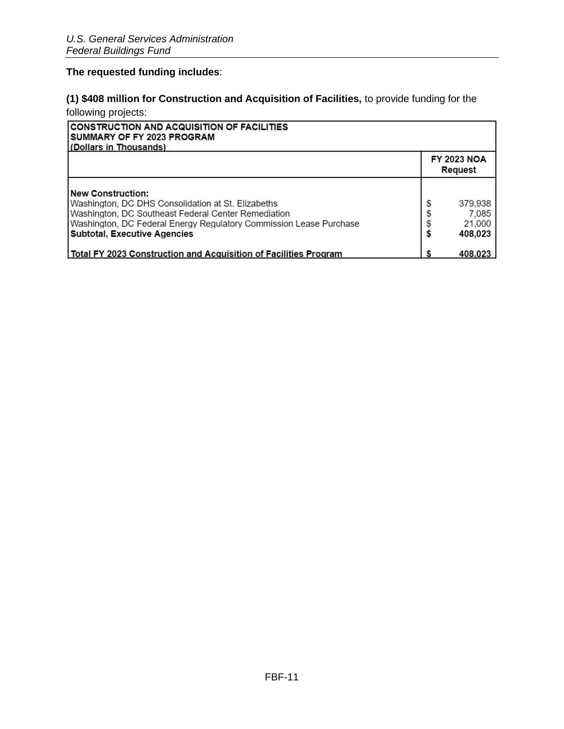# **The requested funding includes**:

# **(1) \$408 million for Construction and Acquisition of Facilities,** to provide funding for the following projects:

| <b>CONSTRUCTION AND ACQUISITION OF FACILITIES</b><br>SUMMARY OF FY 2023 PROGRAM<br>l (Dollars in Thousands)                                                                                                                                        |         |                                       |
|----------------------------------------------------------------------------------------------------------------------------------------------------------------------------------------------------------------------------------------------------|---------|---------------------------------------|
|                                                                                                                                                                                                                                                    |         | <b>FY 2023 NOA</b><br><b>Request</b>  |
| <b>New Construction:</b><br>Washington, DC DHS Consolidation at St. Elizabeths<br>Washington, DC Southeast Federal Center Remediation<br>Washington, DC Federal Energy Regulatory Commission Lease Purchase<br><b>Subtotal, Executive Agencies</b> | S<br>\$ | 379,938<br>7,085<br>21,000<br>408,023 |
| <b>Total FY 2023 Construction and Acquisition of Facilities Program</b>                                                                                                                                                                            |         | 408.023                               |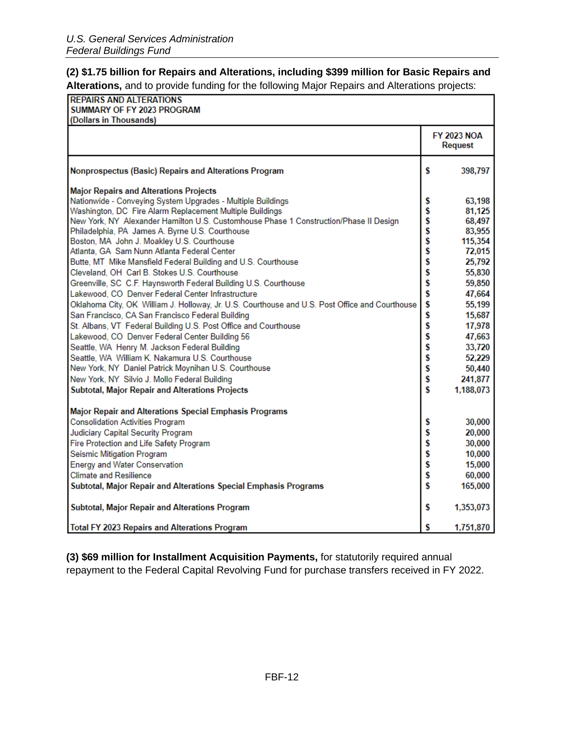# **(2) \$1.75 billion for Repairs and Alterations, including \$399 million for Basic Repairs and Alterations,** and to provide funding for the following Major Repairs and Alterations projects:

| <b>REPAIRS AND ALTERATIONS</b>                                                                          |         |                                      |
|---------------------------------------------------------------------------------------------------------|---------|--------------------------------------|
| SUMMARY OF FY 2023 PROGRAM                                                                              |         |                                      |
| (Dollars in Thousands)                                                                                  |         |                                      |
|                                                                                                         |         | <b>FY 2023 NOA</b><br><b>Request</b> |
| Nonprospectus (Basic) Repairs and Alterations Program                                                   | Ŝ       | 398,797                              |
| <b>Major Repairs and Alterations Projects</b>                                                           |         |                                      |
| Nationwide - Conveying System Upgrades - Multiple Buildings                                             | \$      | 63,198                               |
| Washington, DC Fire Alarm Replacement Multiple Buildings                                                | \$      | 81,125                               |
| New York, NY Alexander Hamilton U.S. Customhouse Phase 1 Construction/Phase II Design                   | s<br>S  | 68,497                               |
| Philadelphia, PA James A. Byrne U.S. Courthouse                                                         |         | 83,955                               |
| Boston, MA John J. Moakley U.S. Courthouse                                                              | ś       | 115,354                              |
| Atlanta, GA Sam Nunn Atlanta Federal Center                                                             | \$      | 72,015                               |
| Butte, MT Mike Mansfield Federal Building and U.S. Courthouse                                           | \$      | 25,792                               |
| Cleveland, OH Carl B. Stokes U.S. Courthouse                                                            | \$      | 55,830                               |
| Greenville, SC C.F. Haynsworth Federal Building U.S. Courthouse                                         | \$      | 59,850                               |
| Lakewood, CO Denver Federal Center Infrastructure                                                       | Ś       | 47,664                               |
| Oklahoma City, OK William J. Holloway, Jr. U.S. Courthouse and U.S. Post Office and Courthouse          | \$      | 55,199                               |
| San Francisco, CA San Francisco Federal Building                                                        | \$      | 15,687                               |
| St. Albans, VT Federal Building U.S. Post Office and Courthouse                                         | Ś       | 17,978                               |
| Lakewood, CO Denver Federal Center Building 56                                                          | Ś       | 47,663                               |
| Seattle, WA Henry M. Jackson Federal Building                                                           | \$      | 33,720                               |
| Seattle, WA William K. Nakamura U.S. Courthouse<br>New York, NY Daniel Patrick Moynihan U.S. Courthouse | \$<br>Ś | 52,229                               |
|                                                                                                         | Ś       | 50,440<br>241,877                    |
| New York, NY Silvio J. Mollo Federal Building                                                           | Ś       |                                      |
| Subtotal, Major Repair and Alterations Projects                                                         |         | 1,188,073                            |
| Major Repair and Alterations Special Emphasis Programs                                                  |         |                                      |
| <b>Consolidation Activities Program</b>                                                                 | s       | 30,000                               |
| Judiciary Capital Security Program                                                                      | \$      | 20,000                               |
| Fire Protection and Life Safety Program                                                                 | \$      | 30,000                               |
| Seismic Mitigation Program                                                                              | \$      | 10,000                               |
| <b>Energy and Water Conservation</b>                                                                    | \$      | 15,000                               |
| <b>Climate and Resilience</b>                                                                           | Ś       | 60,000                               |
| Subtotal, Major Repair and Alterations Special Emphasis Programs                                        | Ś       | 165,000                              |
|                                                                                                         |         |                                      |
| Subtotal, Major Repair and Alterations Program                                                          | S       | 1,353,073                            |
| <b>Total FY 2023 Repairs and Alterations Program</b>                                                    | S       | 1,751,870                            |

**(3) \$69 million for Installment Acquisition Payments,** for statutorily required annual repayment to the Federal Capital Revolving Fund for purchase transfers received in FY 2022.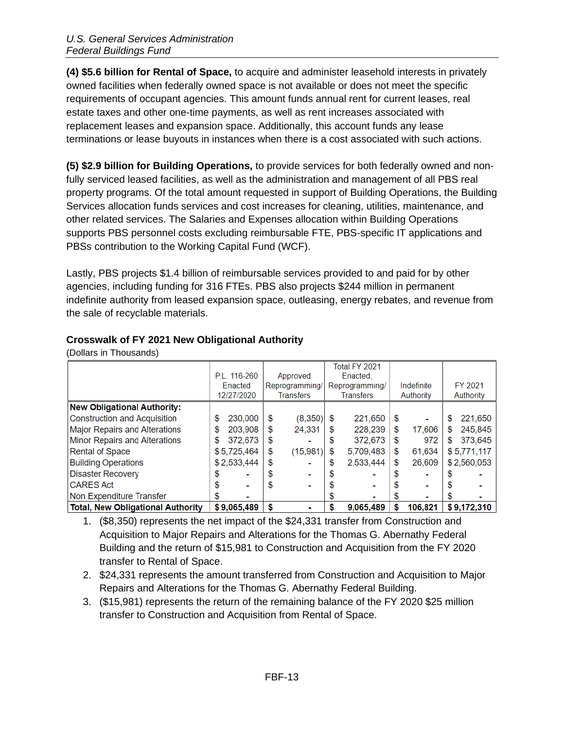**(4) \$5.6 billion for Rental of Space,** to acquire and administer leasehold interests in privately owned facilities when federally owned space is not available or does not meet the specific requirements of occupant agencies. This amount funds annual rent for current leases, real estate taxes and other one-time payments, as well as rent increases associated with replacement leases and expansion space. Additionally, this account funds any lease terminations or lease buyouts in instances when there is a cost associated with such actions.

**(5) \$2.9 billion for Building Operations,** to provide services for both federally owned and nonfully serviced leased facilities, as well as the administration and management of all PBS real property programs. Of the total amount requested in support of Building Operations, the Building Services allocation funds services and cost increases for cleaning, utilities, maintenance, and other related services. The Salaries and Expenses allocation within Building Operations supports PBS personnel costs excluding reimbursable FTE, PBS-specific IT applications and PBSs contribution to the Working Capital Fund (WCF).

Lastly, PBS projects \$1.4 billion of reimbursable services provided to and paid for by other agencies, including funding for 316 FTEs. PBS also projects \$244 million in permanent indefinite authority from leased expansion space, outleasing, energy rebates, and revenue from the sale of recyclable materials.

<span id="page-12-0"></span>

(Dollars in Thousands)

|                                          |               |                  | Total FY 2021    |              |               |
|------------------------------------------|---------------|------------------|------------------|--------------|---------------|
|                                          | P.L. 116-260  | Approved         | Enacted.         |              |               |
|                                          | Enacted       | Reprogramming/   | Reprogramming/   | Indefinite   | FY 2021       |
|                                          | 12/27/2020    | <b>Transfers</b> | <b>Transfers</b> | Authority    | Authority     |
| <b>New Obligational Authority:</b>       |               |                  |                  |              |               |
| <b>Construction and Acquisition</b>      | 230,000<br>\$ | (8, 350)<br>\$   | 221,650<br>\$    | S            | 221,650<br>S  |
| Major Repairs and Alterations            | 203,908<br>\$ | 24.331<br>\$     | 228,239<br>S     | 17,606<br>\$ | 245,845<br>\$ |
| <b>Minor Repairs and Alterations</b>     | 372,673<br>\$ | \$               | 372,673<br>S     | 972          | 373.645<br>\$ |
| <b>Rental of Space</b>                   | \$5,725,464   | \$<br>(15,981)   | 5,709,483<br>\$  | 61.634<br>S  | \$5,771,117   |
| <b>Building Operations</b>               | \$2,533,444   | \$               | 2,533,444<br>S   | 26.609<br>S  | \$2,560,053   |
| <b>Disaster Recovery</b>                 | S             |                  |                  |              |               |
| <b>CARES Act</b>                         |               |                  |                  |              |               |
| Non Expenditure Transfer                 | S             |                  | S                |              |               |
| <b>Total, New Obligational Authority</b> | \$9,065,489   | \$               | 9,065,489<br>S   | 106.821      | \$9,172,310   |

1. (\$8,350) represents the net impact of the \$24,331 transfer from Construction and Acquisition to Major Repairs and Alterations for the Thomas G. Abernathy Federal Building and the return of \$15,981 to Construction and Acquisition from the FY 2020 transfer to Rental of Space.

- 2. \$24,331 represents the amount transferred from Construction and Acquisition to Major Repairs and Alterations for the Thomas G. Abernathy Federal Building.
- 3. (\$15,981) represents the return of the remaining balance of the FY 2020 \$25 million transfer to Construction and Acquisition from Rental of Space.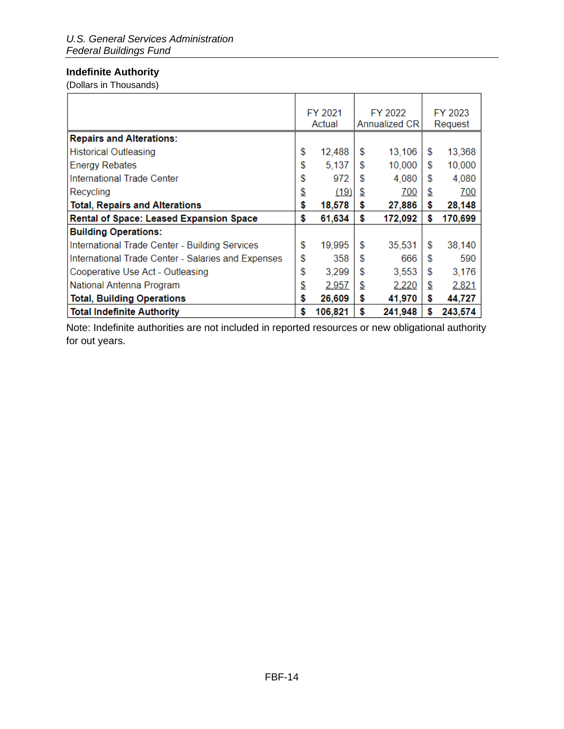# <span id="page-13-0"></span>**Indefinite Authority**

(Dollars in Thousands)

|                                                    | FY 2021       |               | FY 2022 | FY 2023 |         |
|----------------------------------------------------|---------------|---------------|---------|---------|---------|
|                                                    | Actual        | Annualized CR |         |         | Request |
| <b>Repairs and Alterations:</b>                    |               |               |         |         |         |
| <b>Historical Outleasing</b>                       | \$<br>12,488  | \$            | 13,106  | \$      | 13,368  |
| <b>Energy Rebates</b>                              | \$<br>5,137   | \$            | 10,000  | \$      | 10,000  |
| International Trade Center                         | \$<br>972     | £.            | 4,080   | S       | 4,080   |
| Recycling                                          | \$<br>(19)    | \$            | 700     | \$      | 700     |
| <b>Total, Repairs and Alterations</b>              | \$<br>18,578  | S             | 27,886  | \$      | 28,148  |
| <b>Rental of Space: Leased Expansion Space</b>     | \$<br>61,634  | \$            | 172,092 | \$      | 170,699 |
| <b>Building Operations:</b>                        |               |               |         |         |         |
| International Trade Center - Building Services     | \$<br>19,995  | \$            | 35,531  | \$      | 38,140  |
| International Trade Center - Salaries and Expenses | \$<br>358     | \$.           | 666     | \$      | 590     |
| Cooperative Use Act - Outleasing                   | \$<br>3,299   | \$            | 3,553   | \$      | 3,176   |
| National Antenna Program                           | \$<br>2,957   | \$            | 2,220   | \$      | 2,821   |
| <b>Total, Building Operations</b>                  | \$<br>26,609  | \$            | 41,970  | \$      | 44,727  |
| <b>Total Indefinite Authority</b>                  | \$<br>106,821 | \$            | 241,948 | \$      | 243,574 |

Note: Indefinite authorities are not included in reported resources or new obligational authority for out years.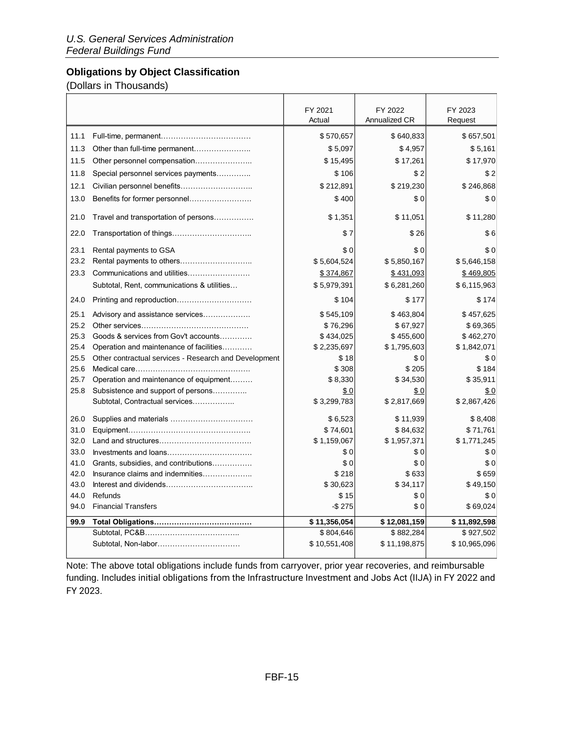# <span id="page-14-0"></span>**Obligations by Object Classification**

(Dollars in Thousands)

|      |                                                       | FY 2021<br>Actual | FY 2022<br>Annualized CR | FY 2023<br>Request |
|------|-------------------------------------------------------|-------------------|--------------------------|--------------------|
|      |                                                       |                   |                          |                    |
| 11.1 |                                                       | \$570,657         | \$640,833                | \$657,501          |
| 11.3 |                                                       | \$5,097           | \$4,957                  | \$5,161            |
| 11.5 | Other personnel compensation                          | \$15,495          | \$17,261                 | \$17,970           |
| 11.8 | Special personnel services payments                   | \$106             | \$2                      | \$2                |
| 12.1 | Civilian personnel benefits                           | \$212,891         | \$219,230                | \$246,868          |
| 13.0 |                                                       | \$400             | \$0                      | \$0                |
| 21.0 | Travel and transportation of persons                  | \$1,351           | \$11,051                 | \$11,280           |
| 22.0 |                                                       | \$7               | \$26                     | \$6                |
| 23.1 | Rental payments to GSA                                | \$0               | \$0                      | \$0                |
| 23.2 |                                                       | \$5,604,524       | \$5,850,167              | \$5,646,158        |
| 23.3 | Communications and utilities                          | \$374,867         | \$431,093                | \$469,805          |
|      | Subtotal, Rent, communications & utilities            | \$5,979,391       | \$6,281,260              | \$6,115,963        |
| 24.0 | Printing and reproduction                             | \$104             | \$177                    | \$174              |
| 25.1 | Advisory and assistance services                      | \$545,109         | \$463,804                | \$457,625          |
| 25.2 |                                                       | \$76,296          | \$67,927                 | \$69,365           |
| 25.3 | Goods & services from Gov't accounts                  | \$434,025         | \$455,600                | \$462,270          |
| 25.4 | Operation and maintenance of facilities               | \$2,235,697       | \$1,795,603              | \$1,842,071        |
| 25.5 | Other contractual services - Research and Development | \$18              | \$0                      | \$0                |
| 25.6 |                                                       | \$308             | \$205                    | \$184              |
| 25.7 | Operation and maintenance of equipment                | \$8,330           | \$34,530                 | \$35,911           |
| 25.8 | Subsistence and support of persons                    | \$0               | \$0                      | \$0                |
|      | Subtotal, Contractual services                        | \$3,299,783       | \$2,817,669              | \$2,867,426        |
| 26.0 |                                                       | \$6,523           | \$11,939                 | \$8,408            |
| 31.0 |                                                       | \$74,601          | \$84,632                 | \$71,761           |
| 32.0 |                                                       | \$1,159,067       | \$1,957,371              | \$1,771,245        |
| 33.0 |                                                       | \$0               | \$0                      | \$0                |
| 41.0 | Grants, subsidies, and contributions                  | \$0               | \$0                      | \$0                |
| 42.0 | Insurance claims and indemnities                      | \$218             | \$633                    | \$659              |
| 43.0 |                                                       | \$30,623          | \$34,117                 | \$49,150           |
| 44.0 | Refunds                                               | \$15              | \$0                      | \$0                |
| 94.0 | <b>Financial Transfers</b>                            | $-$ \$ 275        | \$0                      | \$69,024           |
| 99.9 |                                                       | \$11,356,054      | \$12,081,159             | \$11,892,598       |
|      |                                                       | \$804,646         | \$882.284                | \$927,502          |
|      | Subtotal, Non-labor                                   | \$10,551,408      | \$11,198,875             | \$10,965,096       |

Note: The above total obligations include funds from carryover, prior year recoveries, and reimbursable funding. Includes initial obligations from the Infrastructure Investment and Jobs Act (IIJA) in FY 2022 and FY 2023.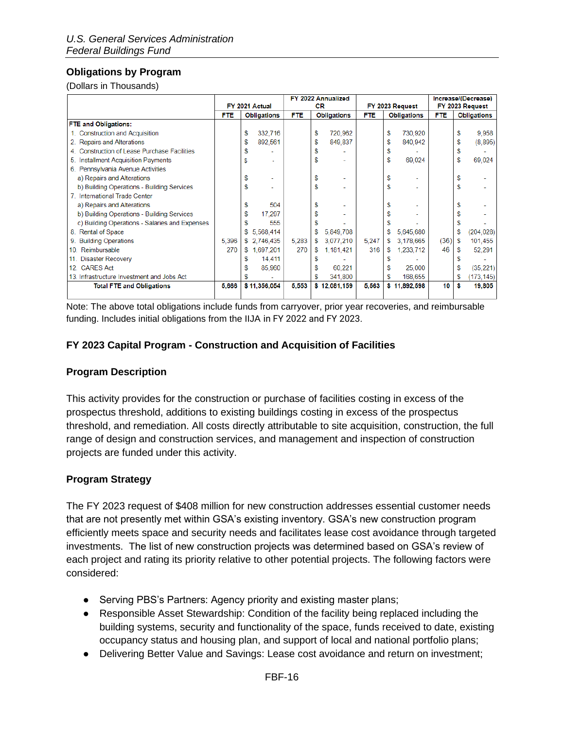# <span id="page-15-0"></span>**Obligations by Program**

(Dollars in Thousands)

|                                                | FY 2022 Annualized |     |                    |            |    | Increase/(Decrease) |            |    |                    |            |    |                    |
|------------------------------------------------|--------------------|-----|--------------------|------------|----|---------------------|------------|----|--------------------|------------|----|--------------------|
|                                                | FY 2021 Actual     |     |                    | CR         |    |                     |            |    | FY 2023 Request    |            |    | FY 2023 Request    |
|                                                | <b>FTE</b>         |     | <b>Obligations</b> | <b>FTE</b> |    | <b>Obligations</b>  | <b>FTE</b> |    | <b>Obligations</b> | <b>FTE</b> |    | <b>Obligations</b> |
| <b>FTE and Obligations:</b>                    |                    |     |                    |            |    |                     |            |    |                    |            |    |                    |
| 1. Construction and Acquisition                |                    | s   | 332,716            |            | \$ | 720,962             |            | \$ | 730,920            |            | \$ | 9,958              |
| 2. Repairs and Alterations                     |                    | S   | 892,561            |            | s  | 849,837             |            | S  | 840.942            |            | \$ | (8,895)            |
| 4. Construction of Lease Purchase Facilities   |                    |     |                    |            |    |                     |            |    |                    |            | \$ |                    |
| 5. Installment Acquisition Payments            |                    | S   |                    |            |    |                     |            | \$ | 69,024             |            | \$ | 69,024             |
| 6. Pennsylvania Avenue Activities              |                    |     |                    |            |    |                     |            |    |                    |            |    |                    |
| a) Repairs and Alterations                     |                    | \$  |                    |            |    |                     |            |    |                    |            | \$ |                    |
| b) Building Operations - Building Services     |                    | S   |                    |            | \$ |                     |            | \$ |                    |            | \$ |                    |
| 7. International Trade Center                  |                    |     |                    |            |    |                     |            |    |                    |            |    |                    |
| a) Repairs and Alterations                     |                    | S   | 504                |            |    |                     |            |    |                    |            | S  |                    |
| b) Building Operations - Building Services     |                    | S   | 17.297             |            |    |                     |            |    |                    |            | S  |                    |
| c) Building Operations - Salaries and Expenses |                    | s   | 555                |            |    |                     |            |    |                    |            |    |                    |
| 8. Rental of Space                             |                    | S   | 5,568,414          |            | \$ | 5,849,708           |            |    | 5,645,680          |            |    | (204, 028)         |
| 9. Building Operations                         | 5,396              | \$. | 2,746,435          | 5,283      | \$ | 3,077,210           | 5.247      | S  | 3.178.665          | (36)       | s  | 101,455            |
| 10. Reimbursable                               | 270                | S.  | 1,697,201          | 270        | S  | 1,181,421           | 316        | S  | 1,233,712          | 46         |    | 52,291             |
| 11. Disaster Recovery                          |                    | S   | 14,411             |            |    |                     |            |    |                    |            |    |                    |
| 12. CARES Act                                  |                    | s   | 85,960             |            |    | 60,221              |            |    | 25,000             |            | s  | (35, 221)          |
| 13. Infrastructure Investment and Jobs Act     |                    |     |                    |            |    | 341,800             |            |    | 168,655            |            |    | (173, 145)         |
| <b>Total FTE and Obligations</b>               | 5,666              |     | \$11,356,054       | 5.553      |    | \$12,081,159        | 5.563      |    | \$11,892,598       | 10         | s  | 19,805             |
|                                                |                    |     |                    |            |    |                     |            |    |                    |            |    |                    |

Note: The above total obligations include funds from carryover, prior year recoveries, and reimbursable funding. Includes initial obligations from the IIJA in FY 2022 and FY 2023.

#### <span id="page-15-1"></span>**FY 2023 Capital Program - Construction and Acquisition of Facilities**

#### <span id="page-15-2"></span>**Program Description**

This activity provides for the construction or purchase of facilities costing in excess of the prospectus threshold, additions to existing buildings costing in excess of the prospectus threshold, and remediation. All costs directly attributable to site acquisition, construction, the full range of design and construction services, and management and inspection of construction projects are funded under this activity.

#### <span id="page-15-3"></span>**Program Strategy**

The FY 2023 request of \$408 million for new construction addresses essential customer needs that are not presently met within GSA's existing inventory. GSA's new construction program efficiently meets space and security needs and facilitates lease cost avoidance through targeted investments. The list of new construction projects was determined based on GSA's review of each project and rating its priority relative to other potential projects. The following factors were considered:

- Serving PBS's Partners: Agency priority and existing master plans;
- Responsible Asset Stewardship: Condition of the facility being replaced including the building systems, security and functionality of the space, funds received to date, existing occupancy status and housing plan, and support of local and national portfolio plans;
- Delivering Better Value and Savings: Lease cost avoidance and return on investment;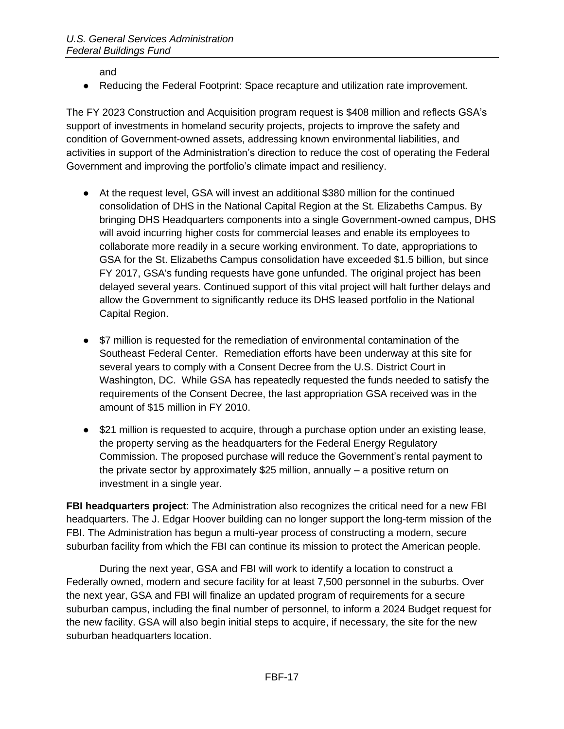and

● Reducing the Federal Footprint: Space recapture and utilization rate improvement.

The FY 2023 Construction and Acquisition program request is \$408 million and reflects GSA's support of investments in homeland security projects, projects to improve the safety and condition of Government-owned assets, addressing known environmental liabilities, and activities in support of the Administration's direction to reduce the cost of operating the Federal Government and improving the portfolio's climate impact and resiliency.

- At the request level, GSA will invest an additional \$380 million for the continued consolidation of DHS in the National Capital Region at the St. Elizabeths Campus. By bringing DHS Headquarters components into a single Government-owned campus, DHS will avoid incurring higher costs for commercial leases and enable its employees to collaborate more readily in a secure working environment. To date, appropriations to GSA for the St. Elizabeths Campus consolidation have exceeded \$1.5 billion, but since FY 2017, GSA's funding requests have gone unfunded. The original project has been delayed several years. Continued support of this vital project will halt further delays and allow the Government to significantly reduce its DHS leased portfolio in the National Capital Region.
- \$7 million is requested for the remediation of environmental contamination of the Southeast Federal Center. Remediation efforts have been underway at this site for several years to comply with a Consent Decree from the U.S. District Court in Washington, DC. While GSA has repeatedly requested the funds needed to satisfy the requirements of the Consent Decree, the last appropriation GSA received was in the amount of \$15 million in FY 2010.
- \$21 million is requested to acquire, through a purchase option under an existing lease, the property serving as the headquarters for the Federal Energy Regulatory Commission. The proposed purchase will reduce the Government's rental payment to the private sector by approximately \$25 million, annually – a positive return on investment in a single year.

**FBI headquarters project**: The Administration also recognizes the critical need for a new FBI headquarters. The J. Edgar Hoover building can no longer support the long-term mission of the FBI. The Administration has begun a multi-year process of constructing a modern, secure suburban facility from which the FBI can continue its mission to protect the American people.

During the next year, GSA and FBI will work to identify a location to construct a Federally owned, modern and secure facility for at least 7,500 personnel in the suburbs. Over the next year, GSA and FBI will finalize an updated program of requirements for a secure suburban campus, including the final number of personnel, to inform a 2024 Budget request for the new facility. GSA will also begin initial steps to acquire, if necessary, the site for the new suburban headquarters location.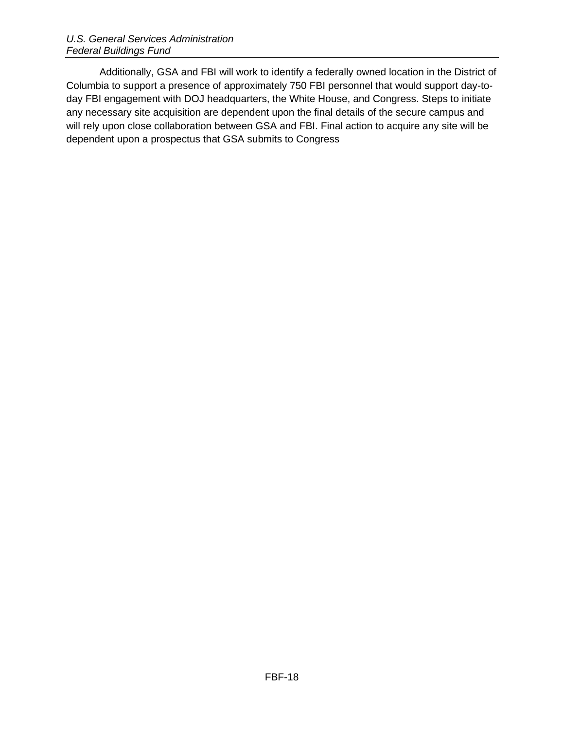Additionally, GSA and FBI will work to identify a federally owned location in the District of Columbia to support a presence of approximately 750 FBI personnel that would support day-today FBI engagement with DOJ headquarters, the White House, and Congress. Steps to initiate any necessary site acquisition are dependent upon the final details of the secure campus and will rely upon close collaboration between GSA and FBI. Final action to acquire any site will be dependent upon a prospectus that GSA submits to Congress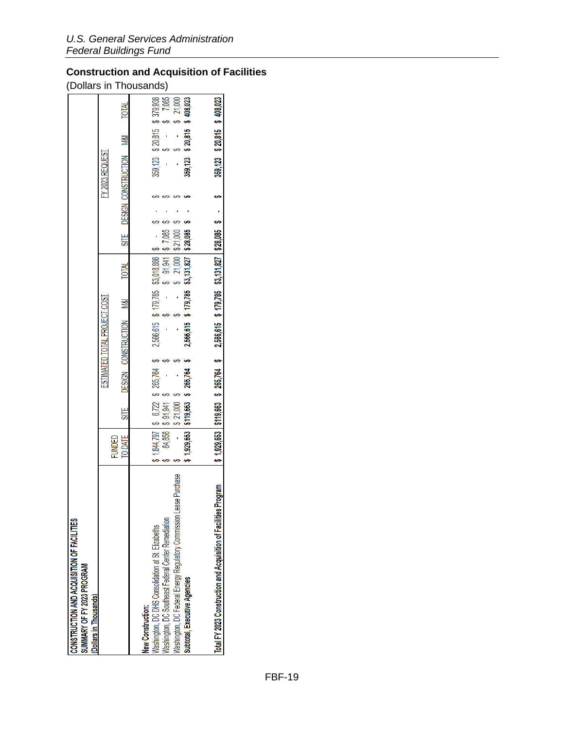# <span id="page-18-0"></span>**Construction and Acquisition of Facilities**

(Dollars in Thousands)

| CONSTRUCTION AND ACQUISITION OF FACILITIES<br>SUMMARY OF FY 2023 PROGRAM | (Dollars in Thousands) |                              |                              | Washington, DC Federal Energy Regulatory Commission Lease Purchase<br>Washington, DC Southeast Federal Center Remediation<br>Mashington, DC DHS Consolidation at St. Elizabeths<br>Subtotal, Executive Agencies<br>New Construction: | Total FY 2023 Construction and Acquisition of Facilities Program                                                   |
|--------------------------------------------------------------------------|------------------------|------------------------------|------------------------------|--------------------------------------------------------------------------------------------------------------------------------------------------------------------------------------------------------------------------------------|--------------------------------------------------------------------------------------------------------------------|
|                                                                          |                        |                              | TO DATE<br><b>FUNDED</b>     | 84,856                                                                                                                                                                                                                               |                                                                                                                    |
|                                                                          |                        |                              |                              | \$ 91,941<br>\$ 21.000                                                                                                                                                                                                               |                                                                                                                    |
|                                                                          |                        |                              |                              | $$1,929,653   $119,663$ \$ $265,764$ \$                                                                                                                                                                                              |                                                                                                                    |
|                                                                          |                        | ESTIMATED TOTAL PROJECT COST | SITE DESIGN CONSTRUCTION M&I | 2,566,615 \$ 179,785 \$3,131,827 \$ 28,085<br>$1,844,797$   \$ 6,722 \$ 265,764 \$ 2,566,615 \$ 179,785 \$3,018,886   \$ -                                                                                                           | \$1,929,653 \$119,663 \$265,764 \$2,566,615 \$179,785 \$3,131,827 \$28,085 \$ - \$ - \$ 309,123 \$20,815 \$408,023 |
|                                                                          |                        |                              |                              |                                                                                                                                                                                                                                      |                                                                                                                    |
|                                                                          |                        |                              | TOTAL                        | $91,941$ \$ 7,085<br>21,000 \$21,000                                                                                                                                                                                                 |                                                                                                                    |
|                                                                          |                        |                              |                              |                                                                                                                                                                                                                                      |                                                                                                                    |
|                                                                          |                        |                              |                              |                                                                                                                                                                                                                                      |                                                                                                                    |
|                                                                          |                        | Y 2023 REQUEST               | SITE DESIGN CONSTRUCTION M&I |                                                                                                                                                                                                                                      |                                                                                                                    |
|                                                                          |                        |                              |                              | 359,123 \$ 20,815 \$ 379,938<br>$359,123$ \$ 20,815 \$                                                                                                                                                                               |                                                                                                                    |
|                                                                          |                        |                              |                              | \$408,023<br>7,885<br>21,000                                                                                                                                                                                                         |                                                                                                                    |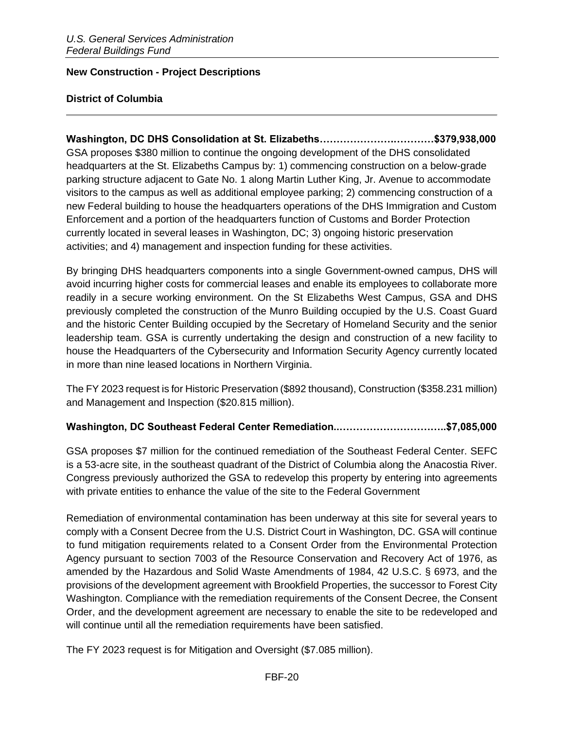#### <span id="page-19-0"></span>**New Construction - Project Descriptions**

#### **District of Columbia**

**Washington, DC DHS Consolidation at St. Elizabeths………………….…………\$379,938,000** GSA proposes \$380 million to continue the ongoing development of the DHS consolidated headquarters at the St. Elizabeths Campus by: 1) commencing construction on a below-grade parking structure adjacent to Gate No. 1 along Martin Luther King, Jr. Avenue to accommodate visitors to the campus as well as additional employee parking; 2) commencing construction of a new Federal building to house the headquarters operations of the DHS Immigration and Custom Enforcement and a portion of the headquarters function of Customs and Border Protection currently located in several leases in Washington, DC; 3) ongoing historic preservation activities; and 4) management and inspection funding for these activities.

By bringing DHS headquarters components into a single Government-owned campus, DHS will avoid incurring higher costs for commercial leases and enable its employees to collaborate more readily in a secure working environment. On the St Elizabeths West Campus, GSA and DHS previously completed the construction of the Munro Building occupied by the U.S. Coast Guard and the historic Center Building occupied by the Secretary of Homeland Security and the senior leadership team. GSA is currently undertaking the design and construction of a new facility to house the Headquarters of the Cybersecurity and Information Security Agency currently located in more than nine leased locations in Northern Virginia.

The FY 2023 request is for Historic Preservation (\$892 thousand), Construction (\$358.231 million) and Management and Inspection (\$20.815 million).

#### **Washington, DC Southeast Federal Center Remediation..…………………………..\$7,085,000**

GSA proposes \$7 million for the continued remediation of the Southeast Federal Center. SEFC is a 53-acre site, in the southeast quadrant of the District of Columbia along the Anacostia River. Congress previously authorized the GSA to redevelop this property by entering into agreements with private entities to enhance the value of the site to the Federal Government

Remediation of environmental contamination has been underway at this site for several years to comply with a Consent Decree from the U.S. District Court in Washington, DC. GSA will continue to fund mitigation requirements related to a Consent Order from the Environmental Protection Agency pursuant to section 7003 of the Resource Conservation and Recovery Act of 1976, as amended by the Hazardous and Solid Waste Amendments of 1984, 42 U.S.C. § 6973, and the provisions of the development agreement with Brookfield Properties, the successor to Forest City Washington. Compliance with the remediation requirements of the Consent Decree, the Consent Order, and the development agreement are necessary to enable the site to be redeveloped and will continue until all the remediation requirements have been satisfied.

The FY 2023 request is for Mitigation and Oversight (\$7.085 million).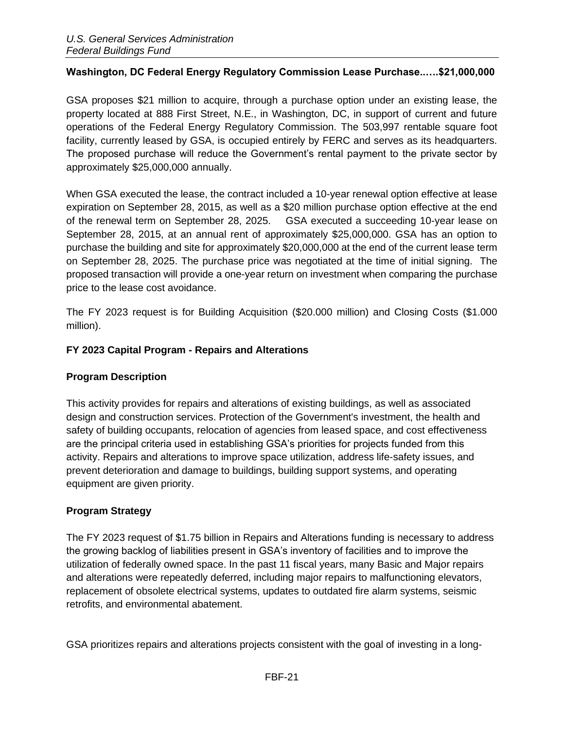### **Washington, DC Federal Energy Regulatory Commission Lease Purchase..….\$21,000,000**

GSA proposes \$21 million to acquire, through a purchase option under an existing lease, the property located at 888 First Street, N.E., in Washington, DC, in support of current and future operations of the Federal Energy Regulatory Commission. The 503,997 rentable square foot facility, currently leased by GSA, is occupied entirely by FERC and serves as its headquarters. The proposed purchase will reduce the Government's rental payment to the private sector by approximately \$25,000,000 annually.

When GSA executed the lease, the contract included a 10-year renewal option effective at lease expiration on September 28, 2015, as well as a \$20 million purchase option effective at the end of the renewal term on September 28, 2025. GSA executed a succeeding 10-year lease on September 28, 2015, at an annual rent of approximately \$25,000,000. GSA has an option to purchase the building and site for approximately \$20,000,000 at the end of the current lease term on September 28, 2025. The purchase price was negotiated at the time of initial signing. The proposed transaction will provide a one-year return on investment when comparing the purchase price to the lease cost avoidance.

The FY 2023 request is for Building Acquisition (\$20.000 million) and Closing Costs (\$1.000 million).

### <span id="page-20-0"></span>**FY 2023 Capital Program - Repairs and Alterations**

#### <span id="page-20-1"></span>**Program Description**

This activity provides for repairs and alterations of existing buildings, as well as associated design and construction services. Protection of the Government's investment, the health and safety of building occupants, relocation of agencies from leased space, and cost effectiveness are the principal criteria used in establishing GSA's priorities for projects funded from this activity. Repairs and alterations to improve space utilization, address life-safety issues, and prevent deterioration and damage to buildings, building support systems, and operating equipment are given priority.

# <span id="page-20-2"></span>**Program Strategy**

The FY 2023 request of \$1.75 billion in Repairs and Alterations funding is necessary to address the growing backlog of liabilities present in GSA's inventory of facilities and to improve the utilization of federally owned space. In the past 11 fiscal years, many Basic and Major repairs and alterations were repeatedly deferred, including major repairs to malfunctioning elevators, replacement of obsolete electrical systems, updates to outdated fire alarm systems, seismic retrofits, and environmental abatement.

GSA prioritizes repairs and alterations projects consistent with the goal of investing in a long-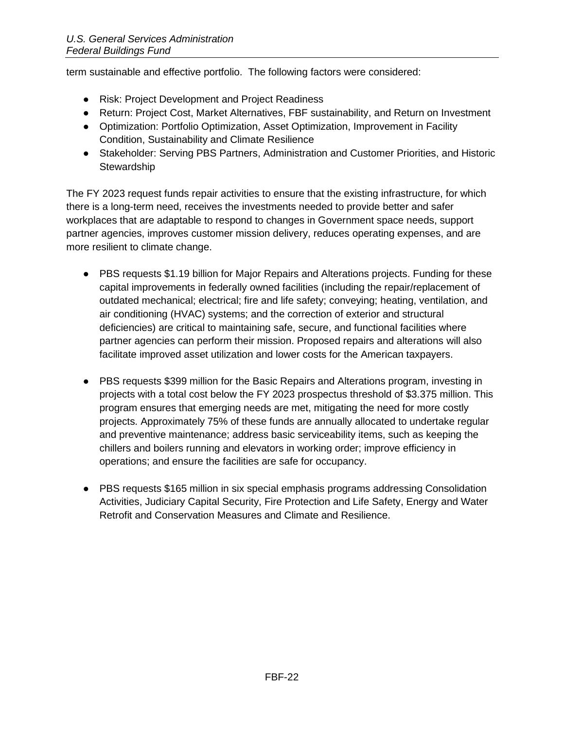term sustainable and effective portfolio. The following factors were considered:

- Risk: Project Development and Project Readiness
- Return: Project Cost, Market Alternatives, FBF sustainability, and Return on Investment
- Optimization: Portfolio Optimization, Asset Optimization, Improvement in Facility Condition, Sustainability and Climate Resilience
- Stakeholder: Serving PBS Partners, Administration and Customer Priorities, and Historic **Stewardship**

The FY 2023 request funds repair activities to ensure that the existing infrastructure, for which there is a long-term need, receives the investments needed to provide better and safer workplaces that are adaptable to respond to changes in Government space needs, support partner agencies, improves customer mission delivery, reduces operating expenses, and are more resilient to climate change.

- PBS requests \$1.19 billion for Major Repairs and Alterations projects. Funding for these capital improvements in federally owned facilities (including the repair/replacement of outdated mechanical; electrical; fire and life safety; conveying; heating, ventilation, and air conditioning (HVAC) systems; and the correction of exterior and structural deficiencies) are critical to maintaining safe, secure, and functional facilities where partner agencies can perform their mission. Proposed repairs and alterations will also facilitate improved asset utilization and lower costs for the American taxpayers.
- PBS requests \$399 million for the Basic Repairs and Alterations program, investing in projects with a total cost below the FY 2023 prospectus threshold of \$3.375 million. This program ensures that emerging needs are met, mitigating the need for more costly projects. Approximately 75% of these funds are annually allocated to undertake regular and preventive maintenance; address basic serviceability items, such as keeping the chillers and boilers running and elevators in working order; improve efficiency in operations; and ensure the facilities are safe for occupancy.
- PBS requests \$165 million in six special emphasis programs addressing Consolidation Activities, Judiciary Capital Security, Fire Protection and Life Safety, Energy and Water Retrofit and Conservation Measures and Climate and Resilience.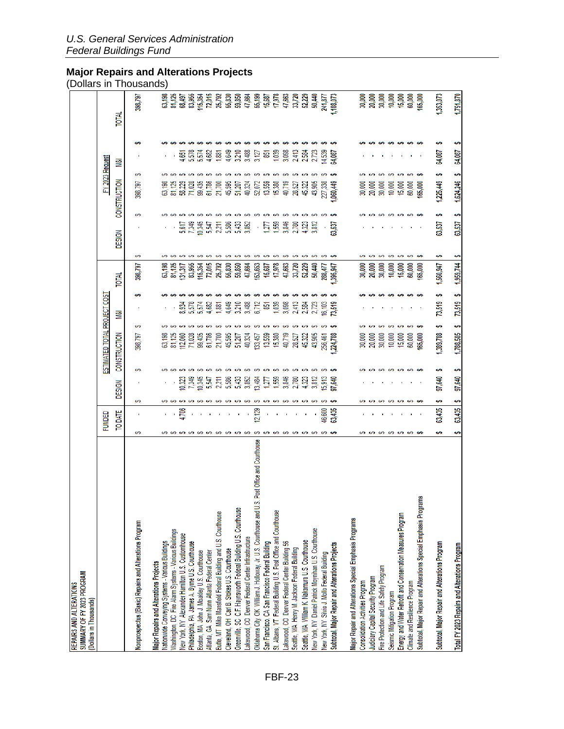#### <span id="page-22-0"></span>**Major Repairs and Alterations Projects**

(Dollars in Thousands)

| SUMMARY OF FY 2023 PROGRAM<br>REPAIRS AND ALTERATIONS<br>(Dollars in Thousands)                |               |                |                             |                                                       |                                                                                                           |                                           |                                                                                                   |       |        |                                         |                                                          |        |       | DOIIAIS III THOUSANUS                                                                         |
|------------------------------------------------------------------------------------------------|---------------|----------------|-----------------------------|-------------------------------------------------------|-----------------------------------------------------------------------------------------------------------|-------------------------------------------|---------------------------------------------------------------------------------------------------|-------|--------|-----------------------------------------|----------------------------------------------------------|--------|-------|-----------------------------------------------------------------------------------------------|
|                                                                                                | <b>FUNDED</b> |                |                             |                                                       | ESTIMATED TOTAL PROJECT COS                                                                               |                                           |                                                                                                   |       |        |                                         | FY 2023 Reques                                           |        |       |                                                                                               |
|                                                                                                |               | <b>TO DATE</b> | DESIGN                      |                                                       | CONSTRUCTION                                                                                              | Š                                         | <b>N101</b>                                                                                       |       | DESIGN |                                         | CONSTRUCTION                                             | ≝      | TOTAL |                                                                                               |
| Nonprospectus (Basic) Repairs and Alterations Program                                          |               |                | မာ                          | ക                                                     | မာ<br>398,797                                                                                             |                                           | 398,797                                                                                           | 69    |        | မာ                                      | မာ<br>398,797                                            |        |       | 398,797                                                                                       |
| <b>Major Repairs and Alterations Projects</b>                                                  |               |                |                             |                                                       |                                                                                                           |                                           |                                                                                                   |       |        |                                         |                                                          |        |       |                                                                                               |
| Nationwide Conveying Systems - Various Buildings                                               |               |                |                             |                                                       |                                                                                                           |                                           |                                                                                                   |       |        |                                         | 63,190                                                   |        |       |                                                                                               |
| Washington, DC Fire Alarm Systems - Various Buildings                                          |               |                |                             |                                                       |                                                                                                           |                                           |                                                                                                   |       |        |                                         |                                                          |        |       |                                                                                               |
| New York, NY Alexander Hamilton U.S. Customhouse                                               |               |                |                             | 10,323<br>7,349                                       |                                                                                                           |                                           |                                                                                                   |       |        | 5,617                                   |                                                          |        |       |                                                                                               |
| Philadelphia, PA James A. Byrne U.S. Courthouse<br>Boston, MA John J. Moakley U.S. Courthouse  |               |                | .                           | 69.69                                                 | ដូ <u>នទីផ្លូងន</u> ្លូម នូងម៉ូនូង<br>ត្បូងន្លូងន្លែ ន្លូង ម៉ូនូង ម៉ូនូង<br>ដូងន្លូងន្លូ ទី ម៉ូនូង ម៉ូនូង | <b>922482</b><br>922488                   | ត្ត<br>ត្ត ដូម ម៉ូ ម៉ូ ម៉ូ ម៉ូ ម៉ូ ម៉ូ ម៉ូ ម៉ូ ម៉ូ<br>ស្គូ ម៉ូ ម៉ូ ដូ ម៉ូ ម៉ូ ម៉ូ ម៉ូ ម៉ូ ម៉ូ ម៉ូ |       |        | <b>69 69 69 69</b><br>7,349             | ដែននិងមន្ត្រី ខ្លួន ដែលមាន ដែ<br>ត្រូវ ដែលមាន ដែលមាន ដែល |        |       | ត្ត<br>ស្តី ក្នុង មិន មិន មិន មិន មិន មិន មិន មិន<br>ស្តី មិន មិន មិន មិន មិន មិន មិន មិន មិន |
| Atlanta, GA Sam Nunn Atlanta Federal Center                                                    |               |                |                             | <b>SO</b>                                             |                                                                                                           |                                           |                                                                                                   |       |        |                                         |                                                          |        |       |                                                                                               |
| Butte, MT Mike Mansfield Federal Building and U.S. Courthouse                                  |               |                |                             | ទី អ្នក ខ្លួន និង ទី ប្រទេ<br>មិក ប្រទេស និង ទី ប្រទេ |                                                                                                           |                                           |                                                                                                   |       |        | 3355838 - 12836832<br>2355838 - 1283683 |                                                          |        |       |                                                                                               |
| Cleveland, OH Carl B. Stokes U.S. Courthouse                                                   |               |                |                             |                                                       |                                                                                                           | 4,649                                     |                                                                                                   |       |        | မာ                                      |                                                          |        |       |                                                                                               |
| Greenville, SC C.F. Haynsworth Federal Building U.S. Courthouse                                |               |                |                             |                                                       |                                                                                                           |                                           |                                                                                                   |       |        | မာ                                      |                                                          |        |       |                                                                                               |
| Lakewood, CO Denver Federal Center Infrastructure                                              |               |                | မောမော                      | <b>SP</b>                                             |                                                                                                           | <u>ភ្នំ និង</u><br>ដូច្នេះ ខេត្ត<br>ក្នុង |                                                                                                   |       |        | <b>SO</b>                               |                                                          |        |       |                                                                                               |
| Oklahoma City, OK William J. Holloway, Jr. U.S. Courthouse and U.S. Post Office and Courthouse |               | 2,12           |                             | e9                                                    |                                                                                                           |                                           | 153,653                                                                                           |       |        | မာ                                      |                                                          |        |       |                                                                                               |
| San Francisco, CA San Francisco Federal Building                                               |               |                |                             | <b>SA</b>                                             |                                                                                                           |                                           |                                                                                                   |       |        |                                         |                                                          |        |       |                                                                                               |
| St. Albans, VT Federal Building U.S. Post Office and Courthouse                                |               |                | <b>69 69 69 69 69 69 69</b> | မောမော                                                |                                                                                                           |                                           | $\begin{array}{c} 15,687 \\ 17,978 \\ 47,663 \end{array}$                                         | 69.69 |        | <b>09 09 09 09</b>                      |                                                          |        |       |                                                                                               |
| Lakewood, CO Denver Federal Center Building 56                                                 |               |                |                             | $3,846$<br>$2,780$                                    | 40,719                                                                                                    | 3,098                                     |                                                                                                   |       |        |                                         |                                                          |        |       |                                                                                               |
| Seattle, WA Henry M. Jackson Federal Building                                                  |               |                |                             | e.                                                    | 28,527                                                                                                    |                                           | 33,720                                                                                            | e9.   |        |                                         | 28,527                                                   |        |       |                                                                                               |
| Seattle, WA William K. Nakamura U.S. Courthouse                                                |               |                |                             | s9                                                    | 45,322                                                                                                    |                                           | 52,229                                                                                            | e.    |        |                                         | 45,322                                                   |        |       |                                                                                               |
| New York, NY Daniel Patrick Moynihan U.S. Courthouse                                           |               |                |                             | 432                                                   | 43,905                                                                                                    | ជុះ និង ជូន ដូច<br>ដូច ដូច ដូច            | 50,440                                                                                            |       |        |                                         | 43,905                                                   |        |       | 50,440                                                                                        |
| New York, NY Silvio J. Mollo Federal Building                                                  |               | 46,600         |                             | is,                                                   | 256,461                                                                                                   |                                           | 288,477                                                                                           |       |        |                                         | 227,338                                                  |        |       | 241,877                                                                                       |
| Subtotal, Major Repair and Alterations Projects                                                |               | 63,435         |                             | 97,640                                                | 224,788                                                                                                   |                                           | 395,947                                                                                           |       | 13,537 |                                         | ,060,449                                                 |        |       | ,188,073                                                                                      |
| Major Repair and Alterations Special Emphasis Programs                                         |               |                |                             |                                                       |                                                                                                           |                                           |                                                                                                   |       |        |                                         |                                                          |        |       |                                                                                               |
| <b>Consolidation Activities Program</b>                                                        |               |                |                             |                                                       | 30,000                                                                                                    |                                           |                                                                                                   |       |        |                                         | 30,000                                                   |        |       |                                                                                               |
| Judiciary Capital Security Program                                                             |               |                |                             |                                                       | 20,000<br>30,000                                                                                          |                                           |                                                                                                   |       |        |                                         | 20,000<br>30,000                                         |        |       |                                                                                               |
| Fire Protection and Life Safety Program                                                        |               |                |                             |                                                       |                                                                                                           |                                           | ತ್ಸಿ ತ್ಸಿ ತ್ಸ<br>ನಿ ನಿ ನಿ                                                                         | မာမာ  |        | မော                                     |                                                          |        |       |                                                                                               |
| Seismic Mitigation Program                                                                     |               |                |                             |                                                       | 10,000                                                                                                    |                                           | 10,000                                                                                            | S     |        | မော                                     | 10,000                                                   |        |       |                                                                                               |
| Energy and Water Retrofit and Conservation Measures Program                                    |               |                | .                           |                                                       | 15,000                                                                                                    |                                           | $15,000$<br>60,000<br>165,000                                                                     | e.    |        | မာ                                      | 15,000                                                   |        |       |                                                                                               |
| Climate and Resilience Program                                                                 |               |                |                             |                                                       | 60,000                                                                                                    |                                           |                                                                                                   | e9.   |        |                                         | 60,000                                                   |        |       |                                                                                               |
| Subtotal, Major Repair and Alterations Special Emphasis Programs                               |               |                |                             |                                                       | 165,000                                                                                                   |                                           |                                                                                                   |       |        |                                         | 165,000                                                  |        |       |                                                                                               |
| Subtotal, Major Repair and Alterations Program                                                 |               | 63,435         | ÷                           | e,<br>97,640                                          | ÷<br>1,389,788                                                                                            | 73,519                                    | 1,560,947<br>ç,                                                                                   |       | 63,537 | S                                       | ÷<br>1,225,449                                           | 64,087 |       | ,353,073                                                                                      |
| Total FY 2023 Repairs and Alterations Program                                                  | s             | 63,435         | ÷                           | 97,640                                                | s,<br>1,788,585                                                                                           | 73,519                                    | 1,959,744<br>S                                                                                    |       | 63,537 | S                                       | S<br>1,624,246                                           | 64,087 |       | 1,751,870                                                                                     |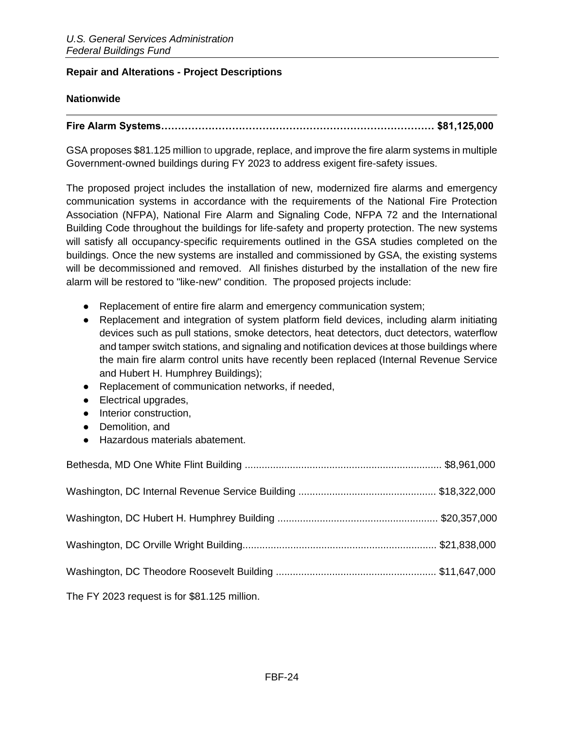#### <span id="page-23-0"></span>**Repair and Alterations - Project Descriptions**

### **Nationwide**

# **Fire Alarm Systems……………………………………………………………………… \$81,125,000**

GSA proposes \$81.125 million to upgrade, replace, and improve the fire alarm systems in multiple Government-owned buildings during FY 2023 to address exigent fire-safety issues.

The proposed project includes the installation of new, modernized fire alarms and emergency communication systems in accordance with the requirements of the National Fire Protection Association (NFPA), National Fire Alarm and Signaling Code, NFPA 72 and the International Building Code throughout the buildings for life-safety and property protection. The new systems will satisfy all occupancy-specific requirements outlined in the GSA studies completed on the buildings. Once the new systems are installed and commissioned by GSA, the existing systems will be decommissioned and removed. All finishes disturbed by the installation of the new fire alarm will be restored to "like-new" condition. The proposed projects include:

- Replacement of entire fire alarm and emergency communication system;
- Replacement and integration of system platform field devices, including alarm initiating devices such as pull stations, smoke detectors, heat detectors, duct detectors, waterflow and tamper switch stations, and signaling and notification devices at those buildings where the main fire alarm control units have recently been replaced (Internal Revenue Service and Hubert H. Humphrey Buildings);
- Replacement of communication networks, if needed,
- Electrical upgrades,
- Interior construction,
- Demolition, and
- Hazardous materials abatement.

The FY 2023 request is for \$81.125 million.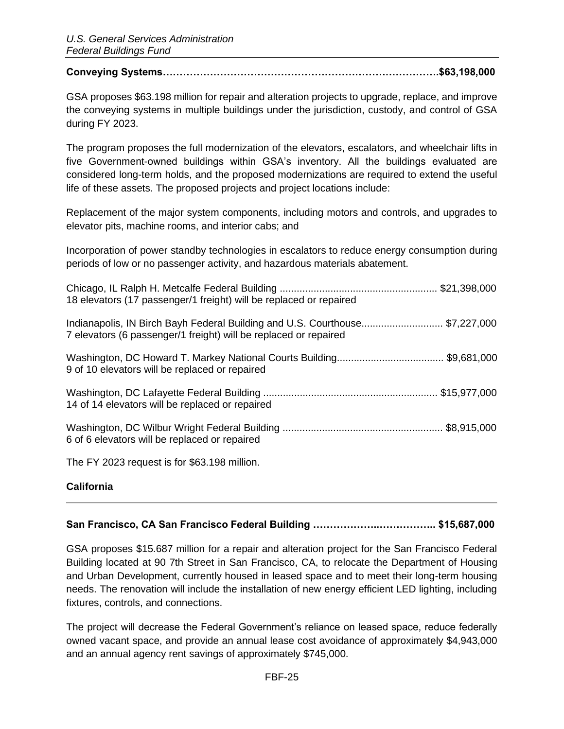#### **Conveying Systems……………………………………………………………………….\$63,198,000**

GSA proposes \$63.198 million for repair and alteration projects to upgrade, replace, and improve the conveying systems in multiple buildings under the jurisdiction, custody, and control of GSA during FY 2023.

The program proposes the full modernization of the elevators, escalators, and wheelchair lifts in five Government-owned buildings within GSA's inventory. All the buildings evaluated are considered long-term holds, and the proposed modernizations are required to extend the useful life of these assets. The proposed projects and project locations include:

Replacement of the major system components, including motors and controls, and upgrades to elevator pits, machine rooms, and interior cabs; and

Incorporation of power standby technologies in escalators to reduce energy consumption during periods of low or no passenger activity, and hazardous materials abatement.

| 18 elevators (17 passenger/1 freight) will be replaced or repaired                                                                              |  |
|-------------------------------------------------------------------------------------------------------------------------------------------------|--|
| Indianapolis, IN Birch Bayh Federal Building and U.S. Courthouse\$7,227,000<br>7 elevators (6 passenger/1 freight) will be replaced or repaired |  |
| 9 of 10 elevators will be replaced or repaired                                                                                                  |  |
| 14 of 14 elevators will be replaced or repaired                                                                                                 |  |
| 6 of 6 elevators will be replaced or repaired                                                                                                   |  |
| The FY 2023 request is for \$63.198 million.                                                                                                    |  |

#### **California**

# **San Francisco, CA San Francisco Federal Building ………………..…………….. \$15,687,000**

GSA proposes \$15.687 million for a repair and alteration project for the San Francisco Federal Building located at 90 7th Street in San Francisco, CA, to relocate the Department of Housing and Urban Development, currently housed in leased space and to meet their long-term housing needs. The renovation will include the installation of new energy efficient LED lighting, including fixtures, controls, and connections.

The project will decrease the Federal Government's reliance on leased space, reduce federally owned vacant space, and provide an annual lease cost avoidance of approximately \$4,943,000 and an annual agency rent savings of approximately \$745,000.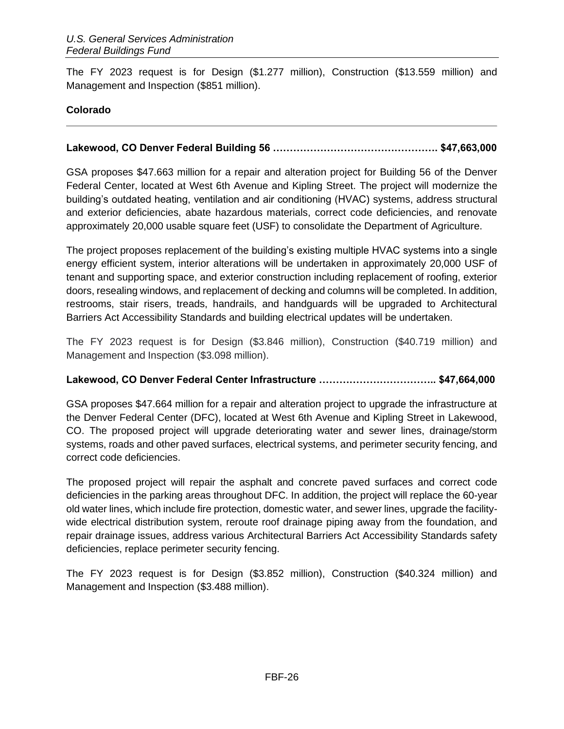The FY 2023 request is for Design (\$1.277 million), Construction (\$13.559 million) and Management and Inspection (\$851 million).

# **Colorado**

# **Lakewood, CO Denver Federal Building 56 …………………………………………. \$47,663,000**

GSA proposes \$47.663 million for a repair and alteration project for Building 56 of the Denver Federal Center, located at West 6th Avenue and Kipling Street. The project will modernize the building's outdated heating, ventilation and air conditioning (HVAC) systems, address structural and exterior deficiencies, abate hazardous materials, correct code deficiencies, and renovate approximately 20,000 usable square feet (USF) to consolidate the Department of Agriculture.

The project proposes replacement of the building's existing multiple HVAC systems into a single energy efficient system, interior alterations will be undertaken in approximately 20,000 USF of tenant and supporting space, and exterior construction including replacement of roofing, exterior doors, resealing windows, and replacement of decking and columns will be completed. In addition, restrooms, stair risers, treads, handrails, and handguards will be upgraded to Architectural Barriers Act Accessibility Standards and building electrical updates will be undertaken.

The FY 2023 request is for Design (\$3.846 million), Construction (\$40.719 million) and Management and Inspection (\$3.098 million).

# **Lakewood, CO Denver Federal Center Infrastructure …………………………….. \$47,664,000**

GSA proposes \$47.664 million for a repair and alteration project to upgrade the infrastructure at the Denver Federal Center (DFC), located at West 6th Avenue and Kipling Street in Lakewood, CO. The proposed project will upgrade deteriorating water and sewer lines, drainage/storm systems, roads and other paved surfaces, electrical systems, and perimeter security fencing, and correct code deficiencies.

The proposed project will repair the asphalt and concrete paved surfaces and correct code deficiencies in the parking areas throughout DFC. In addition, the project will replace the 60-year old water lines, which include fire protection, domestic water, and sewer lines, upgrade the facilitywide electrical distribution system, reroute roof drainage piping away from the foundation, and repair drainage issues, address various Architectural Barriers Act Accessibility Standards safety deficiencies, replace perimeter security fencing.

The FY 2023 request is for Design (\$3.852 million), Construction (\$40.324 million) and Management and Inspection (\$3.488 million).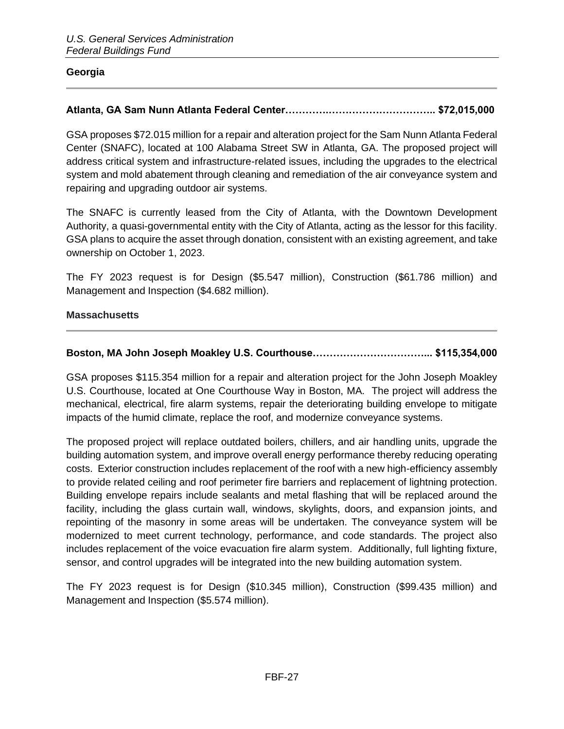#### **Georgia**

# **Atlanta, GA Sam Nunn Atlanta Federal Center………….………………………….. \$72,015,000**

GSA proposes \$72.015 million for a repair and alteration project for the Sam Nunn Atlanta Federal Center (SNAFC), located at 100 Alabama Street SW in Atlanta, GA. The proposed project will address critical system and infrastructure-related issues, including the upgrades to the electrical system and mold abatement through cleaning and remediation of the air conveyance system and repairing and upgrading outdoor air systems.

The SNAFC is currently leased from the City of Atlanta, with the Downtown Development Authority, a quasi-governmental entity with the City of Atlanta, acting as the lessor for this facility. GSA plans to acquire the asset through donation, consistent with an existing agreement, and take ownership on October 1, 2023.

The FY 2023 request is for Design (\$5.547 million), Construction (\$61.786 million) and Management and Inspection (\$4.682 million).

#### **Massachusetts**

### **Boston, MA John Joseph Moakley U.S. Courthouse……………………………... \$115,354,000**

GSA proposes \$115.354 million for a repair and alteration project for the John Joseph Moakley U.S. Courthouse, located at One Courthouse Way in Boston, MA. The project will address the mechanical, electrical, fire alarm systems, repair the deteriorating building envelope to mitigate impacts of the humid climate, replace the roof, and modernize conveyance systems.

The proposed project will replace outdated boilers, chillers, and air handling units, upgrade the building automation system, and improve overall energy performance thereby reducing operating costs. Exterior construction includes replacement of the roof with a new high-efficiency assembly to provide related ceiling and roof perimeter fire barriers and replacement of lightning protection. Building envelope repairs include sealants and metal flashing that will be replaced around the facility, including the glass curtain wall, windows, skylights, doors, and expansion joints, and repointing of the masonry in some areas will be undertaken. The conveyance system will be modernized to meet current technology, performance, and code standards. The project also includes replacement of the voice evacuation fire alarm system. Additionally, full lighting fixture, sensor, and control upgrades will be integrated into the new building automation system.

The FY 2023 request is for Design (\$10.345 million), Construction (\$99.435 million) and Management and Inspection (\$5.574 million).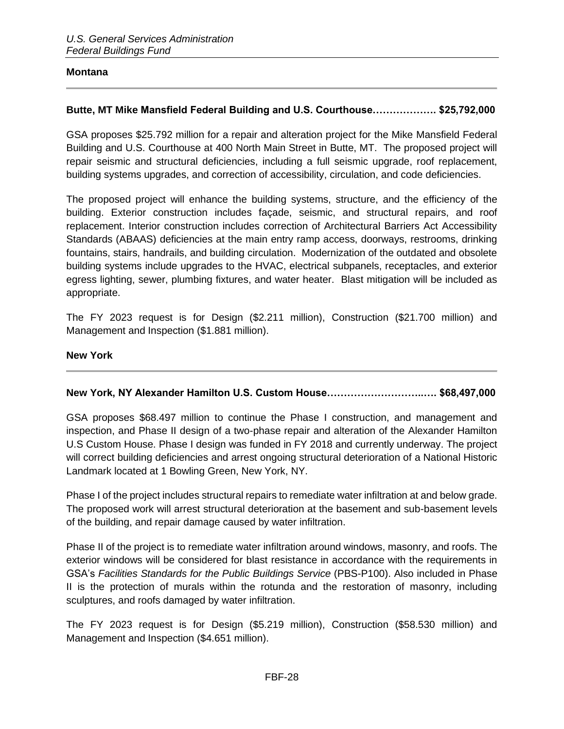#### **Montana**

#### **Butte, MT Mike Mansfield Federal Building and U.S. Courthouse………………. \$25,792,000**

GSA proposes \$25.792 million for a repair and alteration project for the Mike Mansfield Federal Building and U.S. Courthouse at 400 North Main Street in Butte, MT. The proposed project will repair seismic and structural deficiencies, including a full seismic upgrade, roof replacement, building systems upgrades, and correction of accessibility, circulation, and code deficiencies.

The proposed project will enhance the building systems, structure, and the efficiency of the building. Exterior construction includes façade, seismic, and structural repairs, and roof replacement. Interior construction includes correction of Architectural Barriers Act Accessibility Standards (ABAAS) deficiencies at the main entry ramp access, doorways, restrooms, drinking fountains, stairs, handrails, and building circulation. Modernization of the outdated and obsolete building systems include upgrades to the HVAC, electrical subpanels, receptacles, and exterior egress lighting, sewer, plumbing fixtures, and water heater. Blast mitigation will be included as appropriate.

The FY 2023 request is for Design (\$2.211 million), Construction (\$21.700 million) and Management and Inspection (\$1.881 million).

#### **New York**

#### **New York, NY Alexander Hamilton U.S. Custom House………………………..…. \$68,497,000**

GSA proposes \$68.497 million to continue the Phase I construction, and management and inspection, and Phase II design of a two-phase repair and alteration of the Alexander Hamilton U.S Custom House. Phase I design was funded in FY 2018 and currently underway. The project will correct building deficiencies and arrest ongoing structural deterioration of a National Historic Landmark located at 1 Bowling Green, New York, NY.

Phase I of the project includes structural repairs to remediate water infiltration at and below grade. The proposed work will arrest structural deterioration at the basement and sub-basement levels of the building, and repair damage caused by water infiltration.

Phase II of the project is to remediate water infiltration around windows, masonry, and roofs. The exterior windows will be considered for blast resistance in accordance with the requirements in GSA's *Facilities Standards for the Public Buildings Service* (PBS-P100). Also included in Phase II is the protection of murals within the rotunda and the restoration of masonry, including sculptures, and roofs damaged by water infiltration.

The FY 2023 request is for Design (\$5.219 million), Construction (\$58.530 million) and Management and Inspection (\$4.651 million).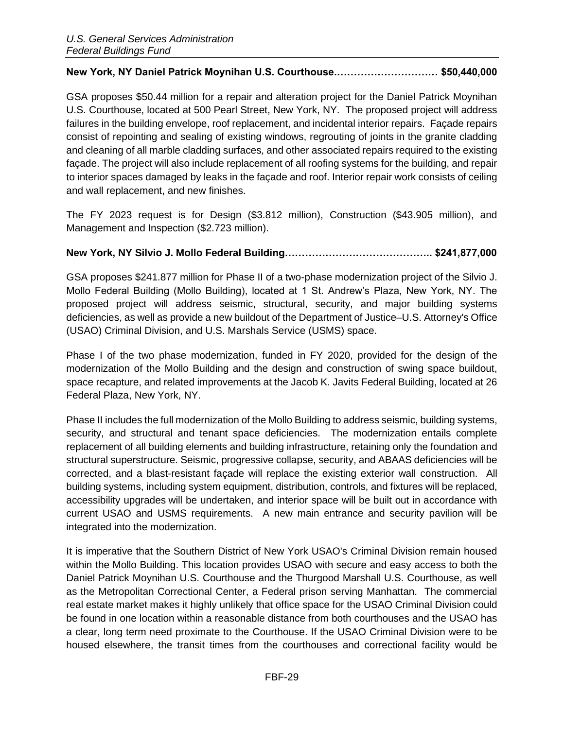### **New York, NY Daniel Patrick Moynihan U.S. Courthouse.………………………… \$50,440,000**

GSA proposes \$50.44 million for a repair and alteration project for the Daniel Patrick Moynihan U.S. Courthouse, located at 500 Pearl Street, New York, NY. The proposed project will address failures in the building envelope, roof replacement, and incidental interior repairs. Façade repairs consist of repointing and sealing of existing windows, regrouting of joints in the granite cladding and cleaning of all marble cladding surfaces, and other associated repairs required to the existing façade. The project will also include replacement of all roofing systems for the building, and repair to interior spaces damaged by leaks in the façade and roof. Interior repair work consists of ceiling and wall replacement, and new finishes.

The FY 2023 request is for Design (\$3.812 million), Construction (\$43.905 million), and Management and Inspection (\$2.723 million).

# **New York, NY Silvio J. Mollo Federal Building…………………………………….. \$241,877,000**

GSA proposes \$241.877 million for Phase II of a two-phase modernization project of the Silvio J. Mollo Federal Building (Mollo Building), located at 1 St. Andrew's Plaza, New York, NY. The proposed project will address seismic, structural, security, and major building systems deficiencies, as well as provide a new buildout of the Department of Justice–U.S. Attorney's Office (USAO) Criminal Division, and U.S. Marshals Service (USMS) space.

Phase I of the two phase modernization, funded in FY 2020, provided for the design of the modernization of the Mollo Building and the design and construction of swing space buildout, space recapture, and related improvements at the Jacob K. Javits Federal Building, located at 26 Federal Plaza, New York, NY.

Phase II includes the full modernization of the Mollo Building to address seismic, building systems, security, and structural and tenant space deficiencies. The modernization entails complete replacement of all building elements and building infrastructure, retaining only the foundation and structural superstructure. Seismic, progressive collapse, security, and ABAAS deficiencies will be corrected, and a blast-resistant façade will replace the existing exterior wall construction. All building systems, including system equipment, distribution, controls, and fixtures will be replaced, accessibility upgrades will be undertaken, and interior space will be built out in accordance with current USAO and USMS requirements. A new main entrance and security pavilion will be integrated into the modernization.

It is imperative that the Southern District of New York USAO's Criminal Division remain housed within the Mollo Building. This location provides USAO with secure and easy access to both the Daniel Patrick Moynihan U.S. Courthouse and the Thurgood Marshall U.S. Courthouse, as well as the Metropolitan Correctional Center, a Federal prison serving Manhattan. The commercial real estate market makes it highly unlikely that office space for the USAO Criminal Division could be found in one location within a reasonable distance from both courthouses and the USAO has a clear, long term need proximate to the Courthouse. If the USAO Criminal Division were to be housed elsewhere, the transit times from the courthouses and correctional facility would be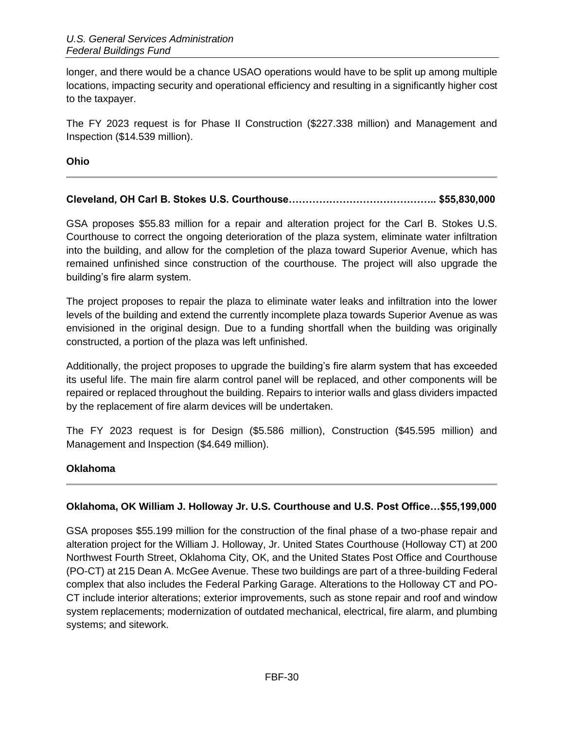longer, and there would be a chance USAO operations would have to be split up among multiple locations, impacting security and operational efficiency and resulting in a significantly higher cost to the taxpayer.

The FY 2023 request is for Phase II Construction (\$227.338 million) and Management and Inspection (\$14.539 million).

**Ohio**

# **Cleveland, OH Carl B. Stokes U.S. Courthouse…………………………………….. \$55,830,000**

GSA proposes \$55.83 million for a repair and alteration project for the Carl B. Stokes U.S. Courthouse to correct the ongoing deterioration of the plaza system, eliminate water infiltration into the building, and allow for the completion of the plaza toward Superior Avenue, which has remained unfinished since construction of the courthouse. The project will also upgrade the building's fire alarm system.

The project proposes to repair the plaza to eliminate water leaks and infiltration into the lower levels of the building and extend the currently incomplete plaza towards Superior Avenue as was envisioned in the original design. Due to a funding shortfall when the building was originally constructed, a portion of the plaza was left unfinished.

Additionally, the project proposes to upgrade the building's fire alarm system that has exceeded its useful life. The main fire alarm control panel will be replaced, and other components will be repaired or replaced throughout the building. Repairs to interior walls and glass dividers impacted by the replacement of fire alarm devices will be undertaken.

The FY 2023 request is for Design (\$5.586 million), Construction (\$45.595 million) and Management and Inspection (\$4.649 million).

# **Oklahoma**

# **Oklahoma, OK William J. Holloway Jr. U.S. Courthouse and U.S. Post Office…\$55,199,000**

GSA proposes \$55.199 million for the construction of the final phase of a two-phase repair and alteration project for the William J. Holloway, Jr. United States Courthouse (Holloway CT) at 200 Northwest Fourth Street, Oklahoma City, OK, and the United States Post Office and Courthouse (PO-CT) at 215 Dean A. McGee Avenue. These two buildings are part of a three-building Federal complex that also includes the Federal Parking Garage. Alterations to the Holloway CT and PO-CT include interior alterations; exterior improvements, such as stone repair and roof and window system replacements; modernization of outdated mechanical, electrical, fire alarm, and plumbing systems; and sitework.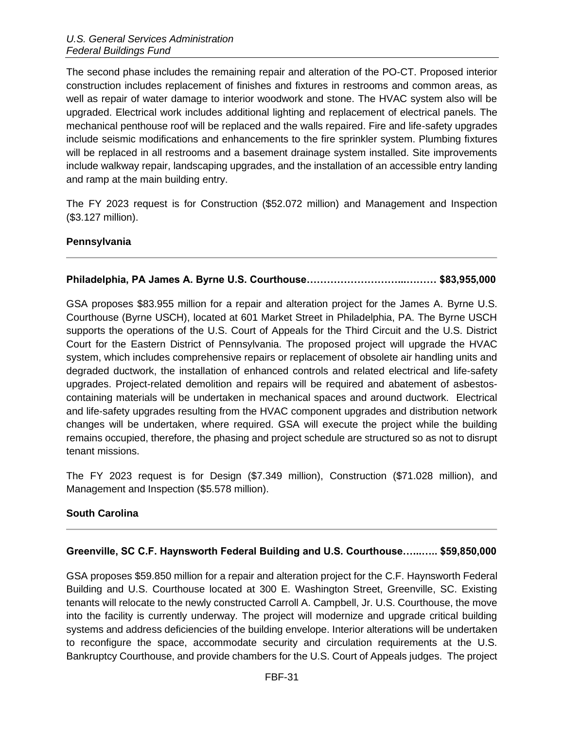The second phase includes the remaining repair and alteration of the PO-CT. Proposed interior construction includes replacement of finishes and fixtures in restrooms and common areas, as well as repair of water damage to interior woodwork and stone. The HVAC system also will be upgraded. Electrical work includes additional lighting and replacement of electrical panels. The mechanical penthouse roof will be replaced and the walls repaired. Fire and life-safety upgrades include seismic modifications and enhancements to the fire sprinkler system. Plumbing fixtures will be replaced in all restrooms and a basement drainage system installed. Site improvements include walkway repair, landscaping upgrades, and the installation of an accessible entry landing and ramp at the main building entry.

The FY 2023 request is for Construction (\$52.072 million) and Management and Inspection (\$3.127 million).

#### **Pennsylvania**

### **Philadelphia, PA James A. Byrne U.S. Courthouse………………………...……… \$83,955,000**

GSA proposes \$83.955 million for a repair and alteration project for the James A. Byrne U.S. Courthouse (Byrne USCH), located at 601 Market Street in Philadelphia, PA. The Byrne USCH supports the operations of the U.S. Court of Appeals for the Third Circuit and the U.S. District Court for the Eastern District of Pennsylvania. The proposed project will upgrade the HVAC system, which includes comprehensive repairs or replacement of obsolete air handling units and degraded ductwork, the installation of enhanced controls and related electrical and life-safety upgrades. Project-related demolition and repairs will be required and abatement of asbestoscontaining materials will be undertaken in mechanical spaces and around ductwork. Electrical and life-safety upgrades resulting from the HVAC component upgrades and distribution network changes will be undertaken, where required. GSA will execute the project while the building remains occupied, therefore, the phasing and project schedule are structured so as not to disrupt tenant missions.

The FY 2023 request is for Design (\$7.349 million), Construction (\$71.028 million), and Management and Inspection (\$5.578 million).

#### **South Carolina**

#### **Greenville, SC C.F. Haynsworth Federal Building and U.S. Courthouse…...….. \$59,850,000**

GSA proposes \$59.850 million for a repair and alteration project for the C.F. Haynsworth Federal Building and U.S. Courthouse located at 300 E. Washington Street, Greenville, SC. Existing tenants will relocate to the newly constructed Carroll A. Campbell, Jr. U.S. Courthouse, the move into the facility is currently underway. The project will modernize and upgrade critical building systems and address deficiencies of the building envelope. Interior alterations will be undertaken to reconfigure the space, accommodate security and circulation requirements at the U.S. Bankruptcy Courthouse, and provide chambers for the U.S. Court of Appeals judges. The project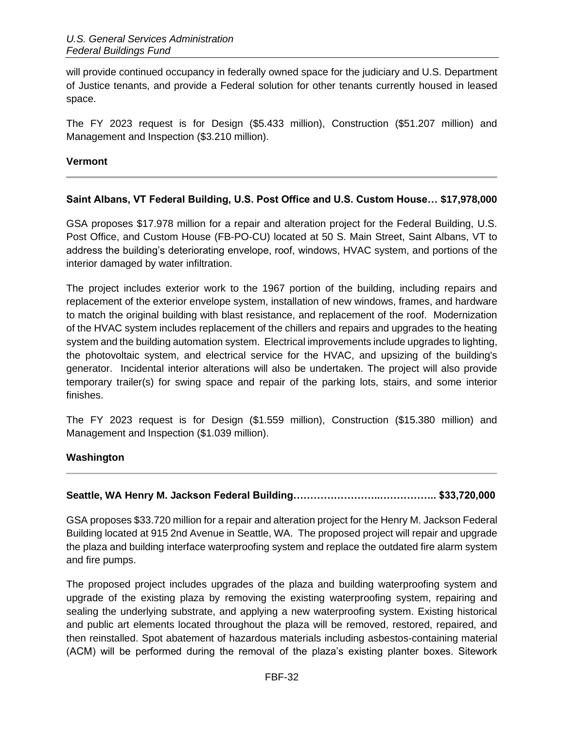will provide continued occupancy in federally owned space for the judiciary and U.S. Department of Justice tenants, and provide a Federal solution for other tenants currently housed in leased space.

The FY 2023 request is for Design (\$5.433 million), Construction (\$51.207 million) and Management and Inspection (\$3.210 million).

#### **Vermont**

### **Saint Albans, VT Federal Building, U.S. Post Office and U.S. Custom House… \$17,978,000**

GSA proposes \$17.978 million for a repair and alteration project for the Federal Building, U.S. Post Office, and Custom House (FB-PO-CU) located at 50 S. Main Street, Saint Albans, VT to address the building's deteriorating envelope, roof, windows, HVAC system, and portions of the interior damaged by water infiltration.

The project includes exterior work to the 1967 portion of the building, including repairs and replacement of the exterior envelope system, installation of new windows, frames, and hardware to match the original building with blast resistance, and replacement of the roof. Modernization of the HVAC system includes replacement of the chillers and repairs and upgrades to the heating system and the building automation system. Electrical improvements include upgrades to lighting, the photovoltaic system, and electrical service for the HVAC, and upsizing of the building's generator. Incidental interior alterations will also be undertaken. The project will also provide temporary trailer(s) for swing space and repair of the parking lots, stairs, and some interior finishes.

The FY 2023 request is for Design (\$1.559 million), Construction (\$15.380 million) and Management and Inspection (\$1.039 million).

#### **Washington**

#### **Seattle, WA Henry M. Jackson Federal Building……………………..…………….. \$33,720,000**

GSA proposes \$33.720 million for a repair and alteration project for the Henry M. Jackson Federal Building located at 915 2nd Avenue in Seattle, WA. The proposed project will repair and upgrade the plaza and building interface waterproofing system and replace the outdated fire alarm system and fire pumps.

The proposed project includes upgrades of the plaza and building waterproofing system and upgrade of the existing plaza by removing the existing waterproofing system, repairing and sealing the underlying substrate, and applying a new waterproofing system. Existing historical and public art elements located throughout the plaza will be removed, restored, repaired, and then reinstalled. Spot abatement of hazardous materials including asbestos-containing material (ACM) will be performed during the removal of the plaza's existing planter boxes. Sitework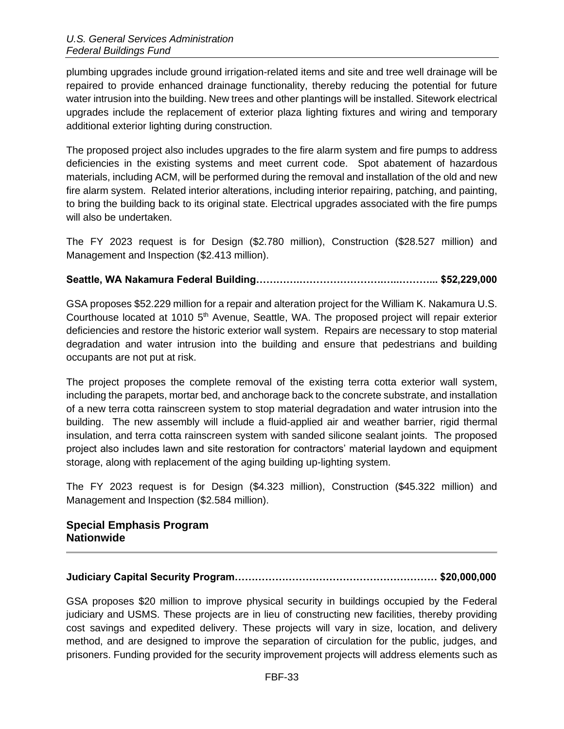plumbing upgrades include ground irrigation-related items and site and tree well drainage will be repaired to provide enhanced drainage functionality, thereby reducing the potential for future water intrusion into the building. New trees and other plantings will be installed. Sitework electrical upgrades include the replacement of exterior plaza lighting fixtures and wiring and temporary additional exterior lighting during construction.

The proposed project also includes upgrades to the fire alarm system and fire pumps to address deficiencies in the existing systems and meet current code. Spot abatement of hazardous materials, including ACM, will be performed during the removal and installation of the old and new fire alarm system. Related interior alterations, including interior repairing, patching, and painting, to bring the building back to its original state. Electrical upgrades associated with the fire pumps will also be undertaken.

The FY 2023 request is for Design (\$2.780 million), Construction (\$28.527 million) and Management and Inspection (\$2.413 million).

# **Seattle, WA Nakamura Federal Building………….…………………….…..………... \$52,229,000**

GSA proposes \$52.229 million for a repair and alteration project for the William K. Nakamura U.S. Courthouse located at 1010 5<sup>th</sup> Avenue, Seattle, WA. The proposed project will repair exterior deficiencies and restore the historic exterior wall system. Repairs are necessary to stop material degradation and water intrusion into the building and ensure that pedestrians and building occupants are not put at risk.

The project proposes the complete removal of the existing terra cotta exterior wall system, including the parapets, mortar bed, and anchorage back to the concrete substrate, and installation of a new terra cotta rainscreen system to stop material degradation and water intrusion into the building. The new assembly will include a fluid-applied air and weather barrier, rigid thermal insulation, and terra cotta rainscreen system with sanded silicone sealant joints. The proposed project also includes lawn and site restoration for contractors' material laydown and equipment storage, along with replacement of the aging building up-lighting system.

The FY 2023 request is for Design (\$4.323 million), Construction (\$45.322 million) and Management and Inspection (\$2.584 million).

### **Special Emphasis Program Nationwide**

# **Judiciary Capital Security Program…………………………………………………… \$20,000,000**

GSA proposes \$20 million to improve physical security in buildings occupied by the Federal judiciary and USMS. These projects are in lieu of constructing new facilities, thereby providing cost savings and expedited delivery. These projects will vary in size, location, and delivery method, and are designed to improve the separation of circulation for the public, judges, and prisoners. Funding provided for the security improvement projects will address elements such as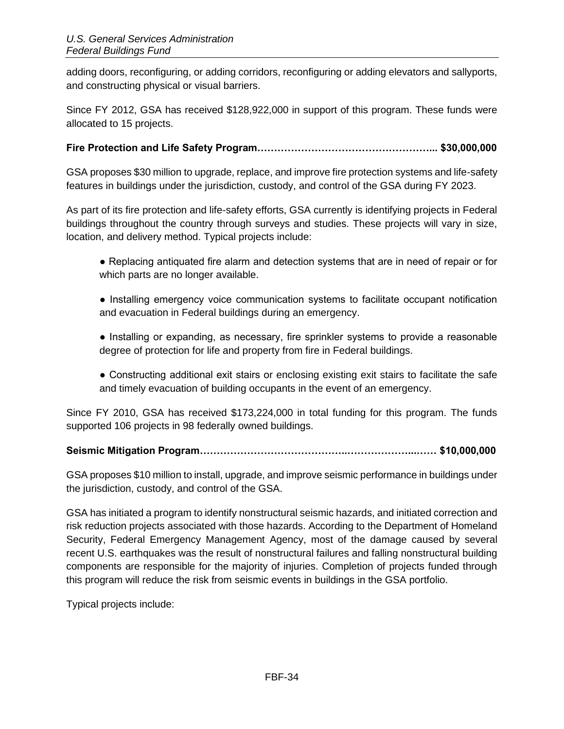adding doors, reconfiguring, or adding corridors, reconfiguring or adding elevators and sallyports, and constructing physical or visual barriers.

Since FY 2012, GSA has received \$128,922,000 in support of this program. These funds were allocated to 15 projects.

# **Fire Protection and Life Safety Program……………………………………………... \$30,000,000**

GSA proposes \$30 million to upgrade, replace, and improve fire protection systems and life-safety features in buildings under the jurisdiction, custody, and control of the GSA during FY 2023.

As part of its fire protection and life-safety efforts, GSA currently is identifying projects in Federal buildings throughout the country through surveys and studies. These projects will vary in size, location, and delivery method. Typical projects include:

- Replacing antiquated fire alarm and detection systems that are in need of repair or for which parts are no longer available.
- Installing emergency voice communication systems to facilitate occupant notification and evacuation in Federal buildings during an emergency.
- Installing or expanding, as necessary, fire sprinkler systems to provide a reasonable degree of protection for life and property from fire in Federal buildings.
- Constructing additional exit stairs or enclosing existing exit stairs to facilitate the safe and timely evacuation of building occupants in the event of an emergency.

Since FY 2010, GSA has received \$173,224,000 in total funding for this program. The funds supported 106 projects in 98 federally owned buildings.

# **Seismic Mitigation Program……………………………………..………………...…… \$10,000,000**

GSA proposes \$10 million to install, upgrade, and improve seismic performance in buildings under the jurisdiction, custody, and control of the GSA.

GSA has initiated a program to identify nonstructural seismic hazards, and initiated correction and risk reduction projects associated with those hazards. According to the Department of Homeland Security, Federal Emergency Management Agency, most of the damage caused by several recent U.S. earthquakes was the result of nonstructural failures and falling nonstructural building components are responsible for the majority of injuries. Completion of projects funded through this program will reduce the risk from seismic events in buildings in the GSA portfolio.

Typical projects include: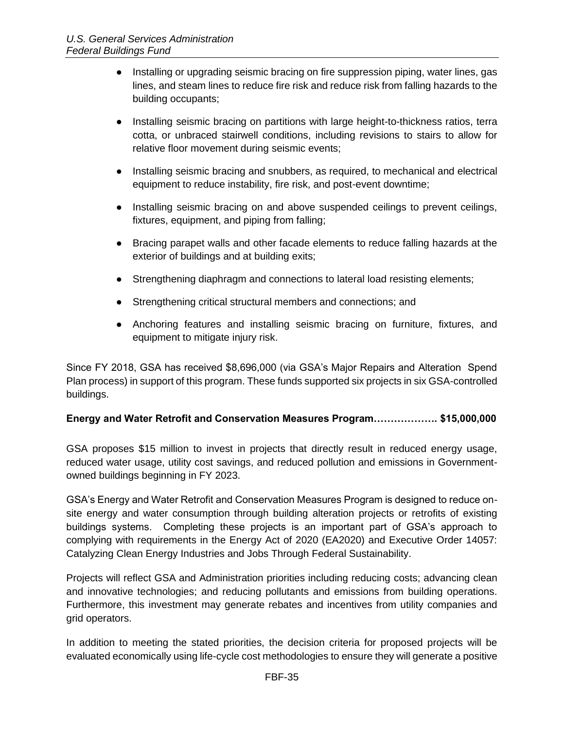- Installing or upgrading seismic bracing on fire suppression piping, water lines, gas lines, and steam lines to reduce fire risk and reduce risk from falling hazards to the building occupants;
- Installing seismic bracing on partitions with large height-to-thickness ratios, terra cotta, or unbraced stairwell conditions, including revisions to stairs to allow for relative floor movement during seismic events;
- Installing seismic bracing and snubbers, as required, to mechanical and electrical equipment to reduce instability, fire risk, and post-event downtime;
- Installing seismic bracing on and above suspended ceilings to prevent ceilings, fixtures, equipment, and piping from falling;
- Bracing parapet walls and other facade elements to reduce falling hazards at the exterior of buildings and at building exits;
- Strengthening diaphragm and connections to lateral load resisting elements;
- Strengthening critical structural members and connections; and
- Anchoring features and installing seismic bracing on furniture, fixtures, and equipment to mitigate injury risk.

Since FY 2018, GSA has received \$8,696,000 (via GSA's Major Repairs and Alteration Spend Plan process) in support of this program. These funds supported six projects in six GSA-controlled buildings.

# **Energy and Water Retrofit and Conservation Measures Program………………. \$15,000,000**

GSA proposes \$15 million to invest in projects that directly result in reduced energy usage, reduced water usage, utility cost savings, and reduced pollution and emissions in Governmentowned buildings beginning in FY 2023.

GSA's Energy and Water Retrofit and Conservation Measures Program is designed to reduce onsite energy and water consumption through building alteration projects or retrofits of existing buildings systems. Completing these projects is an important part of GSA's approach to complying with requirements in the Energy Act of 2020 (EA2020) and Executive Order 14057: Catalyzing Clean Energy Industries and Jobs Through Federal Sustainability.

Projects will reflect GSA and Administration priorities including reducing costs; advancing clean and innovative technologies; and reducing pollutants and emissions from building operations. Furthermore, this investment may generate rebates and incentives from utility companies and grid operators.

In addition to meeting the stated priorities, the decision criteria for proposed projects will be evaluated economically using life-cycle cost methodologies to ensure they will generate a positive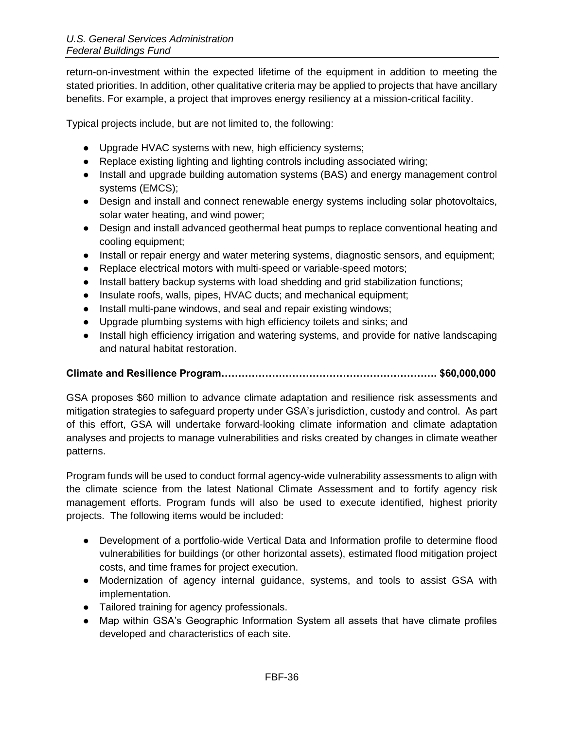return-on-investment within the expected lifetime of the equipment in addition to meeting the stated priorities. In addition, other qualitative criteria may be applied to projects that have ancillary benefits. For example, a project that improves energy resiliency at a mission-critical facility.

Typical projects include, but are not limited to, the following:

- Upgrade HVAC systems with new, high efficiency systems;
- Replace existing lighting and lighting controls including associated wiring;
- Install and upgrade building automation systems (BAS) and energy management control systems (EMCS);
- Design and install and connect renewable energy systems including solar photovoltaics, solar water heating, and wind power;
- Design and install advanced geothermal heat pumps to replace conventional heating and cooling equipment;
- Install or repair energy and water metering systems, diagnostic sensors, and equipment;
- Replace electrical motors with multi-speed or variable-speed motors;
- Install battery backup systems with load shedding and grid stabilization functions;
- Insulate roofs, walls, pipes, HVAC ducts; and mechanical equipment;
- Install multi-pane windows, and seal and repair existing windows;
- Upgrade plumbing systems with high efficiency toilets and sinks; and
- Install high efficiency irrigation and watering systems, and provide for native landscaping and natural habitat restoration.

# **Climate and Resilience Program………………………………………………………. \$60,000,000**

GSA proposes \$60 million to advance climate adaptation and resilience risk assessments and mitigation strategies to safeguard property under GSA's jurisdiction, custody and control. As part of this effort, GSA will undertake forward-looking climate information and climate adaptation analyses and projects to manage vulnerabilities and risks created by changes in climate weather patterns.

Program funds will be used to conduct formal agency-wide vulnerability assessments to align with the climate science from the latest National Climate Assessment and to fortify agency risk management efforts. Program funds will also be used to execute identified, highest priority projects. The following items would be included:

- Development of a portfolio-wide Vertical Data and Information profile to determine flood vulnerabilities for buildings (or other horizontal assets), estimated flood mitigation project costs, and time frames for project execution.
- Modernization of agency internal guidance, systems, and tools to assist GSA with implementation.
- Tailored training for agency professionals.
- Map within GSA's Geographic Information System all assets that have climate profiles developed and characteristics of each site.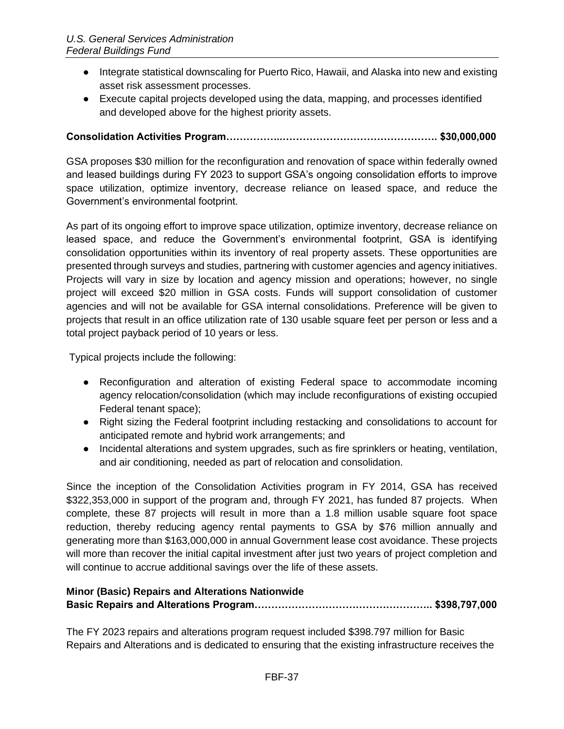- Integrate statistical downscaling for Puerto Rico, Hawaii, and Alaska into new and existing asset risk assessment processes.
- Execute capital projects developed using the data, mapping, and processes identified and developed above for the highest priority assets.

# **Consolidation Activities Program……………..………………………………………. \$30,000,000**

GSA proposes \$30 million for the reconfiguration and renovation of space within federally owned and leased buildings during FY 2023 to support GSA's ongoing consolidation efforts to improve space utilization, optimize inventory, decrease reliance on leased space, and reduce the Government's environmental footprint.

As part of its ongoing effort to improve space utilization, optimize inventory, decrease reliance on leased space, and reduce the Government's environmental footprint, GSA is identifying consolidation opportunities within its inventory of real property assets. These opportunities are presented through surveys and studies, partnering with customer agencies and agency initiatives. Projects will vary in size by location and agency mission and operations; however, no single project will exceed \$20 million in GSA costs. Funds will support consolidation of customer agencies and will not be available for GSA internal consolidations. Preference will be given to projects that result in an office utilization rate of 130 usable square feet per person or less and a total project payback period of 10 years or less.

Typical projects include the following:

- Reconfiguration and alteration of existing Federal space to accommodate incoming agency relocation/consolidation (which may include reconfigurations of existing occupied Federal tenant space);
- Right sizing the Federal footprint including restacking and consolidations to account for anticipated remote and hybrid work arrangements; and
- Incidental alterations and system upgrades, such as fire sprinklers or heating, ventilation, and air conditioning, needed as part of relocation and consolidation.

Since the inception of the Consolidation Activities program in FY 2014, GSA has received \$322,353,000 in support of the program and, through FY 2021, has funded 87 projects. When complete, these 87 projects will result in more than a 1.8 million usable square foot space reduction, thereby reducing agency rental payments to GSA by \$76 million annually and generating more than \$163,000,000 in annual Government lease cost avoidance. These projects will more than recover the initial capital investment after just two years of project completion and will continue to accrue additional savings over the life of these assets.

# **Minor (Basic) Repairs and Alterations Nationwide Basic Repairs and Alterations Program…………………………………………….. \$398,797,000**

The FY 2023 repairs and alterations program request included \$398.797 million for Basic Repairs and Alterations and is dedicated to ensuring that the existing infrastructure receives the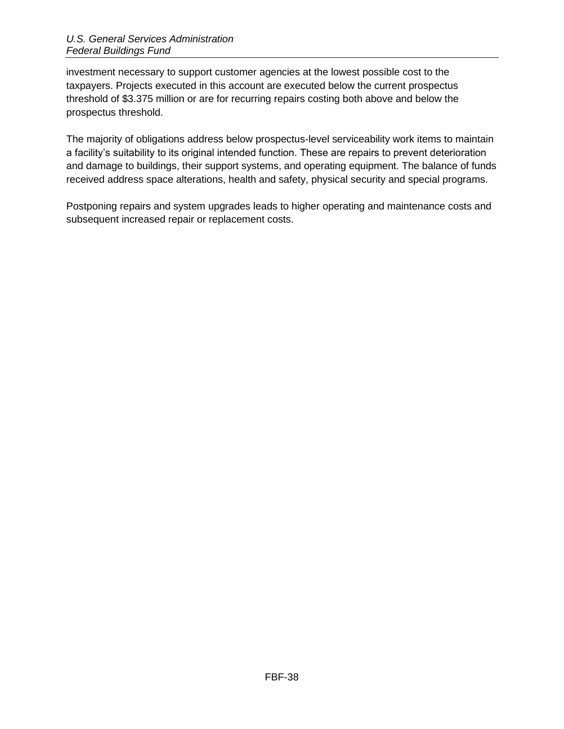investment necessary to support customer agencies at the lowest possible cost to the taxpayers. Projects executed in this account are executed below the current prospectus threshold of \$3.375 million or are for recurring repairs costing both above and below the prospectus threshold.

The majority of obligations address below prospectus-level serviceability work items to maintain a facility's suitability to its original intended function. These are repairs to prevent deterioration and damage to buildings, their support systems, and operating equipment. The balance of funds received address space alterations, health and safety, physical security and special programs.

Postponing repairs and system upgrades leads to higher operating and maintenance costs and subsequent increased repair or replacement costs.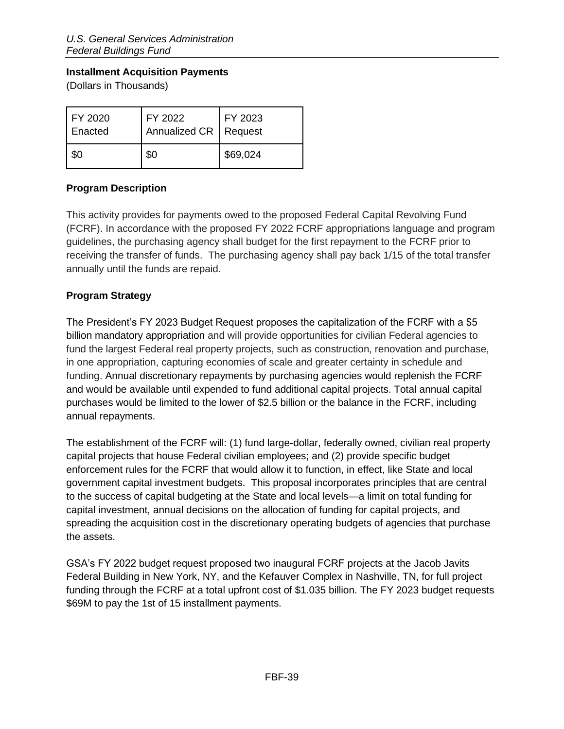### <span id="page-38-0"></span>**Installment Acquisition Payments**

(Dollars in Thousands)

| FY 2020<br>Enacted | FY 2022<br>Annualized CR   Request | FY 2023  |
|--------------------|------------------------------------|----------|
| \$0                | \$0                                | \$69,024 |

# <span id="page-38-1"></span>**Program Description**

This activity provides for payments owed to the proposed Federal Capital Revolving Fund (FCRF). In accordance with the proposed FY 2022 FCRF appropriations language and program guidelines, the purchasing agency shall budget for the first repayment to the FCRF prior to receiving the transfer of funds. The purchasing agency shall pay back 1/15 of the total transfer annually until the funds are repaid.

# <span id="page-38-2"></span>**Program Strategy**

The President's FY 2023 Budget Request proposes the capitalization of the FCRF with a \$5 billion mandatory appropriation and will provide opportunities for civilian Federal agencies to fund the largest Federal real property projects, such as construction, renovation and purchase, in one appropriation, capturing economies of scale and greater certainty in schedule and funding. Annual discretionary repayments by purchasing agencies would replenish the FCRF and would be available until expended to fund additional capital projects. Total annual capital purchases would be limited to the lower of \$2.5 billion or the balance in the FCRF, including annual repayments.

The establishment of the FCRF will: (1) fund large-dollar, federally owned, civilian real property capital projects that house Federal civilian employees; and (2) provide specific budget enforcement rules for the FCRF that would allow it to function, in effect, like State and local government capital investment budgets. This proposal incorporates principles that are central to the success of capital budgeting at the State and local levels—a limit on total funding for capital investment, annual decisions on the allocation of funding for capital projects, and spreading the acquisition cost in the discretionary operating budgets of agencies that purchase the assets.

GSA's FY 2022 budget request proposed two inaugural FCRF projects at the Jacob Javits Federal Building in New York, NY, and the Kefauver Complex in Nashville, TN, for full project funding through the FCRF at a total upfront cost of \$1.035 billion. The FY 2023 budget requests \$69M to pay the 1st of 15 installment payments.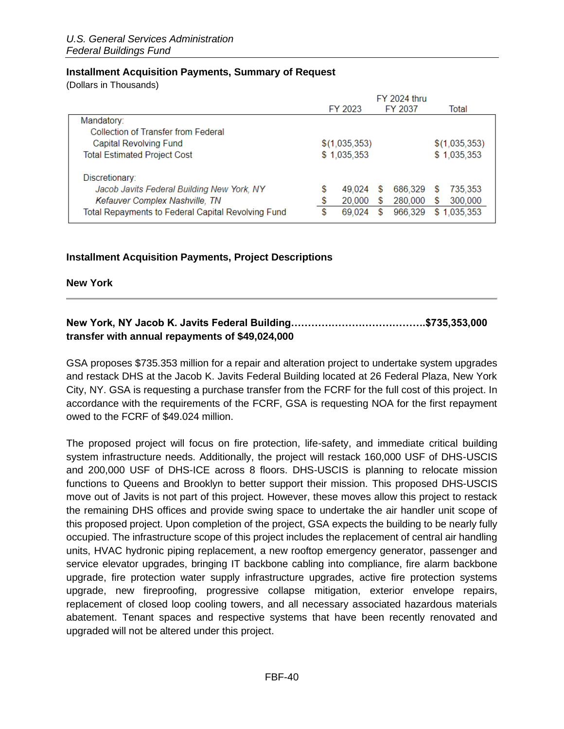#### <span id="page-39-0"></span>**Installment Acquisition Payments, Summary of Request**

(Dollars in Thousands)

|                                                    |               |   | <b>FY 2024 thru</b> |    |               |
|----------------------------------------------------|---------------|---|---------------------|----|---------------|
|                                                    | FY 2023       |   | FY 2037             |    | Total         |
| Mandatory:                                         |               |   |                     |    |               |
| Collection of Transfer from Federal                |               |   |                     |    |               |
| Capital Revolving Fund                             | \$(1,035,353) |   |                     |    | \$(1,035,353) |
| <b>Total Estimated Project Cost</b>                | \$1,035,353   |   |                     |    | \$1,035,353   |
| Discretionary:                                     |               |   |                     |    |               |
| Jacob Javits Federal Building New York, NY         | \$<br>49.024  | S | 686.329             | S  | 735,353       |
| Kefauver Complex Nashville, TN                     | \$<br>20,000  | S | 280,000             | S  | 300,000       |
| Total Repayments to Federal Capital Revolving Fund | \$<br>69.024  | S | 966,329             | S. | 1.035.353     |

### <span id="page-39-1"></span>**Installment Acquisition Payments, Project Descriptions**

**New York** 

# **New York, NY Jacob K. Javits Federal Building………………………………….\$735,353,000 transfer with annual repayments of \$49,024,000**

GSA proposes \$735.353 million for a repair and alteration project to undertake system upgrades and restack DHS at the Jacob K. Javits Federal Building located at 26 Federal Plaza, New York City, NY. GSA is requesting a purchase transfer from the FCRF for the full cost of this project. In accordance with the requirements of the FCRF, GSA is requesting NOA for the first repayment owed to the FCRF of \$49.024 million.

The proposed project will focus on fire protection, life-safety, and immediate critical building system infrastructure needs. Additionally, the project will restack 160,000 USF of DHS-USCIS and 200,000 USF of DHS-ICE across 8 floors. DHS-USCIS is planning to relocate mission functions to Queens and Brooklyn to better support their mission. This proposed DHS-USCIS move out of Javits is not part of this project. However, these moves allow this project to restack the remaining DHS offices and provide swing space to undertake the air handler unit scope of this proposed project. Upon completion of the project, GSA expects the building to be nearly fully occupied. The infrastructure scope of this project includes the replacement of central air handling units, HVAC hydronic piping replacement, a new rooftop emergency generator, passenger and service elevator upgrades, bringing IT backbone cabling into compliance, fire alarm backbone upgrade, fire protection water supply infrastructure upgrades, active fire protection systems upgrade, new fireproofing, progressive collapse mitigation, exterior envelope repairs, replacement of closed loop cooling towers, and all necessary associated hazardous materials abatement. Tenant spaces and respective systems that have been recently renovated and upgraded will not be altered under this project.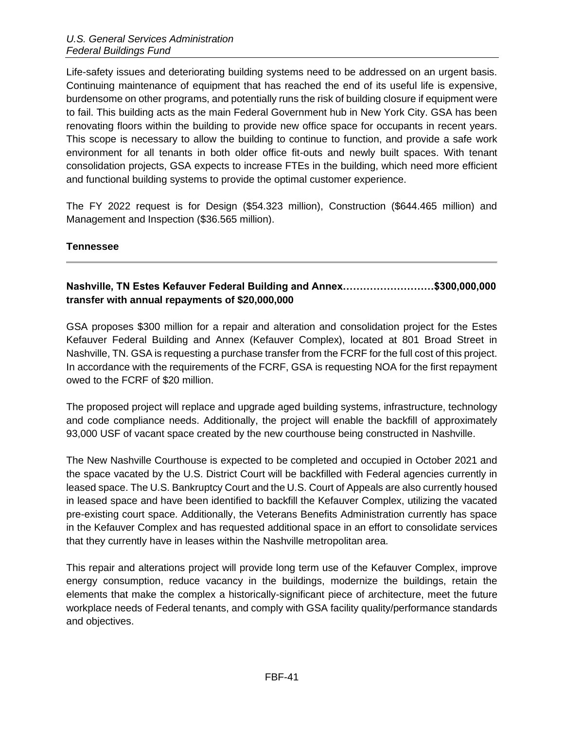Life-safety issues and deteriorating building systems need to be addressed on an urgent basis. Continuing maintenance of equipment that has reached the end of its useful life is expensive, burdensome on other programs, and potentially runs the risk of building closure if equipment were to fail. This building acts as the main Federal Government hub in New York City. GSA has been renovating floors within the building to provide new office space for occupants in recent years. This scope is necessary to allow the building to continue to function, and provide a safe work environment for all tenants in both older office fit-outs and newly built spaces. With tenant consolidation projects, GSA expects to increase FTEs in the building, which need more efficient and functional building systems to provide the optimal customer experience.

The FY 2022 request is for Design (\$54.323 million), Construction (\$644.465 million) and Management and Inspection (\$36.565 million).

### **Tennessee**

# **Nashville, TN Estes Kefauver Federal Building and Annex………………………\$300,000,000 transfer with annual repayments of \$20,000,000**

GSA proposes \$300 million for a repair and alteration and consolidation project for the Estes Kefauver Federal Building and Annex (Kefauver Complex), located at 801 Broad Street in Nashville, TN. GSA is requesting a purchase transfer from the FCRF for the full cost of this project. In accordance with the requirements of the FCRF, GSA is requesting NOA for the first repayment owed to the FCRF of \$20 million.

The proposed project will replace and upgrade aged building systems, infrastructure, technology and code compliance needs. Additionally, the project will enable the backfill of approximately 93,000 USF of vacant space created by the new courthouse being constructed in Nashville.

The New Nashville Courthouse is expected to be completed and occupied in October 2021 and the space vacated by the U.S. District Court will be backfilled with Federal agencies currently in leased space. The U.S. Bankruptcy Court and the U.S. Court of Appeals are also currently housed in leased space and have been identified to backfill the Kefauver Complex, utilizing the vacated pre-existing court space. Additionally, the Veterans Benefits Administration currently has space in the Kefauver Complex and has requested additional space in an effort to consolidate services that they currently have in leases within the Nashville metropolitan area.

This repair and alterations project will provide long term use of the Kefauver Complex, improve energy consumption, reduce vacancy in the buildings, modernize the buildings, retain the elements that make the complex a historically-significant piece of architecture, meet the future workplace needs of Federal tenants, and comply with GSA facility quality/performance standards and objectives.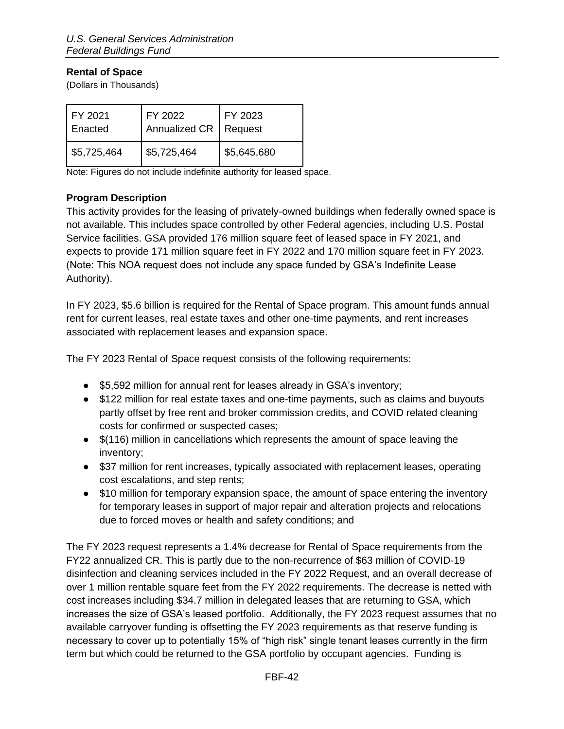### <span id="page-41-0"></span>**Rental of Space**

(Dollars in Thousands)

| FY 2021<br>Enacted | FY 2022<br>Annualized CR   Request | FY 2023     |
|--------------------|------------------------------------|-------------|
| \$5,725,464        | \$5,725,464                        | \$5,645,680 |

Note: Figures do not include indefinite authority for leased space.

### <span id="page-41-1"></span>**Program Description**

This activity provides for the leasing of privately-owned buildings when federally owned space is not available. This includes space controlled by other Federal agencies, including U.S. Postal Service facilities. GSA provided 176 million square feet of leased space in FY 2021, and expects to provide 171 million square feet in FY 2022 and 170 million square feet in FY 2023. (Note: This NOA request does not include any space funded by GSA's Indefinite Lease Authority).

In FY 2023, \$5.6 billion is required for the Rental of Space program. This amount funds annual rent for current leases, real estate taxes and other one-time payments, and rent increases associated with replacement leases and expansion space.

The FY 2023 Rental of Space request consists of the following requirements:

- \$5,592 million for annual rent for leases already in GSA's inventory;
- \$122 million for real estate taxes and one-time payments, such as claims and buyouts partly offset by free rent and broker commission credits, and COVID related cleaning costs for confirmed or suspected cases;
- \$(116) million in cancellations which represents the amount of space leaving the inventory;
- \$37 million for rent increases, typically associated with replacement leases, operating cost escalations, and step rents;
- \$10 million for temporary expansion space, the amount of space entering the inventory for temporary leases in support of major repair and alteration projects and relocations due to forced moves or health and safety conditions; and

The FY 2023 request represents a 1.4% decrease for Rental of Space requirements from the FY22 annualized CR. This is partly due to the non-recurrence of \$63 million of COVID-19 disinfection and cleaning services included in the FY 2022 Request, and an overall decrease of over 1 million rentable square feet from the FY 2022 requirements. The decrease is netted with cost increases including \$34.7 million in delegated leases that are returning to GSA, which increases the size of GSA's leased portfolio. Additionally, the FY 2023 request assumes that no available carryover funding is offsetting the FY 2023 requirements as that reserve funding is necessary to cover up to potentially 15% of "high risk" single tenant leases currently in the firm term but which could be returned to the GSA portfolio by occupant agencies. Funding is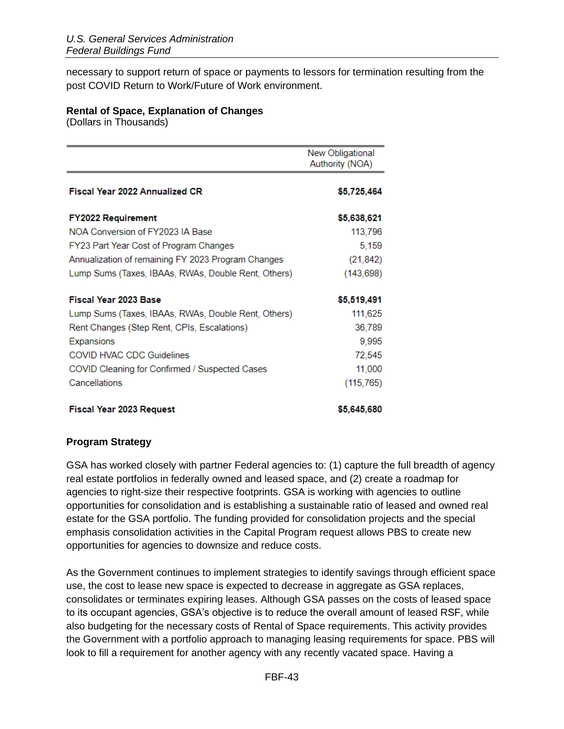necessary to support return of space or payments to lessors for termination resulting from the post COVID Return to Work/Future of Work environment.

#### <span id="page-42-0"></span>**Rental of Space, Explanation of Changes**

(Dollars in Thousands)

|                                                     | New Obligational<br>Authority (NOA) |
|-----------------------------------------------------|-------------------------------------|
| <b>Fiscal Year 2022 Annualized CR</b>               | \$5,725,464                         |
| <b>FY2022 Requirement</b>                           | \$5,638,621                         |
| NOA Conversion of FY2023 IA Base                    | 113,796                             |
| FY23 Part Year Cost of Program Changes              | 5,159                               |
| Annualization of remaining FY 2023 Program Changes  | (21, 842)                           |
| Lump Sums (Taxes, IBAAs, RWAs, Double Rent, Others) | (143, 698)                          |
| Fiscal Year 2023 Base                               | \$5,519,491                         |
| Lump Sums (Taxes, IBAAs, RWAs, Double Rent, Others) | 111,625                             |
| Rent Changes (Step Rent, CPIs, Escalations)         | 36,789                              |
| Expansions                                          | 9,995                               |
| COVID HVAC CDC Guidelines                           | 72,545                              |
| COVID Cleaning for Confirmed / Suspected Cases      | 11,000                              |
| Cancellations                                       | (115, 765)                          |
| <b>Fiscal Year 2023 Request</b>                     | \$5,645,680                         |

#### <span id="page-42-1"></span>**Program Strategy**

GSA has worked closely with partner Federal agencies to: (1) capture the full breadth of agency real estate portfolios in federally owned and leased space, and (2) create a roadmap for agencies to right-size their respective footprints. GSA is working with agencies to outline opportunities for consolidation and is establishing a sustainable ratio of leased and owned real estate for the GSA portfolio. The funding provided for consolidation projects and the special emphasis consolidation activities in the Capital Program request allows PBS to create new opportunities for agencies to downsize and reduce costs.

As the Government continues to implement strategies to identify savings through efficient space use, the cost to lease new space is expected to decrease in aggregate as GSA replaces, consolidates or terminates expiring leases. Although GSA passes on the costs of leased space to its occupant agencies, GSA's objective is to reduce the overall amount of leased RSF, while also budgeting for the necessary costs of Rental of Space requirements. This activity provides the Government with a portfolio approach to managing leasing requirements for space. PBS will look to fill a requirement for another agency with any recently vacated space. Having a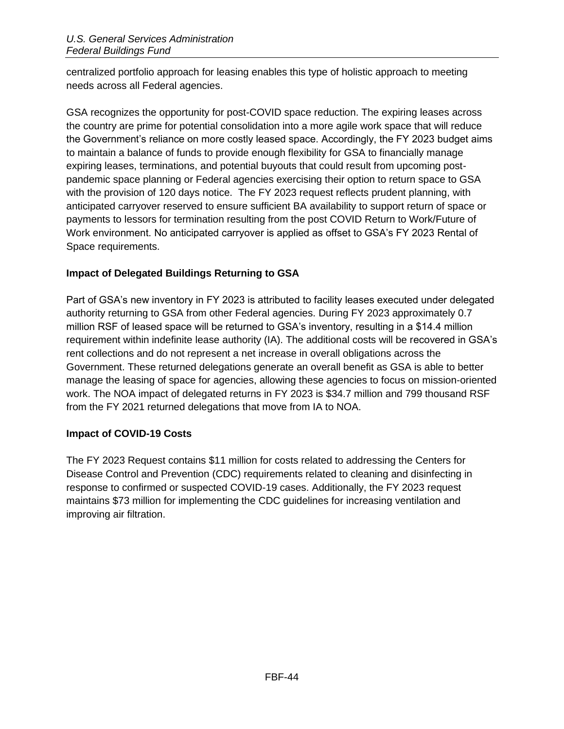centralized portfolio approach for leasing enables this type of holistic approach to meeting needs across all Federal agencies.

GSA recognizes the opportunity for post-COVID space reduction. The expiring leases across the country are prime for potential consolidation into a more agile work space that will reduce the Government's reliance on more costly leased space. Accordingly, the FY 2023 budget aims to maintain a balance of funds to provide enough flexibility for GSA to financially manage expiring leases, terminations, and potential buyouts that could result from upcoming postpandemic space planning or Federal agencies exercising their option to return space to GSA with the provision of 120 days notice. The FY 2023 request reflects prudent planning, with anticipated carryover reserved to ensure sufficient BA availability to support return of space or payments to lessors for termination resulting from the post COVID Return to Work/Future of Work environment. No anticipated carryover is applied as offset to GSA's FY 2023 Rental of Space requirements.

# **Impact of Delegated Buildings Returning to GSA**

Part of GSA's new inventory in FY 2023 is attributed to facility leases executed under delegated authority returning to GSA from other Federal agencies. During FY 2023 approximately 0.7 million RSF of leased space will be returned to GSA's inventory, resulting in a \$14.4 million requirement within indefinite lease authority (IA). The additional costs will be recovered in GSA's rent collections and do not represent a net increase in overall obligations across the Government. These returned delegations generate an overall benefit as GSA is able to better manage the leasing of space for agencies, allowing these agencies to focus on mission-oriented work. The NOA impact of delegated returns in FY 2023 is \$34.7 million and 799 thousand RSF from the FY 2021 returned delegations that move from IA to NOA.

# **Impact of COVID-19 Costs**

The FY 2023 Request contains \$11 million for costs related to addressing the Centers for Disease Control and Prevention (CDC) requirements related to cleaning and disinfecting in response to confirmed or suspected COVID-19 cases. Additionally, the FY 2023 request maintains \$73 million for implementing the CDC guidelines for increasing ventilation and improving air filtration.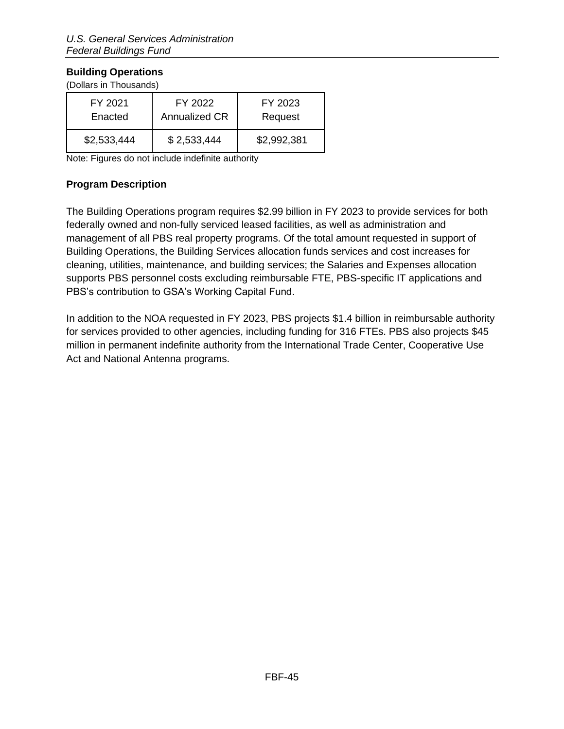# <span id="page-44-0"></span>**Building Operations**

(Dollars in Thousands)

| FY 2021     | FY 2022              | FY 2023     |
|-------------|----------------------|-------------|
| Enacted     | <b>Annualized CR</b> | Request     |
| \$2,533,444 | \$2,533,444          | \$2,992,381 |

Note: Figures do not include indefinite authority

# <span id="page-44-1"></span>**Program Description**

The Building Operations program requires \$2.99 billion in FY 2023 to provide services for both federally owned and non-fully serviced leased facilities, as well as administration and management of all PBS real property programs. Of the total amount requested in support of Building Operations, the Building Services allocation funds services and cost increases for cleaning, utilities, maintenance, and building services; the Salaries and Expenses allocation supports PBS personnel costs excluding reimbursable FTE, PBS-specific IT applications and PBS's contribution to GSA's Working Capital Fund.

In addition to the NOA requested in FY 2023, PBS projects \$1.4 billion in reimbursable authority for services provided to other agencies, including funding for 316 FTEs. PBS also projects \$45 million in permanent indefinite authority from the International Trade Center, Cooperative Use Act and National Antenna programs.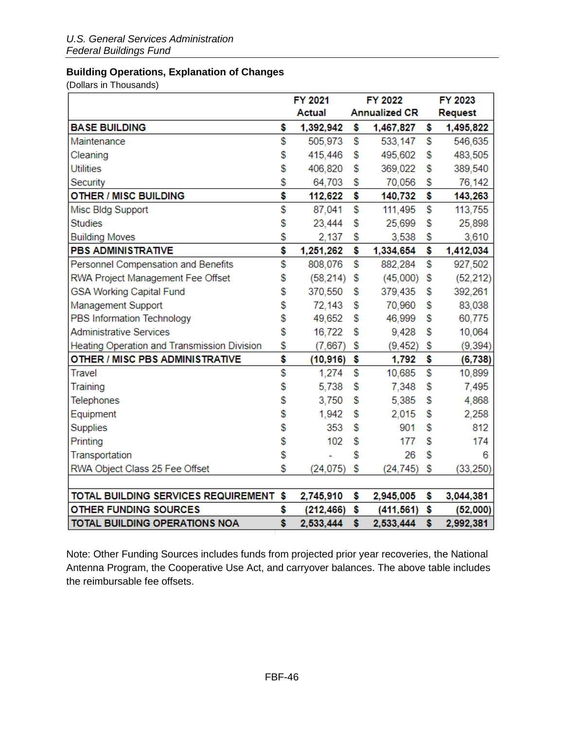# <span id="page-45-0"></span>**Building Operations, Explanation of Changes**

(Dollars in Thousands)

|                                             | <b>FY 2021</b><br><b>FY 2022</b> |            |    |                      | FY 2023 |           |  |
|---------------------------------------------|----------------------------------|------------|----|----------------------|---------|-----------|--|
|                                             |                                  | Actual     |    | <b>Annualized CR</b> |         | Request   |  |
| <b>BASE BUILDING</b>                        | \$                               | 1,392,942  | \$ | 1,467,827            | \$      | 1,495,822 |  |
| Maintenance                                 | \$                               | 505,973    | \$ | 533,147              | \$      | 546,635   |  |
| Cleaning                                    | \$                               | 415,446    | \$ | 495,602              | \$      | 483,505   |  |
| <b>Utilities</b>                            | \$                               | 406,820    | \$ | 369,022              | \$      | 389,540   |  |
| Security                                    | \$                               | 64,703     | \$ | 70,056               | \$      | 76,142    |  |
| OTHER / MISC BUILDING                       | \$                               | 112,622    | \$ | 140,732              | \$      | 143,263   |  |
| Misc Bldg Support                           | \$                               | 87,041     | \$ | 111,495              | \$      | 113,755   |  |
| <b>Studies</b>                              | \$                               | 23,444     | \$ | 25,699               | \$      | 25,898    |  |
| <b>Building Moves</b>                       | \$                               | 2.137      | \$ | 3,538                | \$      | 3,610     |  |
| <b>PBS ADMINISTRATIVE</b>                   | \$                               | 1,251,262  | \$ | 1,334,654            | \$      | 1,412,034 |  |
| Personnel Compensation and Benefits         | \$                               | 808,076    | \$ | 882,284              | \$      | 927,502   |  |
| RWA Project Management Fee Offset           | \$                               | (58, 214)  | \$ | (45,000)             | \$      | (52, 212) |  |
| <b>GSA Working Capital Fund</b>             | \$                               | 370,550    | \$ | 379,435              | \$      | 392,261   |  |
| Management Support                          | \$                               | 72,143     | \$ | 70,960               | \$      | 83,038    |  |
| PBS Information Technology                  | \$                               | 49,652     | \$ | 46,999               | \$      | 60,775    |  |
| <b>Administrative Services</b>              | \$                               | 16,722     | \$ | 9,428                | \$      | 10,064    |  |
| Heating Operation and Transmission Division | \$                               | (7,667)    | \$ | (9, 452)             | \$      | (9, 394)  |  |
| OTHER / MISC PBS ADMINISTRATIVE             | \$                               | (10, 916)  | \$ | 1,792                | \$      | (6, 738)  |  |
| Travel                                      | \$                               | 1,274      | \$ | 10,685               | \$      | 10,899    |  |
| Training                                    | \$                               | 5,738      | \$ | 7,348                | \$      | 7,495     |  |
| Telephones                                  | \$                               | 3,750      | \$ | 5,385                | \$      | 4,868     |  |
| Equipment                                   | \$                               | 1,942      | \$ | 2,015                | \$      | 2,258     |  |
| Supplies                                    | \$                               | 353        | \$ | 901                  | \$      | 812       |  |
| Printing                                    | \$                               | 102        | \$ | 177                  | \$      | 174       |  |
| Transportation                              | \$                               |            | \$ | 26                   | \$      | 6         |  |
| RWA Object Class 25 Fee Offset              | \$                               | (24, 075)  | \$ | (24, 745)            | \$      | (33, 250) |  |
|                                             |                                  |            |    |                      |         |           |  |
| TOTAL BUILDING SERVICES REQUIREMENT \$      |                                  | 2,745,910  | \$ | 2,945,005            | \$      | 3,044,381 |  |
| OTHER FUNDING SOURCES                       | \$                               | (212, 466) | \$ | (411, 561)           | \$      | (52,000)  |  |
| TOTAL BUILDING OPERATIONS NOA               | Ś                                | 2,533,444  | \$ | 2,533,444            | \$      | 2,992,381 |  |

Note: Other Funding Sources includes funds from projected prior year recoveries, the National Antenna Program, the Cooperative Use Act, and carryover balances. The above table includes the reimbursable fee offsets.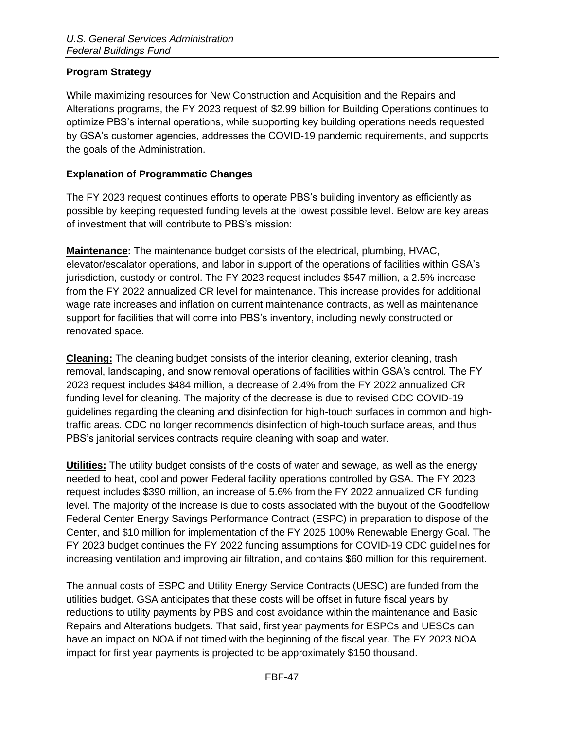# <span id="page-46-0"></span>**Program Strategy**

While maximizing resources for New Construction and Acquisition and the Repairs and Alterations programs, the FY 2023 request of \$2.99 billion for Building Operations continues to optimize PBS's internal operations, while supporting key building operations needs requested by GSA's customer agencies, addresses the COVID-19 pandemic requirements, and supports the goals of the Administration.

### <span id="page-46-1"></span>**Explanation of Programmatic Changes**

The FY 2023 request continues efforts to operate PBS's building inventory as efficiently as possible by keeping requested funding levels at the lowest possible level. Below are key areas of investment that will contribute to PBS's mission:

**Maintenance:** The maintenance budget consists of the electrical, plumbing, HVAC, elevator/escalator operations, and labor in support of the operations of facilities within GSA's jurisdiction, custody or control. The FY 2023 request includes \$547 million, a 2.5% increase from the FY 2022 annualized CR level for maintenance. This increase provides for additional wage rate increases and inflation on current maintenance contracts, as well as maintenance support for facilities that will come into PBS's inventory, including newly constructed or renovated space.

**Cleaning:** The cleaning budget consists of the interior cleaning, exterior cleaning, trash removal, landscaping, and snow removal operations of facilities within GSA's control. The FY 2023 request includes \$484 million, a decrease of 2.4% from the FY 2022 annualized CR funding level for cleaning. The majority of the decrease is due to revised CDC COVID-19 guidelines regarding the cleaning and disinfection for high-touch surfaces in common and hightraffic areas. CDC no longer recommends disinfection of high-touch surface areas, and thus PBS's janitorial services contracts require cleaning with soap and water.

**Utilities:** The utility budget consists of the costs of water and sewage, as well as the energy needed to heat, cool and power Federal facility operations controlled by GSA. The FY 2023 request includes \$390 million, an increase of 5.6% from the FY 2022 annualized CR funding level. The majority of the increase is due to costs associated with the buyout of the Goodfellow Federal Center Energy Savings Performance Contract (ESPC) in preparation to dispose of the Center, and \$10 million for implementation of the FY 2025 100% Renewable Energy Goal. The FY 2023 budget continues the FY 2022 funding assumptions for COVID-19 CDC guidelines for increasing ventilation and improving air filtration, and contains \$60 million for this requirement.

The annual costs of ESPC and Utility Energy Service Contracts (UESC) are funded from the utilities budget. GSA anticipates that these costs will be offset in future fiscal years by reductions to utility payments by PBS and cost avoidance within the maintenance and Basic Repairs and Alterations budgets. That said, first year payments for ESPCs and UESCs can have an impact on NOA if not timed with the beginning of the fiscal year. The FY 2023 NOA impact for first year payments is projected to be approximately \$150 thousand.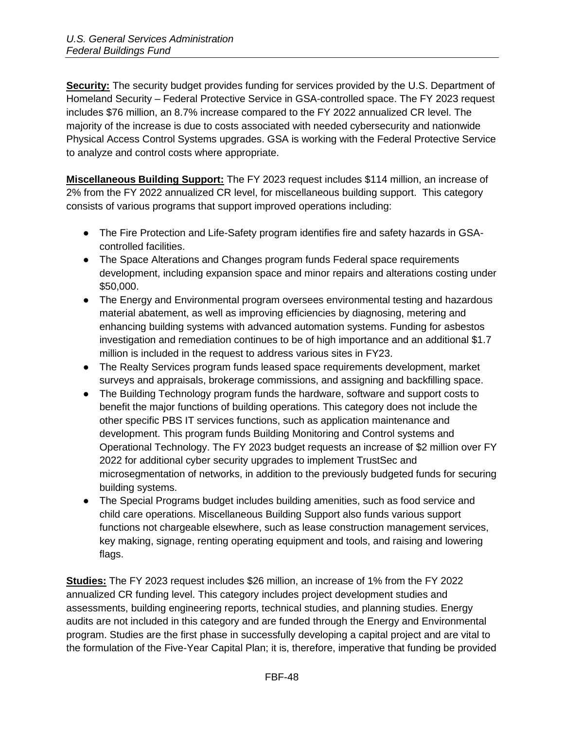**Security:** The security budget provides funding for services provided by the U.S. Department of Homeland Security – Federal Protective Service in GSA-controlled space. The FY 2023 request includes \$76 million, an 8.7% increase compared to the FY 2022 annualized CR level. The majority of the increase is due to costs associated with needed cybersecurity and nationwide Physical Access Control Systems upgrades. GSA is working with the Federal Protective Service to analyze and control costs where appropriate.

**Miscellaneous Building Support:** The FY 2023 request includes \$114 million, an increase of 2% from the FY 2022 annualized CR level, for miscellaneous building support. This category consists of various programs that support improved operations including:

- The Fire Protection and Life-Safety program identifies fire and safety hazards in GSAcontrolled facilities.
- The Space Alterations and Changes program funds Federal space requirements development, including expansion space and minor repairs and alterations costing under \$50,000.
- The Energy and Environmental program oversees environmental testing and hazardous material abatement, as well as improving efficiencies by diagnosing, metering and enhancing building systems with advanced automation systems. Funding for asbestos investigation and remediation continues to be of high importance and an additional \$1.7 million is included in the request to address various sites in FY23.
- The Realty Services program funds leased space requirements development, market surveys and appraisals, brokerage commissions, and assigning and backfilling space.
- The Building Technology program funds the hardware, software and support costs to benefit the major functions of building operations. This category does not include the other specific PBS IT services functions, such as application maintenance and development. This program funds Building Monitoring and Control systems and Operational Technology. The FY 2023 budget requests an increase of \$2 million over FY 2022 for additional cyber security upgrades to implement TrustSec and microsegmentation of networks, in addition to the previously budgeted funds for securing building systems.
- The Special Programs budget includes building amenities, such as food service and child care operations. Miscellaneous Building Support also funds various support functions not chargeable elsewhere, such as lease construction management services, key making, signage, renting operating equipment and tools, and raising and lowering flags.

**Studies:** The FY 2023 request includes \$26 million, an increase of 1% from the FY 2022 annualized CR funding level. This category includes project development studies and assessments, building engineering reports, technical studies, and planning studies. Energy audits are not included in this category and are funded through the Energy and Environmental program. Studies are the first phase in successfully developing a capital project and are vital to the formulation of the Five-Year Capital Plan; it is, therefore, imperative that funding be provided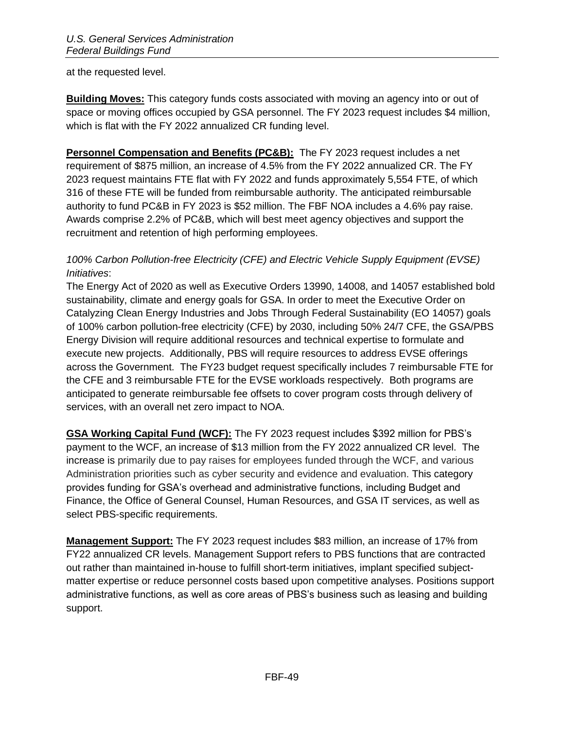at the requested level.

**Building Moves:** This category funds costs associated with moving an agency into or out of space or moving offices occupied by GSA personnel. The FY 2023 request includes \$4 million, which is flat with the FY 2022 annualized CR funding level.

**Personnel Compensation and Benefits (PC&B):** The FY 2023 request includes a net requirement of \$875 million, an increase of 4.5% from the FY 2022 annualized CR. The FY 2023 request maintains FTE flat with FY 2022 and funds approximately 5,554 FTE, of which 316 of these FTE will be funded from reimbursable authority. The anticipated reimbursable authority to fund PC&B in FY 2023 is \$52 million. The FBF NOA includes a 4.6% pay raise. Awards comprise 2.2% of PC&B, which will best meet agency objectives and support the recruitment and retention of high performing employees.

# *100% Carbon Pollution-free Electricity (CFE) and Electric Vehicle Supply Equipment (EVSE) Initiatives*:

The Energy Act of 2020 as well as Executive Orders 13990, 14008, and 14057 established bold sustainability, climate and energy goals for GSA. In order to meet the Executive Order on Catalyzing Clean Energy Industries and Jobs Through Federal Sustainability (EO 14057) goals of 100% carbon pollution-free electricity (CFE) by 2030, including 50% 24/7 CFE, the GSA/PBS Energy Division will require additional resources and technical expertise to formulate and execute new projects. Additionally, PBS will require resources to address EVSE offerings across the Government. The FY23 budget request specifically includes 7 reimbursable FTE for the CFE and 3 reimbursable FTE for the EVSE workloads respectively. Both programs are anticipated to generate reimbursable fee offsets to cover program costs through delivery of services, with an overall net zero impact to NOA.

**GSA Working Capital Fund (WCF):** The FY 2023 request includes \$392 million for PBS's payment to the WCF, an increase of \$13 million from the FY 2022 annualized CR level. The increase is primarily due to pay raises for employees funded through the WCF, and various Administration priorities such as cyber security and evidence and evaluation. This category provides funding for GSA's overhead and administrative functions, including Budget and Finance, the Office of General Counsel, Human Resources, and GSA IT services, as well as select PBS-specific requirements.

**Management Support:** The FY 2023 request includes \$83 million, an increase of 17% from FY22 annualized CR levels. Management Support refers to PBS functions that are contracted out rather than maintained in-house to fulfill short-term initiatives, implant specified subjectmatter expertise or reduce personnel costs based upon competitive analyses. Positions support administrative functions, as well as core areas of PBS's business such as leasing and building support.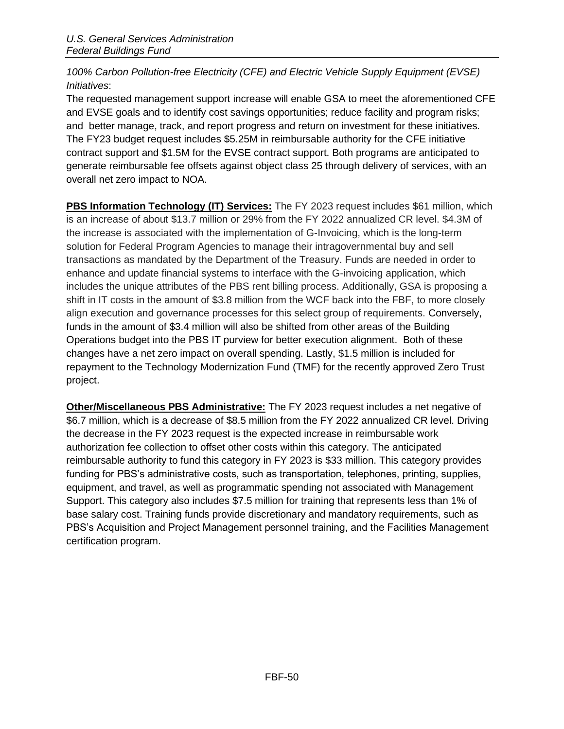# *100% Carbon Pollution-free Electricity (CFE) and Electric Vehicle Supply Equipment (EVSE) Initiatives*:

The requested management support increase will enable GSA to meet the aforementioned CFE and EVSE goals and to identify cost savings opportunities; reduce facility and program risks; and better manage, track, and report progress and return on investment for these initiatives. The FY23 budget request includes \$5.25M in reimbursable authority for the CFE initiative contract support and \$1.5M for the EVSE contract support. Both programs are anticipated to generate reimbursable fee offsets against object class 25 through delivery of services, with an overall net zero impact to NOA.

**PBS Information Technology (IT) Services:** The FY 2023 request includes \$61 million, which is an increase of about \$13.7 million or 29% from the FY 2022 annualized CR level. \$4.3M of the increase is associated with the implementation of G-Invoicing, which is the long-term solution for Federal Program Agencies to manage their intragovernmental buy and sell transactions as mandated by the Department of the Treasury. Funds are needed in order to enhance and update financial systems to interface with the G-invoicing application, which includes the unique attributes of the PBS rent billing process. Additionally, GSA is proposing a shift in IT costs in the amount of \$3.8 million from the WCF back into the FBF, to more closely align execution and governance processes for this select group of requirements. Conversely, funds in the amount of \$3.4 million will also be shifted from other areas of the Building Operations budget into the PBS IT purview for better execution alignment. Both of these changes have a net zero impact on overall spending. Lastly, \$1.5 million is included for repayment to the Technology Modernization Fund (TMF) for the recently approved Zero Trust project.

**Other/Miscellaneous PBS Administrative:** The FY 2023 request includes a net negative of \$6.7 million, which is a decrease of \$8.5 million from the FY 2022 annualized CR level. Driving the decrease in the FY 2023 request is the expected increase in reimbursable work authorization fee collection to offset other costs within this category. The anticipated reimbursable authority to fund this category in FY 2023 is \$33 million. This category provides funding for PBS's administrative costs, such as transportation, telephones, printing, supplies, equipment, and travel, as well as programmatic spending not associated with Management Support. This category also includes \$7.5 million for training that represents less than 1% of base salary cost. Training funds provide discretionary and mandatory requirements, such as PBS's Acquisition and Project Management personnel training, and the Facilities Management certification program.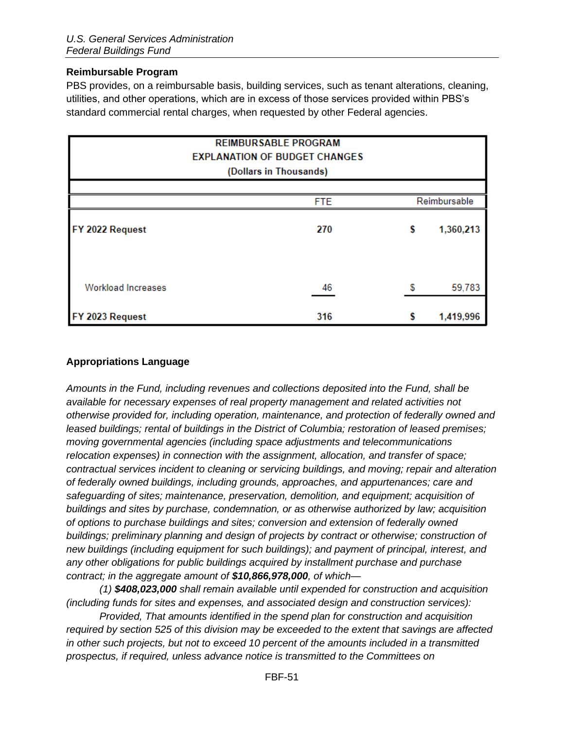### <span id="page-50-0"></span>**Reimbursable Program**

PBS provides, on a reimbursable basis, building services, such as tenant alterations, cleaning, utilities, and other operations, which are in excess of those services provided within PBS's standard commercial rental charges, when requested by other Federal agencies.

|                           | <b>REIMBURSABLE PROGRAM</b><br><b>EXPLANATION OF BUDGET CHANGES</b><br>(Dollars in Thousands) |   |              |
|---------------------------|-----------------------------------------------------------------------------------------------|---|--------------|
|                           |                                                                                               |   |              |
|                           | <b>FTE</b>                                                                                    |   | Reimbursable |
| FY 2022 Request           | 270                                                                                           | S | 1,360,213    |
| <b>Workload Increases</b> | 46                                                                                            | S | 59,783       |
| FY 2023 Request           | 316                                                                                           | s | 1,419,996    |

### <span id="page-50-1"></span>**Appropriations Language**

*Amounts in the Fund, including revenues and collections deposited into the Fund, shall be available for necessary expenses of real property management and related activities not otherwise provided for, including operation, maintenance, and protection of federally owned and leased buildings; rental of buildings in the District of Columbia; restoration of leased premises; moving governmental agencies (including space adjustments and telecommunications relocation expenses) in connection with the assignment, allocation, and transfer of space; contractual services incident to cleaning or servicing buildings, and moving; repair and alteration of federally owned buildings, including grounds, approaches, and appurtenances; care and safeguarding of sites; maintenance, preservation, demolition, and equipment; acquisition of buildings and sites by purchase, condemnation, or as otherwise authorized by law; acquisition of options to purchase buildings and sites; conversion and extension of federally owned buildings; preliminary planning and design of projects by contract or otherwise; construction of new buildings (including equipment for such buildings); and payment of principal, interest, and any other obligations for public buildings acquired by installment purchase and purchase contract; in the aggregate amount of \$10,866,978,000, of which—*

*(1) \$408,023,000 shall remain available until expended for construction and acquisition (including funds for sites and expenses, and associated design and construction services):* 

*Provided, That amounts identified in the spend plan for construction and acquisition required by section 525 of this division may be exceeded to the extent that savings are affected in other such projects, but not to exceed 10 percent of the amounts included in a transmitted prospectus, if required, unless advance notice is transmitted to the Committees on*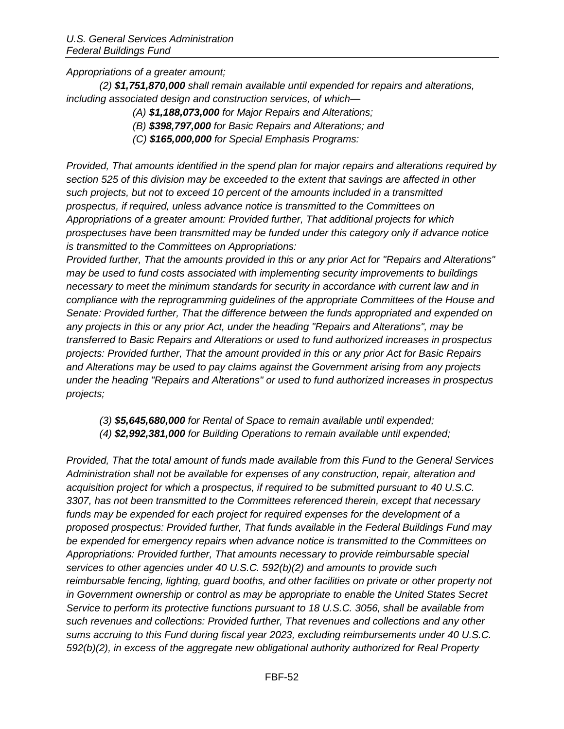*Appropriations of a greater amount;* 

*(2) \$1,751,870,000 shall remain available until expended for repairs and alterations, including associated design and construction services, of which—*

- *(A) \$1,188,073,000 for Major Repairs and Alterations;*
- *(B) \$398,797,000 for Basic Repairs and Alterations; and*
- *(C) \$165,000,000 for Special Emphasis Programs:*

*Provided, That amounts identified in the spend plan for major repairs and alterations required by section 525 of this division may be exceeded to the extent that savings are affected in other such projects, but not to exceed 10 percent of the amounts included in a transmitted prospectus, if required, unless advance notice is transmitted to the Committees on Appropriations of a greater amount: Provided further, That additional projects for which prospectuses have been transmitted may be funded under this category only if advance notice is transmitted to the Committees on Appropriations:* 

*Provided further, That the amounts provided in this or any prior Act for "Repairs and Alterations" may be used to fund costs associated with implementing security improvements to buildings necessary to meet the minimum standards for security in accordance with current law and in compliance with the reprogramming guidelines of the appropriate Committees of the House and Senate: Provided further, That the difference between the funds appropriated and expended on any projects in this or any prior Act, under the heading "Repairs and Alterations", may be transferred to Basic Repairs and Alterations or used to fund authorized increases in prospectus projects: Provided further, That the amount provided in this or any prior Act for Basic Repairs and Alterations may be used to pay claims against the Government arising from any projects under the heading "Repairs and Alterations" or used to fund authorized increases in prospectus projects;* 

*(3) \$5,645,680,000 for Rental of Space to remain available until expended; (4) \$2,992,381,000 for Building Operations to remain available until expended;*

*Provided, That the total amount of funds made available from this Fund to the General Services Administration shall not be available for expenses of any construction, repair, alteration and acquisition project for which a prospectus, if required to be submitted pursuant to 40 U.S.C. 3307, has not been transmitted to the Committees referenced therein, except that necessary funds may be expended for each project for required expenses for the development of a proposed prospectus: Provided further, That funds available in the Federal Buildings Fund may be expended for emergency repairs when advance notice is transmitted to the Committees on Appropriations: Provided further, That amounts necessary to provide reimbursable special services to other agencies under 40 U.S.C. 592(b)(2) and amounts to provide such reimbursable fencing, lighting, guard booths, and other facilities on private or other property not in Government ownership or control as may be appropriate to enable the United States Secret Service to perform its protective functions pursuant to 18 U.S.C. 3056, shall be available from such revenues and collections: Provided further, That revenues and collections and any other sums accruing to this Fund during fiscal year 2023, excluding reimbursements under 40 U.S.C. 592(b)(2), in excess of the aggregate new obligational authority authorized for Real Property*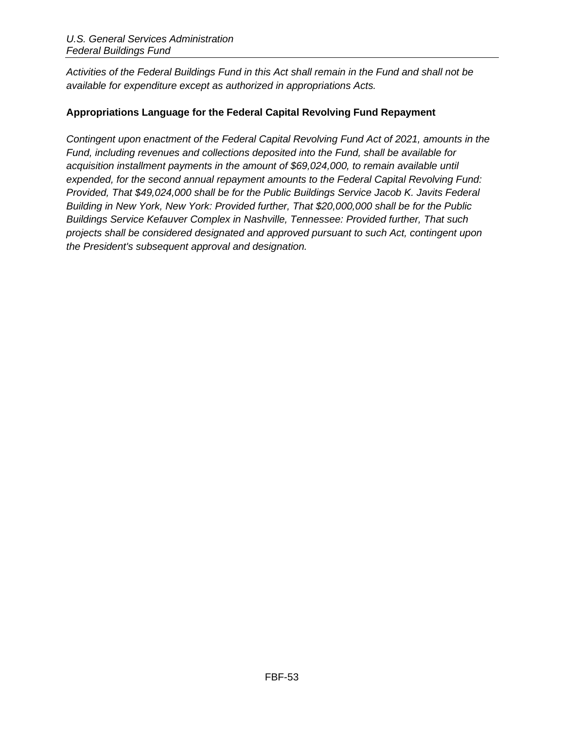*Activities of the Federal Buildings Fund in this Act shall remain in the Fund and shall not be available for expenditure except as authorized in appropriations Acts.*

# <span id="page-52-0"></span>**Appropriations Language for the Federal Capital Revolving Fund Repayment**

*Contingent upon enactment of the Federal Capital Revolving Fund Act of 2021, amounts in the Fund, including revenues and collections deposited into the Fund, shall be available for acquisition installment payments in the amount of \$69,024,000, to remain available until expended, for the second annual repayment amounts to the Federal Capital Revolving Fund: Provided, That \$49,024,000 shall be for the Public Buildings Service Jacob K. Javits Federal Building in New York, New York: Provided further, That \$20,000,000 shall be for the Public Buildings Service Kefauver Complex in Nashville, Tennessee: Provided further, That such projects shall be considered designated and approved pursuant to such Act, contingent upon the President's subsequent approval and designation.*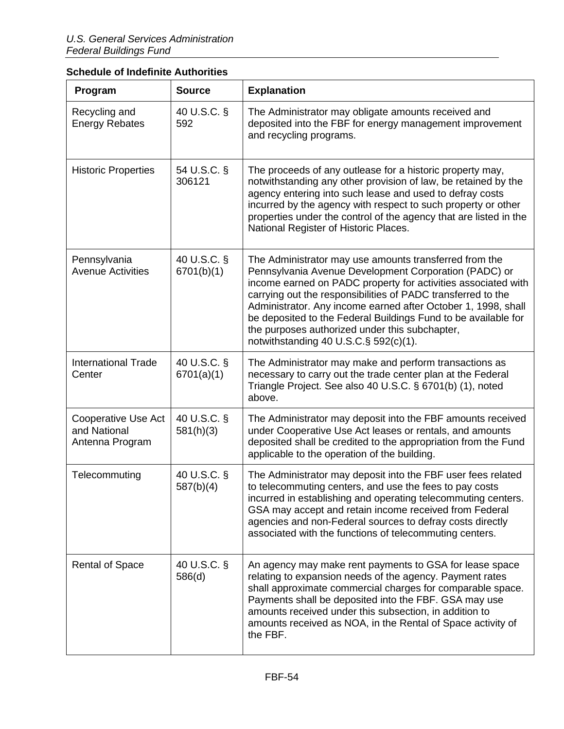| Program                                                | <b>Source</b>             | <b>Explanation</b>                                                                                                                                                                                                                                                                                                                                                                                                                                                                 |
|--------------------------------------------------------|---------------------------|------------------------------------------------------------------------------------------------------------------------------------------------------------------------------------------------------------------------------------------------------------------------------------------------------------------------------------------------------------------------------------------------------------------------------------------------------------------------------------|
| Recycling and<br><b>Energy Rebates</b>                 | 40 U.S.C. §<br>592        | The Administrator may obligate amounts received and<br>deposited into the FBF for energy management improvement<br>and recycling programs.                                                                                                                                                                                                                                                                                                                                         |
| <b>Historic Properties</b>                             | 54 U.S.C. §<br>306121     | The proceeds of any outlease for a historic property may,<br>notwithstanding any other provision of law, be retained by the<br>agency entering into such lease and used to defray costs<br>incurred by the agency with respect to such property or other<br>properties under the control of the agency that are listed in the<br>National Register of Historic Places.                                                                                                             |
| Pennsylvania<br><b>Avenue Activities</b>               | 40 U.S.C. §<br>6701(b)(1) | The Administrator may use amounts transferred from the<br>Pennsylvania Avenue Development Corporation (PADC) or<br>income earned on PADC property for activities associated with<br>carrying out the responsibilities of PADC transferred to the<br>Administrator. Any income earned after October 1, 1998, shall<br>be deposited to the Federal Buildings Fund to be available for<br>the purposes authorized under this subchapter,<br>notwithstanding 40 U.S.C. $\S$ 592(c)(1). |
| <b>International Trade</b><br>Center                   | 40 U.S.C. §<br>6701(a)(1) | The Administrator may make and perform transactions as<br>necessary to carry out the trade center plan at the Federal<br>Triangle Project. See also 40 U.S.C. § 6701(b) (1), noted<br>above.                                                                                                                                                                                                                                                                                       |
| Cooperative Use Act<br>and National<br>Antenna Program | 40 U.S.C. §<br>581(h)(3)  | The Administrator may deposit into the FBF amounts received<br>under Cooperative Use Act leases or rentals, and amounts<br>deposited shall be credited to the appropriation from the Fund<br>applicable to the operation of the building.                                                                                                                                                                                                                                          |
| Telecommuting                                          | 40 U.S.C. §<br>587(b)(4)  | The Administrator may deposit into the FBF user fees related<br>to telecommuting centers, and use the fees to pay costs<br>incurred in establishing and operating telecommuting centers.<br>GSA may accept and retain income received from Federal<br>agencies and non-Federal sources to defray costs directly<br>associated with the functions of telecommuting centers.                                                                                                         |
| <b>Rental of Space</b>                                 | 40 U.S.C. §<br>586(d)     | An agency may make rent payments to GSA for lease space<br>relating to expansion needs of the agency. Payment rates<br>shall approximate commercial charges for comparable space.<br>Payments shall be deposited into the FBF. GSA may use<br>amounts received under this subsection, in addition to<br>amounts received as NOA, in the Rental of Space activity of<br>the FBF.                                                                                                    |

# <span id="page-53-0"></span>**Schedule of Indefinite Authorities**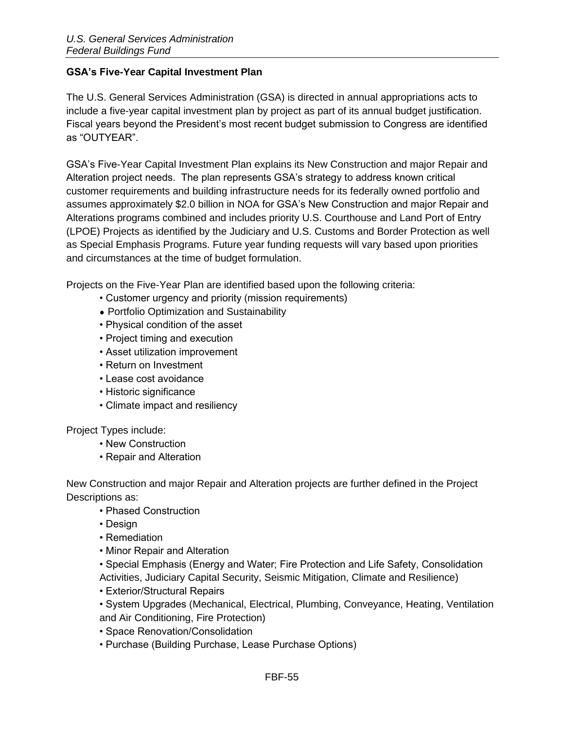### <span id="page-54-0"></span>**GSA's Five-Year Capital Investment Plan**

The U.S. General Services Administration (GSA) is directed in annual appropriations acts to include a five-year capital investment plan by project as part of its annual budget justification. Fiscal years beyond the President's most recent budget submission to Congress are identified as "OUTYEAR".

GSA's Five-Year Capital Investment Plan explains its New Construction and major Repair and Alteration project needs. The plan represents GSA's strategy to address known critical customer requirements and building infrastructure needs for its federally owned portfolio and assumes approximately \$2.0 billion in NOA for GSA's New Construction and major Repair and Alterations programs combined and includes priority U.S. Courthouse and Land Port of Entry (LPOE) Projects as identified by the Judiciary and U.S. Customs and Border Protection as well as Special Emphasis Programs. Future year funding requests will vary based upon priorities and circumstances at the time of budget formulation.

Projects on the Five-Year Plan are identified based upon the following criteria:

- Customer urgency and priority (mission requirements)
- Portfolio Optimization and Sustainability
- Physical condition of the asset
- Project timing and execution
- Asset utilization improvement
- Return on Investment
- Lease cost avoidance
- Historic significance
- Climate impact and resiliency

Project Types include:

- New Construction
- Repair and Alteration

New Construction and major Repair and Alteration projects are further defined in the Project Descriptions as:

- Phased Construction
- Design
- Remediation
- Minor Repair and Alteration

• Special Emphasis (Energy and Water; Fire Protection and Life Safety, Consolidation Activities, Judiciary Capital Security, Seismic Mitigation, Climate and Resilience)

- Exterior/Structural Repairs
- System Upgrades (Mechanical, Electrical, Plumbing, Conveyance, Heating, Ventilation and Air Conditioning, Fire Protection)
- Space Renovation/Consolidation
- Purchase (Building Purchase, Lease Purchase Options)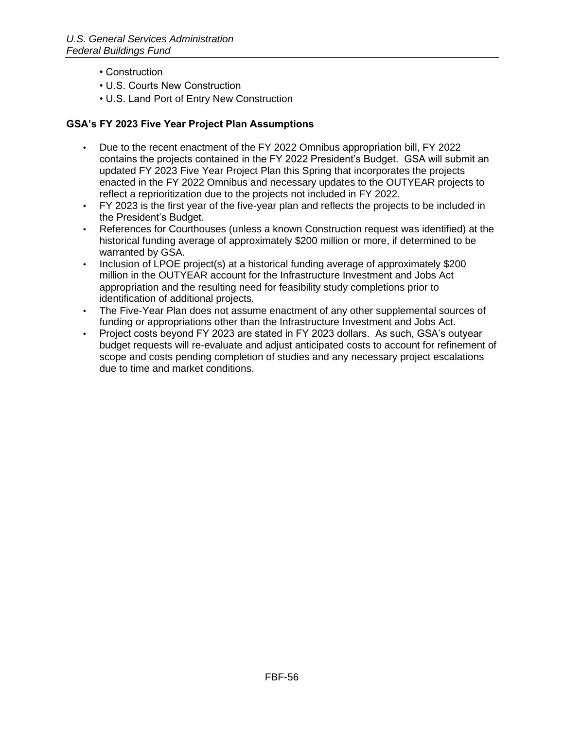- Construction
- U.S. Courts New Construction
- U.S. Land Port of Entry New Construction

### **GSA's FY 2023 Five Year Project Plan Assumptions**

- Due to the recent enactment of the FY 2022 Omnibus appropriation bill, FY 2022 contains the projects contained in the FY 2022 President's Budget. GSA will submit an updated FY 2023 Five Year Project Plan this Spring that incorporates the projects enacted in the FY 2022 Omnibus and necessary updates to the OUTYEAR projects to reflect a reprioritization due to the projects not included in FY 2022.
- FY 2023 is the first year of the five-year plan and reflects the projects to be included in the President's Budget.
- References for Courthouses (unless a known Construction request was identified) at the historical funding average of approximately \$200 million or more, if determined to be warranted by GSA.
- Inclusion of LPOE project(s) at a historical funding average of approximately \$200 million in the OUTYEAR account for the Infrastructure Investment and Jobs Act appropriation and the resulting need for feasibility study completions prior to identification of additional projects.
- The Five-Year Plan does not assume enactment of any other supplemental sources of funding or appropriations other than the Infrastructure Investment and Jobs Act.
- Project costs beyond FY 2023 are stated in FY 2023 dollars. As such, GSA's outyear budget requests will re-evaluate and adjust anticipated costs to account for refinement of scope and costs pending completion of studies and any necessary project escalations due to time and market conditions.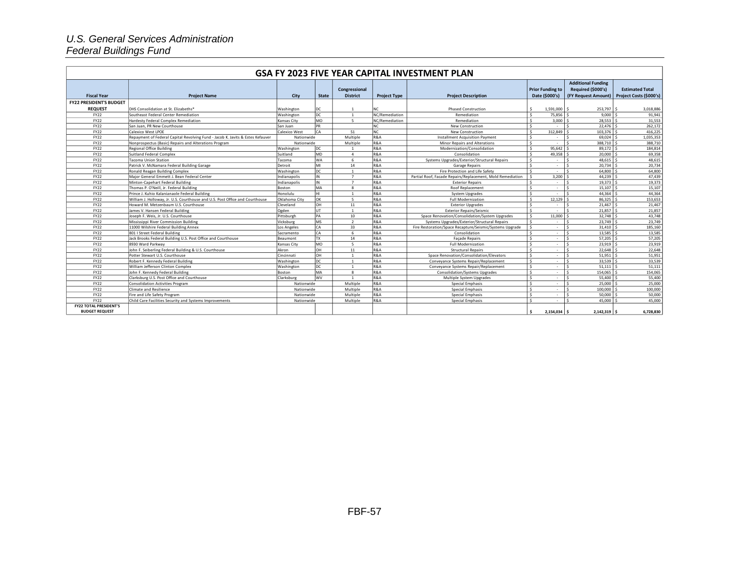#### *U.S. General Services Administration Federal Buildings Fund*

|                                |                                                                                |               |              |                 |                     | GSA FY 2023 FIVE YEAR CAPITAL INVESTMENT PLAN              |                                   |                              |                         |
|--------------------------------|--------------------------------------------------------------------------------|---------------|--------------|-----------------|---------------------|------------------------------------------------------------|-----------------------------------|------------------------------|-------------------------|
|                                |                                                                                |               |              |                 |                     |                                                            |                                   | <b>Additional Funding</b>    |                         |
|                                |                                                                                |               |              | Congressional   |                     |                                                            | <b>Prior Funding to</b>           | Required (\$000's)           | <b>Estimated Total</b>  |
| <b>Fiscal Year</b>             | <b>Project Name</b>                                                            | City          | <b>State</b> | <b>District</b> | <b>Project Type</b> | <b>Project Description</b>                                 | Date (\$000's)                    | (FY Request Amount)          | Project Costs (\$000's) |
| <b>FY22 PRESIDENT'S BUDGET</b> |                                                                                |               |              |                 |                     |                                                            |                                   |                              |                         |
| <b>REQUEST</b>                 | <b>IDHS Consolidation at St. Elizabeths*</b>                                   | Washington    | DC           | $\mathbf{1}$    | NC                  | <b>Phased Construction</b>                                 | \$<br>1,591,000 \$                | 253,797 \$                   | 3,018,886               |
| FY22                           | Southeast Federal Center Remediation                                           | Washington    | DC           | $\overline{1}$  | NC/Remediation      | Remediation                                                | 75,856<br>s.                      | 9,000                        | 91,941                  |
| FY22                           | Hardesty Federal Complex Remediation                                           | Kansas Citv   | <b>MO</b>    | $\sim$          | NC/Remediation      | Remediation                                                | <b>S</b><br>3,000                 | 28,553                       | 31,553                  |
| <b>FY22</b>                    | San Juan, PR New Courthouse                                                    | San Juan      | <b>PR</b>    |                 | NC.                 | New Construction                                           | $\mathsf{s}$<br>$\sim$            | 22,476                       | 262,172                 |
| <b>FY22</b>                    | Calexico West LPOE                                                             | Calexico West | lса          | 51              | NC                  | <b>New Construction</b>                                    | Ŝ.<br>312.849                     | $103,376$ \$                 | 416,225                 |
| <b>FY22</b>                    | Repayment of Federal Capital Revolving Fund - Jacob K. Javits & Estes Kefauver | Nationwide    |              | Multiple        | R&A                 | Installment Acquisition Payment                            | l S<br>$\sim$                     | 69,024                       | 1,035,353               |
| <b>FY22</b>                    | Nonprospectus (Basic) Repairs and Alterations Program                          | Nationwide    |              | Multiple        | <b>R&amp;A</b>      | <b>Minor Repairs and Alterations</b>                       | $\mathbf{\hat{S}}$<br>$\sim$      | 388,710                      | 388,710                 |
| <b>FY22</b>                    | Regional Office Building                                                       | Washington    | DC           |                 | <b>R&amp;A</b>      | Modernization/Consolidation                                | <b>S</b><br>$95,642$ \$           | 89,172                       | 184,814                 |
| <b>FY22</b>                    | Suitland Federal Complex                                                       | Suitland      | <b>MD</b>    | $\overline{a}$  | <b>R&amp;A</b>      | Consolidation                                              | <b>S</b><br>49,358                | 20,000                       | 69,358                  |
| <b>FY22</b>                    | Tacoma Union Station                                                           | Tacoma        | <b>WA</b>    | 6               | <b>R&amp;A</b>      | Systems Upgrades/Exterior/Structural Repairs               | $\mathbf{\hat{S}}$<br>$\sim$      | 48,615                       | 48,615                  |
| <b>FY22</b>                    | Patrick V. McNamara Federal Building Garage                                    | Detroit       | MI           | 14              | <b>R&amp;A</b>      | <b>Garage Repairs</b>                                      | 's<br>$\sim$                      | 20.734                       | 20,734                  |
| FY22                           | Ronald Reagan Building Complex                                                 | Washington    | DC           |                 | <b>R&amp;A</b>      | Fire Protection and Life Safety                            | s.<br>$\sim$                      | 64.800                       | 64,800                  |
| <b>FY22</b>                    | Major General Emmett J. Bean Federal Center                                    | Indianapolis  | IN           | $7\overline{ }$ | <b>R&amp;A</b>      | Partial Roof, Facade Repairs/Replacement, Mold Remediation | <b>S</b><br>3,200                 | 44.239                       | 47,439                  |
| FY22                           | Minton-Capehart Federal Building                                               | Indianapolis  | IN           | $\overline{7}$  | <b>R&amp;A</b>      | <b>Exterior Repairs</b>                                    | l S<br>$\sim$                     | 19,373                       | 19,373                  |
| <b>FY22</b>                    | Thomas P. O'Neill, Jr. Federal Building                                        | Boston        | MA           | $\mathbf{R}$    | <b>R&amp;A</b>      | Roof Replacement                                           | s.<br>$\sim$                      | 15,107                       | 15,107                  |
| <b>FY22</b>                    | Prince J. Kuhio Kalanianaole Federal Building                                  | Honolulu      |              | $\overline{1}$  | <b>R&amp;A</b>      | System Upgrades                                            | $\mathbf{\hat{S}}$<br>$\sim$      | 44.364                       | 44,364                  |
| <b>FY22</b>                    | William J. Holloway, Jr. U.S. Courthouse and U.S. Post Office and Courthouse   | Oklahoma City | OK           | $5^{\circ}$     | <b>R&amp;A</b>      | <b>Full Modernization</b>                                  | s.<br>12,129                      | 86,325                       | 153,653                 |
| <b>FY22</b>                    | Howard M. Metzenbaum U.S. Courthouse                                           | Cleveland     | OН           | 11              | R&A                 | <b>Exterior Upgrades</b>                                   | s.<br>$\sim$                      | 21.467                       | 21,467                  |
| FY22                           | James V. Hansen Federal Building                                               | Ogden         | UT           | $\overline{1}$  | <b>R&amp;A</b>      | <b>Exterior Repairs/Seismic</b>                            | <sup>s</sup><br>$\sim$            | $21.857$ S                   | 21,857                  |
| <b>FY22</b>                    | Joseph F. Weis, Jr. U.S. Courthouse                                            | Pittsburgh    | <b>PA</b>    | 10              | <b>R&amp;A</b>      | Space Renovation/Consolidation/System Upgrades             | <b>S</b><br>11,000                | 32,748                       | 43,748                  |
| <b>FY22</b>                    | Mississippi River Commission Building                                          | Vicksburg     | <b>MS</b>    | $\overline{2}$  | <b>R&amp;A</b>      | Systems Upgrades/Exterior/Structural Repairs               | 's<br>$\sim$                      | 23.749                       | 23,749                  |
| <b>FY22</b>                    | 11000 Wilshire Federal Building Annex                                          | Los Angeles   | CA           | 33              | <b>R&amp;A</b>      | Fire Restoration/Space Recapture/Seismic/Systems Upgrade   | $\overline{\mathsf{s}}$<br>$\sim$ | $31,410$ \$<br>$\hat{\zeta}$ | 185,160                 |
| FY22                           | 801   Street Federal Building                                                  | Sacramento    | CA           | -6              | <b>R&amp;A</b>      | Consolidation                                              | l S<br>$\sim$                     | 13.585                       | 13,585                  |
| FY22                           | Jack Brooks Federal Building U.S. Post Office and Courthouse                   | Beaumont      | <b>TX</b>    | 14              | R&A                 | <b>Façade Repairs</b>                                      | s.<br>$\sim$                      | 57,205                       | 57,205                  |
| <b>FY22</b>                    | 8930 Ward Parkway                                                              | Kansas City   | <b>MO</b>    | $\sim$          | <b>R&amp;A</b>      | <b>Full Modernization</b>                                  | $\hat{\mathbf{C}}$<br>$\sim$      | 23.919                       | 23,919                  |
| <b>FY22</b>                    | John F. Seiberling Federal Building & U.S. Courthouse                          | Akron         | OH           | 11              | <b>R&amp;A</b>      | <b>Structural Repairs</b>                                  | S.<br>$\sim$                      | 22,648                       | 22,648                  |
| FY22                           | Potter Stewart U.S. Courthouse                                                 | Cincinnati    | OH           |                 | R&A                 | Space Renovation/Consolidation/Elevators                   | s.<br>$\sim$                      | 51,951                       | 51,951                  |
| <b>FY22</b>                    | Robert F. Kennedy Federal Building                                             | Washington    | DC           | $\overline{1}$  | <b>R&amp;A</b>      | Convevance Systems Repair/Replacement                      | $\mathsf{s}$<br>$\sim$            | 33.539                       | 33,539                  |
| <b>FY22</b>                    | William Jefferson Clinton Complex                                              | Washington    | DC           | $\overline{1}$  | <b>R&amp;A</b>      | Convevance Systems Repair/Replacement                      | 's<br>$\sim$                      | $51,111$ $\frac{1}{5}$       | 51,111                  |
| <b>FY22</b>                    | John F. Kennedy Federal Building                                               | Boston        | MA           | $\mathbf{R}$    | R&A                 | <b>Consolidation/Systems Upgrades</b>                      | 's<br>$\sim$                      | 154.065                      | 154,065                 |
| <b>FY22</b>                    | Clarksburg U.S. Post Office and Courthouse                                     | Clarksburg    | wv           | $\mathbf{1}$    | <b>R&amp;A</b>      | Multiple System Upgrades                                   | $\mathsf{s}$<br>$\sim$            | 55,400 S                     | 55,400                  |
| <b>FY22</b>                    | Consolidation Activities Program                                               | Nationwide    |              | Multiple        | <b>R&amp;A</b>      | Special Emphasis                                           | 's<br>$\sim$                      | 25,000                       | 25,000                  |
| FY22                           | Climate and Resilience                                                         | Nationwide    |              | Multiple        | R&A                 | Special Emphasis                                           | 's<br>$\sim$                      | 100,000                      | 100,000                 |
| <b>FY22</b>                    | Fire and Life Safety Program                                                   | Nationwide    |              | Multiple        | <b>R&amp;A</b>      | Special Emphasis                                           | $\mathbf{\hat{S}}$<br>$\sim$      | 50,000                       | 50,000                  |
| <b>FY22</b>                    | Child Care Facilities Security and Systems Improvements                        | Nationwide    |              | Multiple        | <b>R&amp;A</b>      | Special Emphasis                                           | $\hat{\zeta}$<br>×                | 45,000                       | 45,000                  |
| <b>FY22 TOTAL PRESIDENT'S</b>  |                                                                                |               |              |                 |                     |                                                            | \$.                               |                              |                         |
| <b>BUDGET REQUEST</b>          |                                                                                |               |              |                 |                     |                                                            | $2,154,034$ \$                    | $2,142,319$ \$               | 6,728,830               |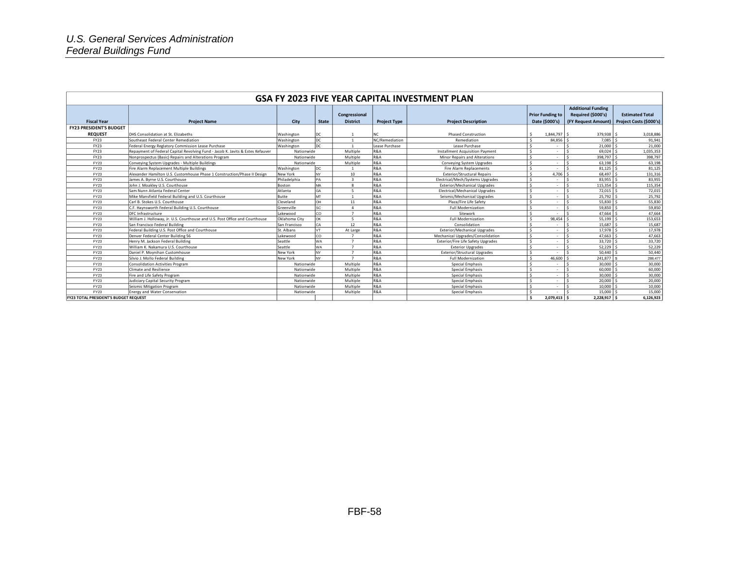| GSA FY 2023 FIVE YEAR CAPITAL INVESTMENT PLAN |                                                                                |               |              |                                  |                       |                                        |                                           |                                                                        |                                                   |  |
|-----------------------------------------------|--------------------------------------------------------------------------------|---------------|--------------|----------------------------------|-----------------------|----------------------------------------|-------------------------------------------|------------------------------------------------------------------------|---------------------------------------------------|--|
| <b>Fiscal Year</b>                            | <b>Project Name</b>                                                            | City          | <b>State</b> | Congressional<br><b>District</b> | <b>Project Type</b>   | <b>Project Description</b>             | <b>Prior Funding to</b><br>Date (\$000's) | <b>Additional Funding</b><br>Required (\$000's)<br>(FY Request Amount) | <b>Estimated Total</b><br>Project Costs (\$000's) |  |
| <b>FY23 PRESIDENT'S BUDGET</b>                |                                                                                |               |              |                                  |                       |                                        |                                           |                                                                        |                                                   |  |
| <b>REQUEST</b>                                |                                                                                |               |              |                                  |                       |                                        |                                           |                                                                        |                                                   |  |
|                                               | <b>IDHS Consolidation at St. Elizabeths</b>                                    | Washington    | DC.          |                                  |                       | <b>Phased Construction</b>             | $1,844,797$ \$<br>-Ś                      | 379,938 \$                                                             | 3,018,886                                         |  |
| <b>FY23</b>                                   | Southeast Federal Center Remediation                                           | Washington    | DC<br>loc    |                                  | NC/Remediation        | Remediation                            | <b>S</b><br>84.856 S<br>s.                | 7.085<br>$\hat{\zeta}$                                                 | 91,941                                            |  |
| <b>FY23</b>                                   | Federal Energy Reglatory Commission Lease Purchase                             | Washington    |              | $\overline{1}$<br>Multiple       | Lease Purchase<br>R&A | Lease Purchase                         | $\sim$                                    | 21,000                                                                 | 21,000                                            |  |
| <b>FY23</b>                                   | Repayment of Federal Capital Revolving Fund - Jacob K. Javits & Estes Kefauver | Nationwide    |              |                                  |                       | <b>Installment Acquisition Payment</b> | s.<br>$\sim$                              | 69,024                                                                 | 1,035,353                                         |  |
| <b>FY23</b>                                   | Nonprospectus (Basic) Repairs and Alterations Program                          | Nationwide    |              | Multiple                         | R&A                   | <b>Minor Repairs and Alterations</b>   | <b>S</b><br>$\sim$                        | 398,797                                                                | 398,797                                           |  |
| FY23                                          | Conveying System Upgrades - Multiple Buildings                                 | Nationwide    |              | Multiple                         | R&A                   | Conveying System Upgrades              | $\mathsf{s}$<br>$\sim$                    | 63,198<br>$\hat{\zeta}$                                                | 63,198                                            |  |
| FY23                                          | Fire Alarm Replacement Multiple Buildings                                      | Washington    | loc.         |                                  | R&A                   | <b>Fire Alarm Replacements</b>         | s.<br>$\sim$                              | $\mathbf{\hat{S}}$<br>81.125                                           | 81,125                                            |  |
| FY23                                          | Alexander Hamilton U.S. Customhouse Phase 1 Construction/Phase II Design       | New York      | NY.          | 10                               | R&A                   | <b>Exterior/Structural Repairs</b>     | s.<br>$4,706$ \$                          | 68,497 \$                                                              | 131,316                                           |  |
| FY23                                          | James A. Byrne U.S. Courthouse                                                 | Philadelphia  | PA           |                                  | R&A                   | Electrical/Mech/Systems Upgrades       | <b>S</b><br>$\sim$                        | 83,955                                                                 | 83,955                                            |  |
| FY23                                          | John J. Moakley U.S. Courthouse                                                | Boston        | MA           |                                  | R&A                   | Exterior/Mechanical Uperades           | s.<br>$\sim$                              | 115,354                                                                | 115,354                                           |  |
| FY23                                          | Sam Nunn Atlanta Federal Center                                                | Atlanta       | GΑ           | -5                               | R&A                   | Electrical/Mechanical Upgrades         | s.<br>$\sim$                              | 72,015<br>$\hat{\zeta}$                                                | 72,015                                            |  |
| FY23                                          | Mike Mansfield Federal Building and U.S. Courthouse                            | Butte         | MT           |                                  | R&A                   | Seismic/Mechanical Upgrades            | s.<br>$\sim$                              | $25,792$ \$                                                            | 25,792                                            |  |
| FY23                                          | Carl B. Stokes U.S. Courthouse                                                 | Cleveland     | OH           | 11                               | R&A                   | Plaza/Fire Life Safety                 | s.<br>$\sim$                              | $55,830$ \$                                                            | 55,830                                            |  |
| FY23                                          | C.F. Haynsworth Federal Building U.S. Courthouse                               | Greenville    | SC           |                                  | R&A                   | <b>Full Modernization</b>              | s.<br>$\sim$                              | $59,850$ \$<br>$\epsilon$                                              | 59,850                                            |  |
| FY23                                          | DFC Infrastructure                                                             | Lakewood      | CO           | $\overline{7}$                   | R&A                   | Sitework                               | s.<br>$\sim$                              | 47,664                                                                 | 47,664                                            |  |
| FY23                                          | William J. Holloway, Jr. U.S. Courthouse and U.S. Post Office and Courthouse   | Oklahoma City | OK           |                                  | R&A                   | <b>Full Modernization</b>              | $98.454$ S<br>-Ś                          | 55,199                                                                 | 153,653                                           |  |
| FY23                                          | San Francisco Federal Building                                                 | San Francisco | CΑ           | 12                               | R&A                   | Consolidation                          | s.<br>٠                                   | 15,687                                                                 | 15,687                                            |  |
| FY23                                          | Federal Building U.S. Post Office and Courthouse                               | St. Albans    |              | At Large                         | R&A                   | <b>Exterior/Mechanical Upgrades</b>    | s.<br>٠                                   | 17.978                                                                 | 17,978                                            |  |
| FY23                                          | Denver Federal Center Building 56                                              | Lakewood      | CO           |                                  | R&A                   | Mechanical Upgrades/Consolidation      | $\mathsf{s}$<br>$\sim$                    | 47,663<br>$\ddot{\phantom{1}}$                                         | 47,663                                            |  |
| FY23                                          | Henry M. Jackson Federal Building                                              | Seattle       | NΑ           | $\overline{ }$                   | R&A                   | Exterior/Fire Life Safety Upgrades     | s.<br>٠                                   | 33,720                                                                 | 33,720                                            |  |
| FY23                                          | William K. Nakamura U.S. Courthouse                                            | Seattle       | <b>NA</b>    |                                  | R&A                   | <b>Exterior Upgrades</b>               | $\mathsf{s}$<br>٠                         | 52.229                                                                 | 52,229                                            |  |
| FY23                                          | Daniel P. Movnihan Customhouse                                                 | New York      | <b>NV</b>    |                                  | R&A                   | <b>Exterior/Structural Upgrades</b>    | $\mathsf{s}$<br>٠                         | 50,440                                                                 | 50,440                                            |  |
| FY23                                          | Silvio J. Mollo Federal Building                                               | New York      | NY           | $\overline{ }$                   | R&A                   | <b>Full Modernization</b>              | 46,600<br><b>S</b>                        | 241.877                                                                | 288,477                                           |  |
| FY23                                          | Consolidation Activities Program                                               | Nationwide    |              | Multiple                         | R&A                   | Special Emphasis                       | s.<br>٠                                   | 30,000                                                                 | 30,000                                            |  |
| FY23                                          | Climate and Resilience                                                         | Nationwide    |              | Multiple                         | R&A                   | Special Emphasis                       | $\sim$<br>$\sim$                          | 60,000                                                                 | 60,000                                            |  |
| FY23                                          | Fire and Life Safety Program                                                   | Nationwide    |              | Multiple                         | R&A                   | Special Emphasis                       | $\sim$<br>$\sim$                          | 30,000<br>$\hat{\mathbf{c}}$                                           | 30,000                                            |  |
| FY23                                          | Judiciary Capital Security Program                                             | Nationwide    |              | Multiple                         | R&A                   | Special Emphasis                       | $\mathbf{\hat{S}}$<br>٠                   | 20,000                                                                 | 20,000                                            |  |
| FY23                                          | Seismic Mitigation Program                                                     | Nationwide    |              | Multiple                         | R&A                   | Special Emphasis                       | s.<br>٠                                   | 10,000                                                                 | 10,000                                            |  |
| FY23                                          | <b>Energy and Water Conservation</b>                                           | Nationwide    |              | Multiple                         | R&A                   | Special Emphasis                       | <b>S</b>                                  | 15,000                                                                 | 15,000                                            |  |
| <b>FY23 TOTAL PRESIDENT'S BUDGET REQUEST</b>  |                                                                                |               |              |                                  |                       |                                        | $\ddot{\phantom{1}}$<br>2.079.413 S       | $2.228.917$ \$                                                         | 6.126.923                                         |  |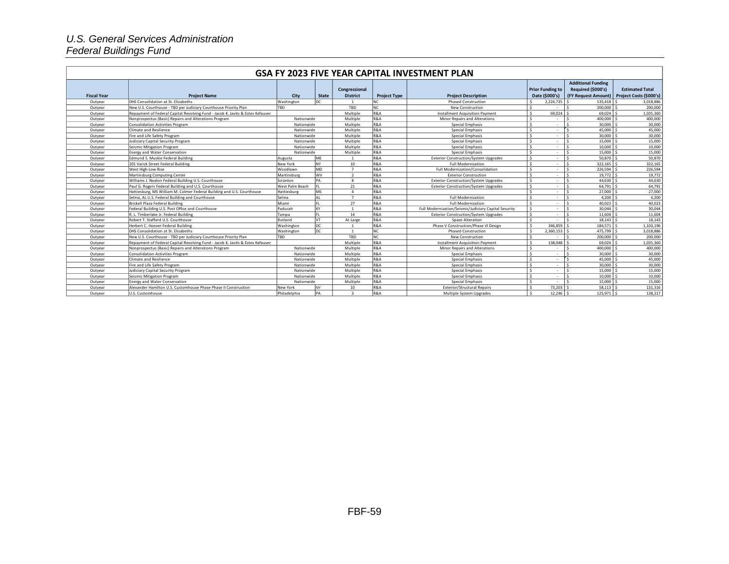#### *U.S. General Services Administration Federal Buildings Fund*

| GSA FY 2023 FIVE YEAR CAPITAL INVESTMENT PLAN |                                                                                |                 |              |                 |                     |                                                       |                              |                           |                         |  |
|-----------------------------------------------|--------------------------------------------------------------------------------|-----------------|--------------|-----------------|---------------------|-------------------------------------------------------|------------------------------|---------------------------|-------------------------|--|
|                                               |                                                                                |                 |              |                 |                     |                                                       |                              | <b>Additional Funding</b> |                         |  |
|                                               |                                                                                |                 |              | Congressional   |                     |                                                       | <b>Prior Funding to</b>      | Required (\$000's)        | <b>Estimated Total</b>  |  |
| <b>Fiscal Year</b>                            | <b>Project Name</b>                                                            | City            | <b>State</b> | <b>District</b> | <b>Project Type</b> | <b>Project Description</b>                            | Date (\$000's)               | (FY Request Amount)       | Project Costs (\$000's) |  |
| Outvear                                       | DHS Consolidation at St. Elizabeths                                            | Washington      | DC           |                 | NC                  | <b>Phased Construction</b>                            | Ŝ.<br>2.224.735              | 135.418                   | 3.018.886               |  |
| Outyear                                       | New U.S. Courthouse - TBD per Judiciary Courthouse Priority Plan               | <b>TRD</b>      |              | TBD             | NC.                 | New Construction                                      | ΙŚ.                          | 200,000                   | 200,000                 |  |
| Outvear                                       | Repayment of Federal Capital Revolving Fund - Jacob K. Javits & Estes Kefauver |                 |              | Multiple        | <b>R&amp;A</b>      | <b>Installment Acquisition Payment</b>                | s.<br>69.024                 | 69.024                    | 1,035,360               |  |
| Outvear                                       | Nonprospectus (Basic) Repairs and Alterations Program                          | Nationwide      |              | Multiple        | <b>R&amp;A</b>      | <b>Minor Repairs and Alterations</b>                  | <sub>S</sub><br>×            | 400,000                   | 400,000                 |  |
| Outyear                                       | Consolidation Activities Program                                               | Nationwide      |              | Multiple        | <b>R&amp;A</b>      | Special Emphasis                                      | $\mathsf{s}$<br>$\sim$       | 30,000                    | 30,000                  |  |
| Outyear                                       | Climate and Resilience                                                         | Nationwide      |              | Multiple        | <b>R&amp;A</b>      | Special Emphasis                                      | S.<br>$\sim$                 | 45,000                    | 45,000                  |  |
| Outyear                                       | Fire and Life Safety Program                                                   | Nationwide      |              | Multiple        | <b>R&amp;A</b>      | Special Emphasis                                      | S.<br>$\sim$                 | 30,000                    | 30,000                  |  |
| Outyear                                       | Judiciary Capital Security Program                                             | Nationwide      |              | Multiple        | <b>R&amp;A</b>      | Special Emphasis                                      | $\mathbf{\hat{S}}$<br>$\sim$ | 15,000                    | 15,000                  |  |
| Outvear                                       | Seismic Mitigation Program                                                     | Nationwide      |              | Multiple        | R&A                 | Special Emphasis                                      | 's<br>$\sim$                 | 10,000                    | 10,000                  |  |
| Outyear                                       | Energy and Water Conservation                                                  | Nationwide      |              | Multiple        | <b>R&amp;A</b>      | Special Emphasis                                      | s.<br>$\sim$                 | 15,000                    | 15,000                  |  |
| Outyear                                       | Edmund S. Muskie Federal Building                                              | Augusta         | MF           |                 | <b>R&amp;A</b>      | <b>Exterior Construction/System Upgrades</b>          | $\mathbf{\hat{S}}$<br>$\sim$ | 50,870                    | 50,870                  |  |
| Outvear                                       | 201 Varick Street Federal Building                                             | New York        | NY           | 10              | <b>R&amp;A</b>      | <b>Full Modernization</b>                             | 's<br>$\sim$                 | 322,165                   | 322,165                 |  |
| Outyear                                       | West High-Low Rise                                                             | Woodlawn        | <b>MD</b>    | $\overline{7}$  | R&A                 | Full Modernization/Consolidation                      | 's<br>$\sim$                 | 226,594                   | 226,594                 |  |
| Outyear                                       | Martinsburg Computing Center                                                   | Martinsburg     | <b>WV</b>    | $\overline{2}$  | <b>R&amp;A</b>      | <b>Exterior Construction</b>                          | s.<br>$\sim$                 | 19,772 \$                 | 19,772                  |  |
| Outvear                                       | Williams J. Nealon Federal Building U.S. Courthouse                            | Scranton        | PA           | $\mathbf{g}$    | R&A                 | <b>Exterior Construction/System Upgrades</b>          | $\mathbf{\hat{S}}$<br>$\sim$ | 44.630                    | 44,630                  |  |
| Outvear                                       | Paul G. Rogers Federal Building and U.S. Courthouse                            | West Palm Beach |              | 21              | <b>R&amp;A</b>      | <b>Exterior Construction/System Upgrades</b>          | 's<br>$\sim$                 | 64.791                    | 64,791                  |  |
| Outvear                                       | Hattiesburg, MS William M. Colmer Federal Building and U.S. Courthouse         | Hattiesburg     | <b>MS</b>    | $\overline{a}$  | <b>R&amp;A</b>      |                                                       | 's<br>$\sim$                 | 27,000                    | 27,000                  |  |
| Outyear                                       | Selma, AL U.S. Federal Building and Courthouse                                 | Selma           | AI           | $\overline{7}$  | R&A                 | <b>Full Modernization</b>                             | $\mathsf{s}$<br>$\sim$       | 4.200                     | 4,200                   |  |
| Outyear                                       | Brickell Plaza Federal Building                                                | Miami           |              | 27              | R&A                 | <b>Full Modernization</b>                             | $\mathbf{\hat{S}}$<br>$\sim$ | 40.023                    | 40,023                  |  |
| Outyear                                       | Federal Building U.S. Post Office and Courthouse                               | Paducah         | KY           | $\overline{1}$  | R&A                 | Full Modernization/Seismic/Judiciary Capital Security | 's<br>$\sim$                 | 30.044<br>$\hat{\zeta}$   | 30,044                  |  |
| Outvear                                       | R. L. Timberlake Jr. Federal Building                                          | Tampa           |              | 14              | <b>R&amp;A</b>      | <b>Exterior Construction/System Upgrades</b>          | S.<br>$\sim$                 | 11.604                    | 11,604                  |  |
| Outyear                                       | Robert T. Stafford U.S. Courthouse                                             | Rutland         | VT           | At Large        | <b>R&amp;A</b>      | Space Alteration                                      | 's<br>$\sim$                 | 18.143                    | 18,143                  |  |
| Outyear                                       | Herbert C. Hoover Federal Building                                             | Washington      | DC           |                 | <b>R&amp;A</b>      | Phase V Construction/Phase VI Design                  | s.<br>346,859                | 184,571                   | 1,103,196               |  |
| Outvear                                       | DHS Consolidation at St. Elizabeths                                            | Washington      | DC           |                 | NC.                 | <b>Phased Construction</b>                            | 2.360.153<br>s.              | 475,799                   | 3,018,886               |  |
| Outvear                                       | New U.S. Courthouse - TBD per Judiciary Courthouse Priority Plan               | TBD             |              | TBD             | NC.                 | <b>New Construction</b>                               | $\sim$<br>٠                  | 200,000                   | 200,000                 |  |
| Outyear                                       | Repayment of Federal Capital Revolving Fund - Jacob K. Javits & Estes Kefauver |                 |              | Multiple        | <b>R&amp;A</b>      | <b>Installment Acquisition Payment</b>                | <b>S</b><br>138,048          | 69,024                    | 1,035,360               |  |
| Outyear                                       | Nonprospectus (Basic) Repairs and Alterations Program                          | Nationwide      |              | Multiple        | <b>R&amp;A</b>      | Minor Repairs and Alterations                         | s.<br>$\sim$                 | 400,000                   | 400,000                 |  |
| Outyear                                       | Consolidation Activities Program                                               | Nationwide      |              | Multiple        | <b>R&amp;A</b>      | Special Emphasis                                      | s.<br>$\sim$                 | 30,000                    | 30,000                  |  |
| Outvear                                       | Climate and Resilience                                                         | Nationwide      |              | Multiple        | <b>R&amp;A</b>      | Special Emphasis                                      | $\mathbf{\hat{S}}$<br>$\sim$ | 45,000                    | 45,000                  |  |
| Outvear                                       | Fire and Life Safety Program                                                   | Nationwide      |              | Multiple        | R&A                 | Special Emphasis                                      | S.<br>$\sim$                 | 30,000                    | 30,000                  |  |
| Outyear                                       | Judiciary Capital Security Program                                             | Nationwide      |              | Multiple        | <b>R&amp;A</b>      | Special Emphasis                                      | $\mathbf{\hat{S}}$<br>$\sim$ | 15,000                    | 15,000                  |  |
| Outyear                                       | Seismic Mitigation Program                                                     | Nationwide      |              | Multiple        | <b>R&amp;A</b>      | Special Emphasis                                      | <sub>S</sub><br>$\sim$       | 10,000                    | 10,000                  |  |
| Outvear                                       | Energy and Water Conservation                                                  | Nationwide      |              | Multiple        | <b>R&amp;A</b>      | Special Emphasis                                      | $\mathsf{s}$<br>$\sim$       | 15,000<br><b>S</b>        | 15,000                  |  |
| Outvear                                       | Alexander Hamilton U.S. Customhouse Phase Phase II Construction                | New York        | NY           | 10              | <b>R&amp;A</b>      | <b>Exterior/Structural Repairs</b>                    | <b>S</b><br>73.203           | 58.113                    | 131,316                 |  |
| Outvear                                       | U.S. Customhouse                                                               | Philadelphia    | <b>PA</b>    | $\overline{3}$  | R&A                 | Multiple System Upgrades                              | s.<br>$12.246$ S             | 125,971 \$                | 138,217                 |  |